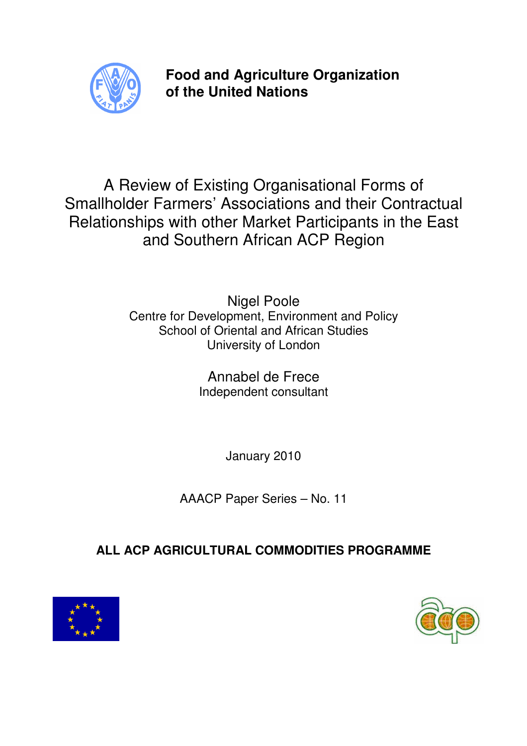

**Food and Agriculture Organization of the United Nations** 

A Review of Existing Organisational Forms of Smallholder Farmers' Associations and their Contractual Relationships with other Market Participants in the East and Southern African ACP Region

> Nigel Poole Centre for Development, Environment and Policy School of Oriental and African Studies University of London

> > Annabel de Frece Independent consultant

> > > January 2010

AAACP Paper Series – No. 11

# **ALL ACP AGRICULTURAL COMMODITIES PROGRAMME**



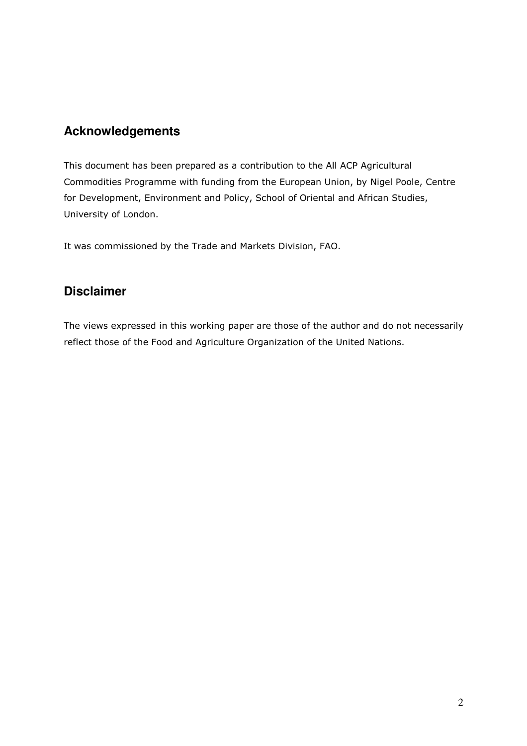## **Acknowledgements**

This document has been prepared as a contribution to the All ACP Agricultural Commodities Programme with funding from the European Union, by Nigel Poole, Centre for Development, Environment and Policy, School of Oriental and African Studies, University of London.

It was commissioned by the Trade and Markets Division, FAO.

## **Disclaimer**

The views expressed in this working paper are those of the author and do not necessarily reflect those of the Food and Agriculture Organization of the United Nations.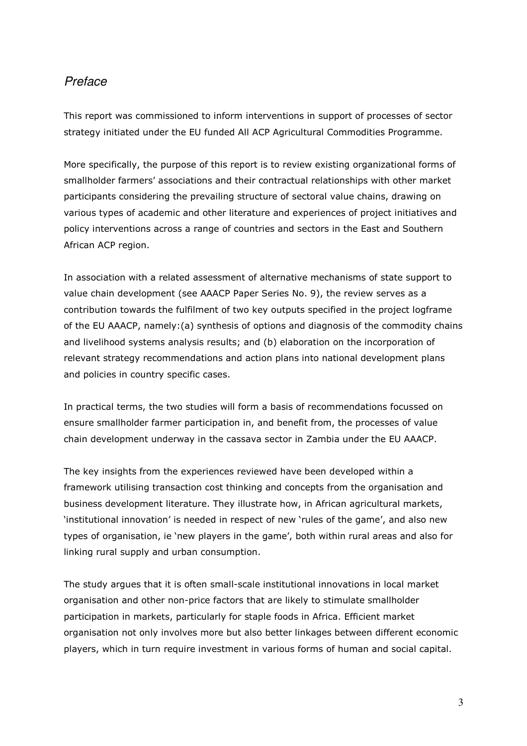## **Preface**

This report was commissioned to inform interventions in support of processes of sector strategy initiated under the EU funded All ACP Agricultural Commodities Programme.

More specifically, the purpose of this report is to review existing organizational forms of smallholder farmers' associations and their contractual relationships with other market participants considering the prevailing structure of sectoral value chains, drawing on various types of academic and other literature and experiences of project initiatives and policy interventions across a range of countries and sectors in the East and Southern African ACP region.

In association with a related assessment of alternative mechanisms of state support to value chain development (see AAACP Paper Series No. 9), the review serves as a contribution towards the fulfilment of two key outputs specified in the project logframe of the EU AAACP, namely:(a) synthesis of options and diagnosis of the commodity chains and livelihood systems analysis results; and (b) elaboration on the incorporation of relevant strategy recommendations and action plans into national development plans and policies in country specific cases.

In practical terms, the two studies will form a basis of recommendations focussed on ensure smallholder farmer participation in, and benefit from, the processes of value chain development underway in the cassava sector in Zambia under the EU AAACP.

The key insights from the experiences reviewed have been developed within a framework utilising transaction cost thinking and concepts from the organisation and business development literature. They illustrate how, in African agricultural markets, 'institutional innovation' is needed in respect of new 'rules of the game', and also new types of organisation, ie 'new players in the game', both within rural areas and also for linking rural supply and urban consumption.

The study argues that it is often small-scale institutional innovations in local market organisation and other non-price factors that are likely to stimulate smallholder participation in markets, particularly for staple foods in Africa. Efficient market organisation not only involves more but also better linkages between different economic players, which in turn require investment in various forms of human and social capital.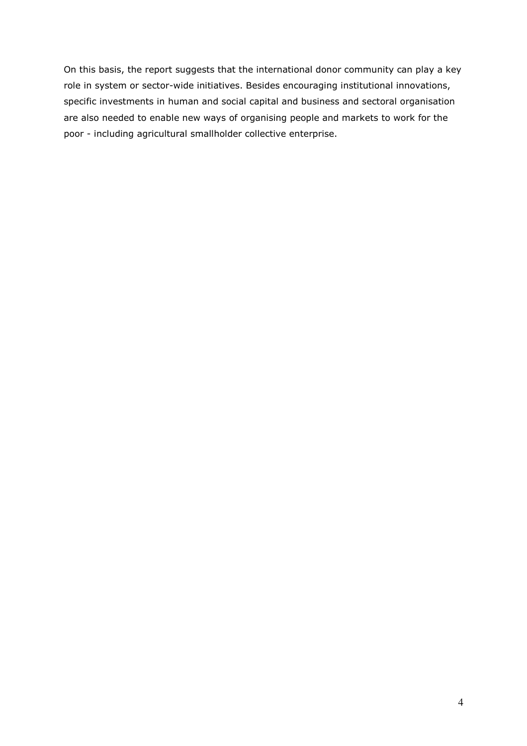On this basis, the report suggests that the international donor community can play a key role in system or sector-wide initiatives. Besides encouraging institutional innovations, specific investments in human and social capital and business and sectoral organisation are also needed to enable new ways of organising people and markets to work for the poor - including agricultural smallholder collective enterprise.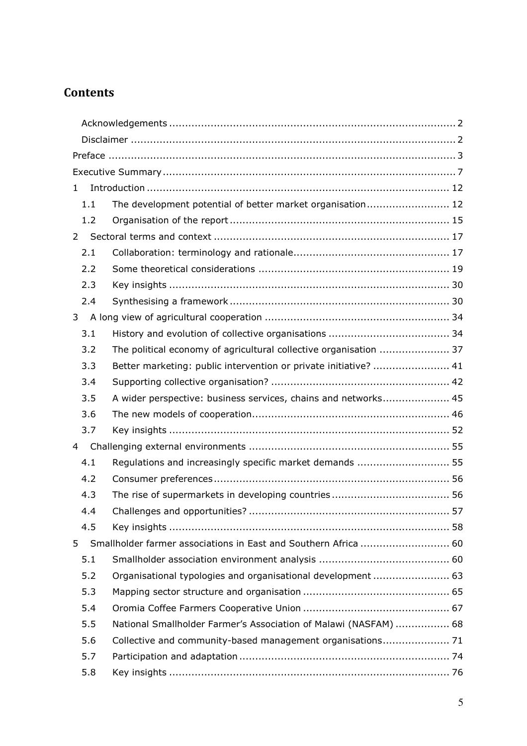# **Contents**

| 1              |                                                                   |  |  |
|----------------|-------------------------------------------------------------------|--|--|
| 1.1            | The development potential of better market organisation 12        |  |  |
| 1.2            |                                                                   |  |  |
| $\overline{2}$ |                                                                   |  |  |
| 2.1            |                                                                   |  |  |
| 2.2            |                                                                   |  |  |
| 2.3            |                                                                   |  |  |
| 2.4            |                                                                   |  |  |
| 3              |                                                                   |  |  |
| 3.1            |                                                                   |  |  |
| 3.2            | The political economy of agricultural collective organisation  37 |  |  |
| 3.3            | Better marketing: public intervention or private initiative?  41  |  |  |
| 3.4            |                                                                   |  |  |
| 3.5            | A wider perspective: business services, chains and networks 45    |  |  |
| 3.6            |                                                                   |  |  |
| 3.7            |                                                                   |  |  |
| 4              |                                                                   |  |  |
| 4.1            | Regulations and increasingly specific market demands  55          |  |  |
| 4.2            |                                                                   |  |  |
| 4.3            |                                                                   |  |  |
| 4.4            |                                                                   |  |  |
| 4.5            |                                                                   |  |  |
| 5              |                                                                   |  |  |
| 5.1            |                                                                   |  |  |
| 5.2            | Organisational typologies and organisational development  63      |  |  |
| 5.3            |                                                                   |  |  |
| 5.4            |                                                                   |  |  |
| 5.5            | National Smallholder Farmer's Association of Malawi (NASFAM)  68  |  |  |
| 5.6            | Collective and community-based management organisations 71        |  |  |
| 5.7            |                                                                   |  |  |
| 5.8            |                                                                   |  |  |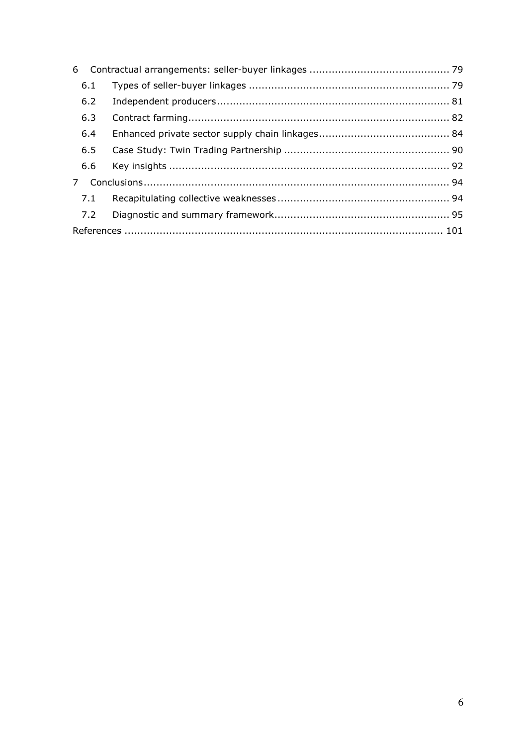| 6.1         |  |  |
|-------------|--|--|
| 6.2         |  |  |
| 6.3         |  |  |
| 6.4         |  |  |
| 6.5         |  |  |
|             |  |  |
| $7^{\circ}$ |  |  |
|             |  |  |
| 7.2         |  |  |
|             |  |  |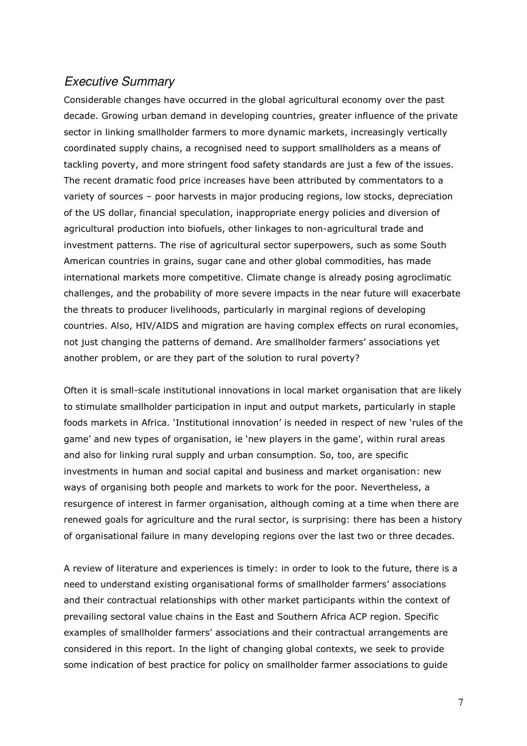## Executive Summary

Considerable changes have occurred in the global agricultural economy over the past decade. Growing urban demand in developing countries, greater influence of the private sector in linking smallholder farmers to more dynamic markets, increasingly vertically coordinated supply chains, a recognised need to support smallholders as a means of tackling poverty, and more stringent food safety standards are just a few of the issues. The recent dramatic food price increases have been attributed by commentators to a variety of sources – poor harvests in major producing regions, low stocks, depreciation of the US dollar, financial speculation, inappropriate energy policies and diversion of agricultural production into biofuels, other linkages to non-agricultural trade and investment patterns. The rise of agricultural sector superpowers, such as some South American countries in grains, sugar cane and other global commodities, has made international markets more competitive. Climate change is already posing agroclimatic challenges, and the probability of more severe impacts in the near future will exacerbate the threats to producer livelihoods, particularly in marginal regions of developing countries. Also, HIV/AIDS and migration are having complex effects on rural economies, not just changing the patterns of demand. Are smallholder farmers' associations yet another problem, or are they part of the solution to rural poverty?

Often it is small-scale institutional innovations in local market organisation that are likely to stimulate smallholder participation in input and output markets, particularly in staple foods markets in Africa. 'Institutional innovation' is needed in respect of new 'rules of the game' and new types of organisation, ie 'new players in the game', within rural areas and also for linking rural supply and urban consumption. So, too, are specific investments in human and social capital and business and market organisation: new ways of organising both people and markets to work for the poor. Nevertheless, a resurgence of interest in farmer organisation, although coming at a time when there are renewed goals for agriculture and the rural sector, is surprising: there has been a history of organisational failure in many developing regions over the last two or three decades.

A review of literature and experiences is timely: in order to look to the future, there is a need to understand existing organisational forms of smallholder farmers' associations and their contractual relationships with other market participants within the context of prevailing sectoral value chains in the East and Southern Africa ACP region. Specific examples of smallholder farmers' associations and their contractual arrangements are considered in this report. In the light of changing global contexts, we seek to provide some indication of best practice for policy on smallholder farmer associations to guide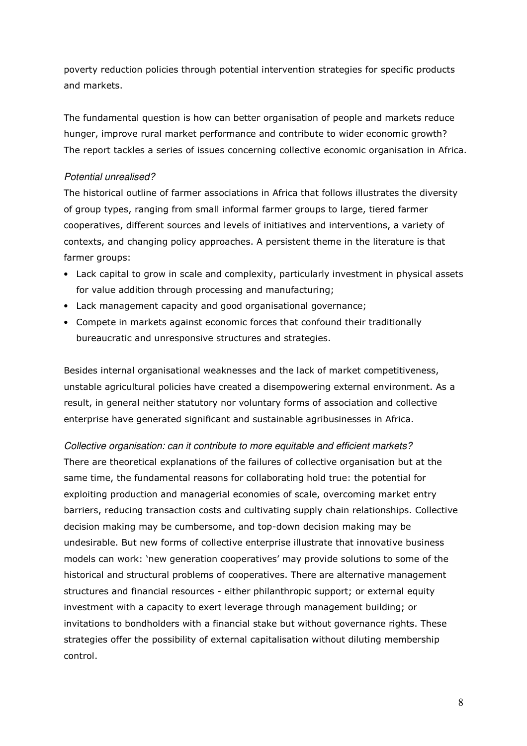poverty reduction policies through potential intervention strategies for specific products and markets.

The fundamental question is how can better organisation of people and markets reduce hunger, improve rural market performance and contribute to wider economic growth? The report tackles a series of issues concerning collective economic organisation in Africa.

### Potential unrealised?

The historical outline of farmer associations in Africa that follows illustrates the diversity of group types, ranging from small informal farmer groups to large, tiered farmer cooperatives, different sources and levels of initiatives and interventions, a variety of contexts, and changing policy approaches. A persistent theme in the literature is that farmer groups:

- Lack capital to grow in scale and complexity, particularly investment in physical assets for value addition through processing and manufacturing;
- Lack management capacity and good organisational governance;
- Compete in markets against economic forces that confound their traditionally bureaucratic and unresponsive structures and strategies.

Besides internal organisational weaknesses and the lack of market competitiveness, unstable agricultural policies have created a disempowering external environment. As a result, in general neither statutory nor voluntary forms of association and collective enterprise have generated significant and sustainable agribusinesses in Africa.

Collective organisation: can it contribute to more equitable and efficient markets? There are theoretical explanations of the failures of collective organisation but at the same time, the fundamental reasons for collaborating hold true: the potential for exploiting production and managerial economies of scale, overcoming market entry barriers, reducing transaction costs and cultivating supply chain relationships. Collective decision making may be cumbersome, and top-down decision making may be undesirable. But new forms of collective enterprise illustrate that innovative business models can work: 'new generation cooperatives' may provide solutions to some of the historical and structural problems of cooperatives. There are alternative management structures and financial resources - either philanthropic support; or external equity investment with a capacity to exert leverage through management building; or invitations to bondholders with a financial stake but without governance rights. These strategies offer the possibility of external capitalisation without diluting membership control.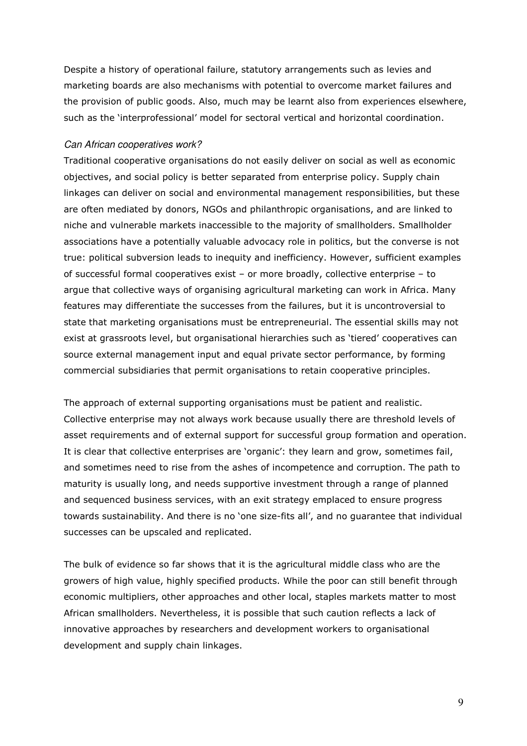Despite a history of operational failure, statutory arrangements such as levies and marketing boards are also mechanisms with potential to overcome market failures and the provision of public goods. Also, much may be learnt also from experiences elsewhere, such as the 'interprofessional' model for sectoral vertical and horizontal coordination.

#### Can African cooperatives work?

Traditional cooperative organisations do not easily deliver on social as well as economic objectives, and social policy is better separated from enterprise policy. Supply chain linkages can deliver on social and environmental management responsibilities, but these are often mediated by donors, NGOs and philanthropic organisations, and are linked to niche and vulnerable markets inaccessible to the majority of smallholders. Smallholder associations have a potentially valuable advocacy role in politics, but the converse is not true: political subversion leads to inequity and inefficiency. However, sufficient examples of successful formal cooperatives exist – or more broadly, collective enterprise – to argue that collective ways of organising agricultural marketing can work in Africa. Many features may differentiate the successes from the failures, but it is uncontroversial to state that marketing organisations must be entrepreneurial. The essential skills may not exist at grassroots level, but organisational hierarchies such as 'tiered' cooperatives can source external management input and equal private sector performance, by forming commercial subsidiaries that permit organisations to retain cooperative principles.

The approach of external supporting organisations must be patient and realistic. Collective enterprise may not always work because usually there are threshold levels of asset requirements and of external support for successful group formation and operation. It is clear that collective enterprises are 'organic': they learn and grow, sometimes fail, and sometimes need to rise from the ashes of incompetence and corruption. The path to maturity is usually long, and needs supportive investment through a range of planned and sequenced business services, with an exit strategy emplaced to ensure progress towards sustainability. And there is no 'one size-fits all', and no guarantee that individual successes can be upscaled and replicated.

The bulk of evidence so far shows that it is the agricultural middle class who are the growers of high value, highly specified products. While the poor can still benefit through economic multipliers, other approaches and other local, staples markets matter to most African smallholders. Nevertheless, it is possible that such caution reflects a lack of innovative approaches by researchers and development workers to organisational development and supply chain linkages.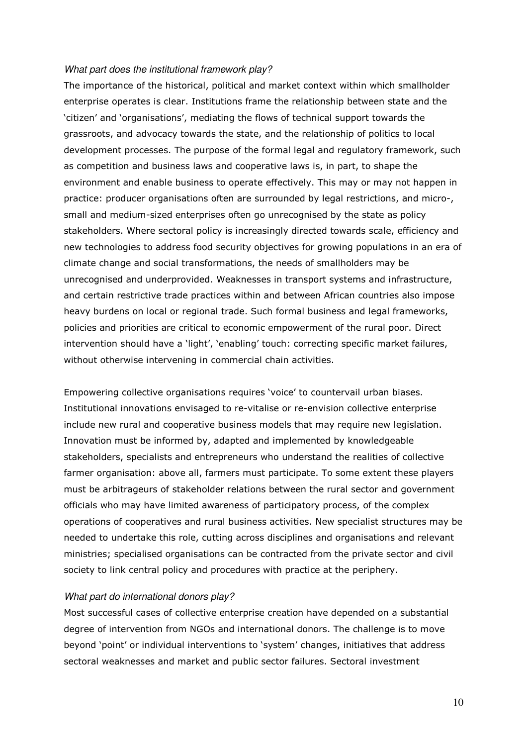#### What part does the institutional framework play?

The importance of the historical, political and market context within which smallholder enterprise operates is clear. Institutions frame the relationship between state and the 'citizen' and 'organisations', mediating the flows of technical support towards the grassroots, and advocacy towards the state, and the relationship of politics to local development processes. The purpose of the formal legal and regulatory framework, such as competition and business laws and cooperative laws is, in part, to shape the environment and enable business to operate effectively. This may or may not happen in practice: producer organisations often are surrounded by legal restrictions, and micro-, small and medium-sized enterprises often go unrecognised by the state as policy stakeholders. Where sectoral policy is increasingly directed towards scale, efficiency and new technologies to address food security objectives for growing populations in an era of climate change and social transformations, the needs of smallholders may be unrecognised and underprovided. Weaknesses in transport systems and infrastructure, and certain restrictive trade practices within and between African countries also impose heavy burdens on local or regional trade. Such formal business and legal frameworks, policies and priorities are critical to economic empowerment of the rural poor. Direct intervention should have a 'light', 'enabling' touch: correcting specific market failures, without otherwise intervening in commercial chain activities.

Empowering collective organisations requires 'voice' to countervail urban biases. Institutional innovations envisaged to re-vitalise or re-envision collective enterprise include new rural and cooperative business models that may require new legislation. Innovation must be informed by, adapted and implemented by knowledgeable stakeholders, specialists and entrepreneurs who understand the realities of collective farmer organisation: above all, farmers must participate. To some extent these players must be arbitrageurs of stakeholder relations between the rural sector and government officials who may have limited awareness of participatory process, of the complex operations of cooperatives and rural business activities. New specialist structures may be needed to undertake this role, cutting across disciplines and organisations and relevant ministries; specialised organisations can be contracted from the private sector and civil society to link central policy and procedures with practice at the periphery.

#### What part do international donors play?

Most successful cases of collective enterprise creation have depended on a substantial degree of intervention from NGOs and international donors. The challenge is to move beyond 'point' or individual interventions to 'system' changes, initiatives that address sectoral weaknesses and market and public sector failures. Sectoral investment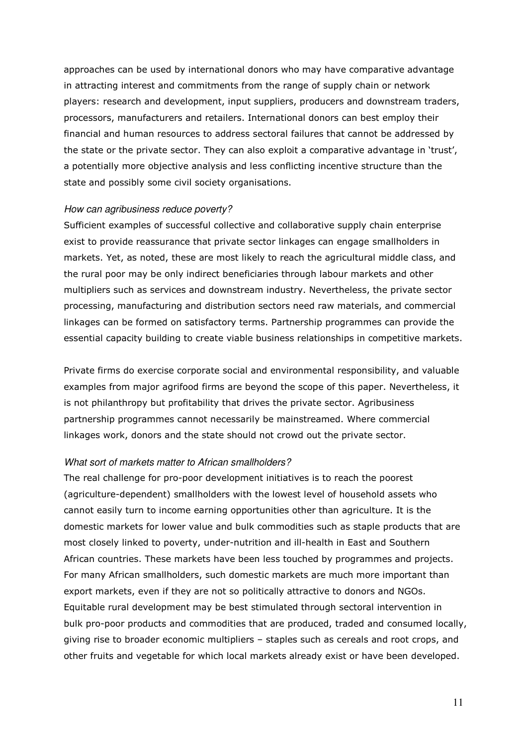approaches can be used by international donors who may have comparative advantage in attracting interest and commitments from the range of supply chain or network players: research and development, input suppliers, producers and downstream traders, processors, manufacturers and retailers. International donors can best employ their financial and human resources to address sectoral failures that cannot be addressed by the state or the private sector. They can also exploit a comparative advantage in 'trust', a potentially more objective analysis and less conflicting incentive structure than the state and possibly some civil society organisations.

#### How can agribusiness reduce poverty?

Sufficient examples of successful collective and collaborative supply chain enterprise exist to provide reassurance that private sector linkages can engage smallholders in markets. Yet, as noted, these are most likely to reach the agricultural middle class, and the rural poor may be only indirect beneficiaries through labour markets and other multipliers such as services and downstream industry. Nevertheless, the private sector processing, manufacturing and distribution sectors need raw materials, and commercial linkages can be formed on satisfactory terms. Partnership programmes can provide the essential capacity building to create viable business relationships in competitive markets.

Private firms do exercise corporate social and environmental responsibility, and valuable examples from major agrifood firms are beyond the scope of this paper. Nevertheless, it is not philanthropy but profitability that drives the private sector. Agribusiness partnership programmes cannot necessarily be mainstreamed. Where commercial linkages work, donors and the state should not crowd out the private sector.

#### What sort of markets matter to African smallholders?

The real challenge for pro-poor development initiatives is to reach the poorest (agriculture-dependent) smallholders with the lowest level of household assets who cannot easily turn to income earning opportunities other than agriculture. It is the domestic markets for lower value and bulk commodities such as staple products that are most closely linked to poverty, under-nutrition and ill-health in East and Southern African countries. These markets have been less touched by programmes and projects. For many African smallholders, such domestic markets are much more important than export markets, even if they are not so politically attractive to donors and NGOs. Equitable rural development may be best stimulated through sectoral intervention in bulk pro-poor products and commodities that are produced, traded and consumed locally, giving rise to broader economic multipliers – staples such as cereals and root crops, and other fruits and vegetable for which local markets already exist or have been developed.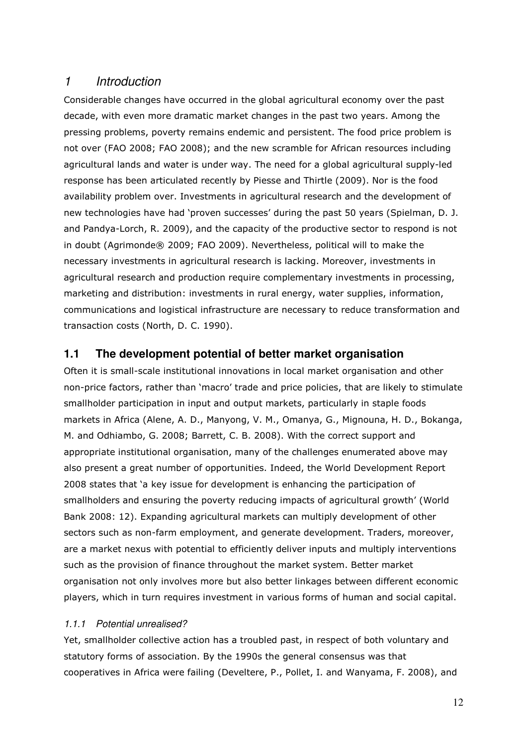## 1 Introduction

Considerable changes have occurred in the global agricultural economy over the past decade, with even more dramatic market changes in the past two years. Among the pressing problems, poverty remains endemic and persistent. The food price problem is not over (FAO 2008; FAO 2008); and the new scramble for African resources including agricultural lands and water is under way. The need for a global agricultural supply-led response has been articulated recently by Piesse and Thirtle (2009). Nor is the food availability problem over. Investments in agricultural research and the development of new technologies have had 'proven successes' during the past 50 years (Spielman, D. J. and Pandya-Lorch, R. 2009), and the capacity of the productive sector to respond is not in doubt (Agrimonde® 2009; FAO 2009). Nevertheless, political will to make the necessary investments in agricultural research is lacking. Moreover, investments in agricultural research and production require complementary investments in processing, marketing and distribution: investments in rural energy, water supplies, information, communications and logistical infrastructure are necessary to reduce transformation and transaction costs (North, D. C. 1990).

## **1.1 The development potential of better market organisation**

Often it is small-scale institutional innovations in local market organisation and other non-price factors, rather than 'macro' trade and price policies, that are likely to stimulate smallholder participation in input and output markets, particularly in staple foods markets in Africa (Alene, A. D., Manyong, V. M., Omanya, G., Mignouna, H. D., Bokanga, M. and Odhiambo, G. 2008; Barrett, C. B. 2008). With the correct support and appropriate institutional organisation, many of the challenges enumerated above may also present a great number of opportunities. Indeed, the World Development Report 2008 states that 'a key issue for development is enhancing the participation of smallholders and ensuring the poverty reducing impacts of agricultural growth' (World Bank 2008: 12). Expanding agricultural markets can multiply development of other sectors such as non-farm employment, and generate development. Traders, moreover, are a market nexus with potential to efficiently deliver inputs and multiply interventions such as the provision of finance throughout the market system. Better market organisation not only involves more but also better linkages between different economic players, which in turn requires investment in various forms of human and social capital.

## 1.1.1 Potential unrealised?

Yet, smallholder collective action has a troubled past, in respect of both voluntary and statutory forms of association. By the 1990s the general consensus was that cooperatives in Africa were failing (Develtere, P., Pollet, I. and Wanyama, F. 2008), and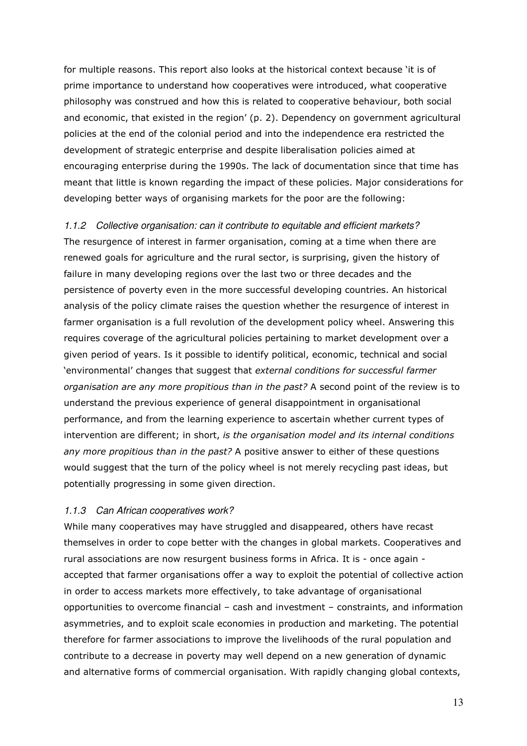for multiple reasons. This report also looks at the historical context because 'it is of prime importance to understand how cooperatives were introduced, what cooperative philosophy was construed and how this is related to cooperative behaviour, both social and economic, that existed in the region' (p. 2). Dependency on government agricultural policies at the end of the colonial period and into the independence era restricted the development of strategic enterprise and despite liberalisation policies aimed at encouraging enterprise during the 1990s. The lack of documentation since that time has meant that little is known regarding the impact of these policies. Major considerations for developing better ways of organising markets for the poor are the following:

1.1.2 Collective organisation: can it contribute to equitable and efficient markets? The resurgence of interest in farmer organisation, coming at a time when there are renewed goals for agriculture and the rural sector, is surprising, given the history of failure in many developing regions over the last two or three decades and the persistence of poverty even in the more successful developing countries. An historical analysis of the policy climate raises the question whether the resurgence of interest in farmer organisation is a full revolution of the development policy wheel. Answering this requires coverage of the agricultural policies pertaining to market development over a given period of years. Is it possible to identify political, economic, technical and social 'environmental' changes that suggest that external conditions for successful farmer organisation are any more propitious than in the past? A second point of the review is to understand the previous experience of general disappointment in organisational performance, and from the learning experience to ascertain whether current types of intervention are different; in short, is the organisation model and its internal conditions any more propitious than in the past? A positive answer to either of these questions would suggest that the turn of the policy wheel is not merely recycling past ideas, but potentially progressing in some given direction.

#### 1.1.3 Can African cooperatives work?

While many cooperatives may have struggled and disappeared, others have recast themselves in order to cope better with the changes in global markets. Cooperatives and rural associations are now resurgent business forms in Africa. It is - once again accepted that farmer organisations offer a way to exploit the potential of collective action in order to access markets more effectively, to take advantage of organisational opportunities to overcome financial – cash and investment – constraints, and information asymmetries, and to exploit scale economies in production and marketing. The potential therefore for farmer associations to improve the livelihoods of the rural population and contribute to a decrease in poverty may well depend on a new generation of dynamic and alternative forms of commercial organisation. With rapidly changing global contexts,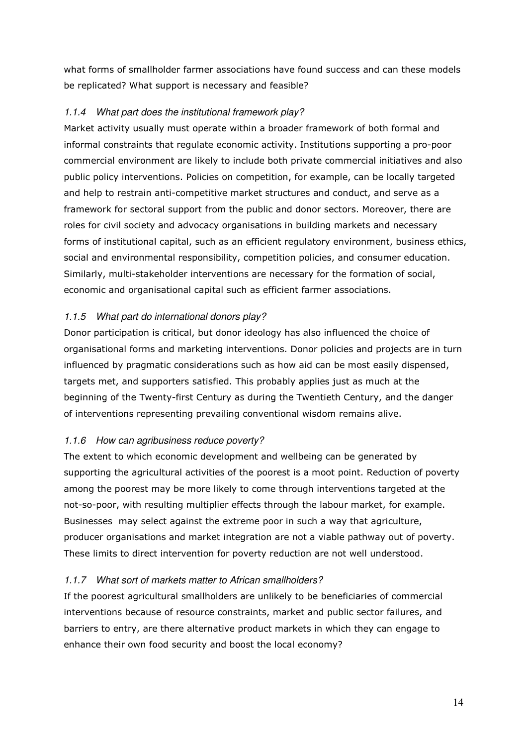what forms of smallholder farmer associations have found success and can these models be replicated? What support is necessary and feasible?

## 1.1.4 What part does the institutional framework play?

Market activity usually must operate within a broader framework of both formal and informal constraints that regulate economic activity. Institutions supporting a pro-poor commercial environment are likely to include both private commercial initiatives and also public policy interventions. Policies on competition, for example, can be locally targeted and help to restrain anti-competitive market structures and conduct, and serve as a framework for sectoral support from the public and donor sectors. Moreover, there are roles for civil society and advocacy organisations in building markets and necessary forms of institutional capital, such as an efficient regulatory environment, business ethics, social and environmental responsibility, competition policies, and consumer education. Similarly, multi-stakeholder interventions are necessary for the formation of social, economic and organisational capital such as efficient farmer associations.

## 1.1.5 What part do international donors play?

Donor participation is critical, but donor ideology has also influenced the choice of organisational forms and marketing interventions. Donor policies and projects are in turn influenced by pragmatic considerations such as how aid can be most easily dispensed, targets met, and supporters satisfied. This probably applies just as much at the beginning of the Twenty-first Century as during the Twentieth Century, and the danger of interventions representing prevailing conventional wisdom remains alive.

## 1.1.6 How can agribusiness reduce poverty?

The extent to which economic development and wellbeing can be generated by supporting the agricultural activities of the poorest is a moot point. Reduction of poverty among the poorest may be more likely to come through interventions targeted at the not-so-poor, with resulting multiplier effects through the labour market, for example. Businesses may select against the extreme poor in such a way that agriculture, producer organisations and market integration are not a viable pathway out of poverty. These limits to direct intervention for poverty reduction are not well understood.

## 1.1.7 What sort of markets matter to African smallholders?

If the poorest agricultural smallholders are unlikely to be beneficiaries of commercial interventions because of resource constraints, market and public sector failures, and barriers to entry, are there alternative product markets in which they can engage to enhance their own food security and boost the local economy?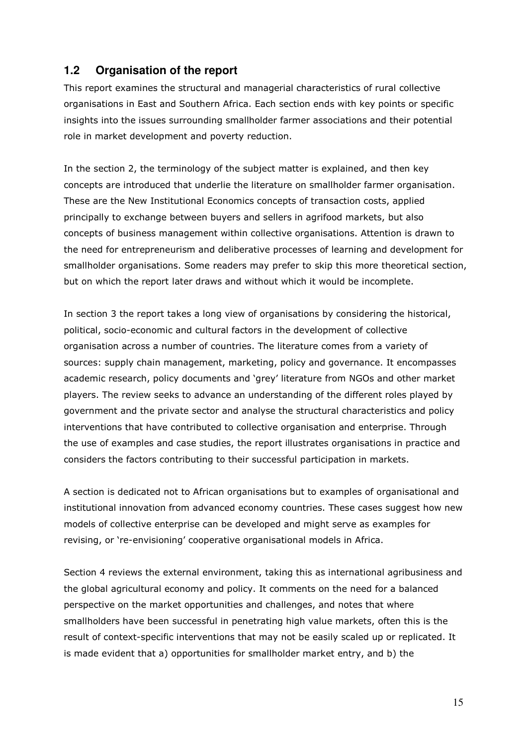## **1.2 Organisation of the report**

This report examines the structural and managerial characteristics of rural collective organisations in East and Southern Africa. Each section ends with key points or specific insights into the issues surrounding smallholder farmer associations and their potential role in market development and poverty reduction.

In the section 2, the terminology of the subject matter is explained, and then key concepts are introduced that underlie the literature on smallholder farmer organisation. These are the New Institutional Economics concepts of transaction costs, applied principally to exchange between buyers and sellers in agrifood markets, but also concepts of business management within collective organisations. Attention is drawn to the need for entrepreneurism and deliberative processes of learning and development for smallholder organisations. Some readers may prefer to skip this more theoretical section, but on which the report later draws and without which it would be incomplete.

In section 3 the report takes a long view of organisations by considering the historical, political, socio-economic and cultural factors in the development of collective organisation across a number of countries. The literature comes from a variety of sources: supply chain management, marketing, policy and governance. It encompasses academic research, policy documents and 'grey' literature from NGOs and other market players. The review seeks to advance an understanding of the different roles played by government and the private sector and analyse the structural characteristics and policy interventions that have contributed to collective organisation and enterprise. Through the use of examples and case studies, the report illustrates organisations in practice and considers the factors contributing to their successful participation in markets.

A section is dedicated not to African organisations but to examples of organisational and institutional innovation from advanced economy countries. These cases suggest how new models of collective enterprise can be developed and might serve as examples for revising, or 're-envisioning' cooperative organisational models in Africa.

Section 4 reviews the external environment, taking this as international agribusiness and the global agricultural economy and policy. It comments on the need for a balanced perspective on the market opportunities and challenges, and notes that where smallholders have been successful in penetrating high value markets, often this is the result of context-specific interventions that may not be easily scaled up or replicated. It is made evident that a) opportunities for smallholder market entry, and b) the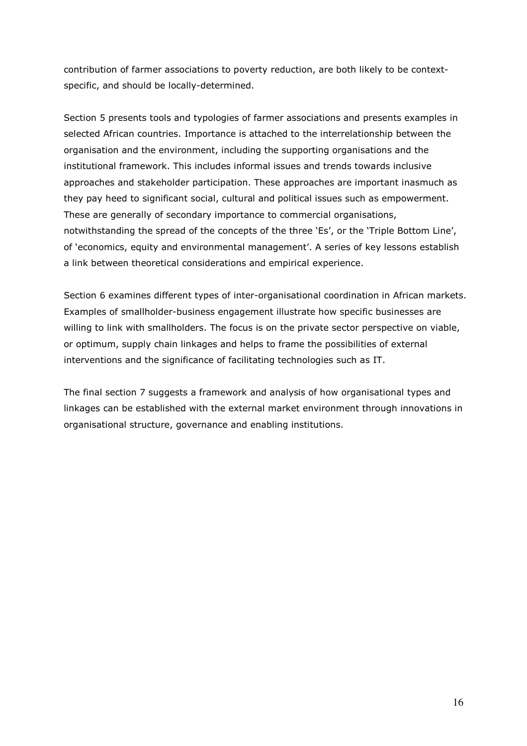contribution of farmer associations to poverty reduction, are both likely to be contextspecific, and should be locally-determined.

Section 5 presents tools and typologies of farmer associations and presents examples in selected African countries. Importance is attached to the interrelationship between the organisation and the environment, including the supporting organisations and the institutional framework. This includes informal issues and trends towards inclusive approaches and stakeholder participation. These approaches are important inasmuch as they pay heed to significant social, cultural and political issues such as empowerment. These are generally of secondary importance to commercial organisations, notwithstanding the spread of the concepts of the three 'Es', or the 'Triple Bottom Line', of 'economics, equity and environmental management'. A series of key lessons establish a link between theoretical considerations and empirical experience.

Section 6 examines different types of inter-organisational coordination in African markets. Examples of smallholder-business engagement illustrate how specific businesses are willing to link with smallholders. The focus is on the private sector perspective on viable, or optimum, supply chain linkages and helps to frame the possibilities of external interventions and the significance of facilitating technologies such as IT.

The final section 7 suggests a framework and analysis of how organisational types and linkages can be established with the external market environment through innovations in organisational structure, governance and enabling institutions.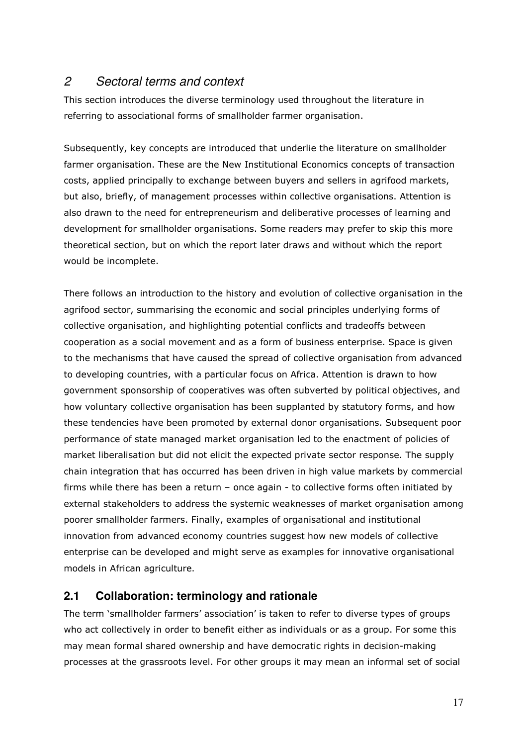## 2 Sectoral terms and context

This section introduces the diverse terminology used throughout the literature in referring to associational forms of smallholder farmer organisation.

Subsequently, key concepts are introduced that underlie the literature on smallholder farmer organisation. These are the New Institutional Economics concepts of transaction costs, applied principally to exchange between buyers and sellers in agrifood markets, but also, briefly, of management processes within collective organisations. Attention is also drawn to the need for entrepreneurism and deliberative processes of learning and development for smallholder organisations. Some readers may prefer to skip this more theoretical section, but on which the report later draws and without which the report would be incomplete.

There follows an introduction to the history and evolution of collective organisation in the agrifood sector, summarising the economic and social principles underlying forms of collective organisation, and highlighting potential conflicts and tradeoffs between cooperation as a social movement and as a form of business enterprise. Space is given to the mechanisms that have caused the spread of collective organisation from advanced to developing countries, with a particular focus on Africa. Attention is drawn to how government sponsorship of cooperatives was often subverted by political objectives, and how voluntary collective organisation has been supplanted by statutory forms, and how these tendencies have been promoted by external donor organisations. Subsequent poor performance of state managed market organisation led to the enactment of policies of market liberalisation but did not elicit the expected private sector response. The supply chain integration that has occurred has been driven in high value markets by commercial firms while there has been a return – once again - to collective forms often initiated by external stakeholders to address the systemic weaknesses of market organisation among poorer smallholder farmers. Finally, examples of organisational and institutional innovation from advanced economy countries suggest how new models of collective enterprise can be developed and might serve as examples for innovative organisational models in African agriculture.

## **2.1 Collaboration: terminology and rationale**

The term 'smallholder farmers' association' is taken to refer to diverse types of groups who act collectively in order to benefit either as individuals or as a group. For some this may mean formal shared ownership and have democratic rights in decision-making processes at the grassroots level. For other groups it may mean an informal set of social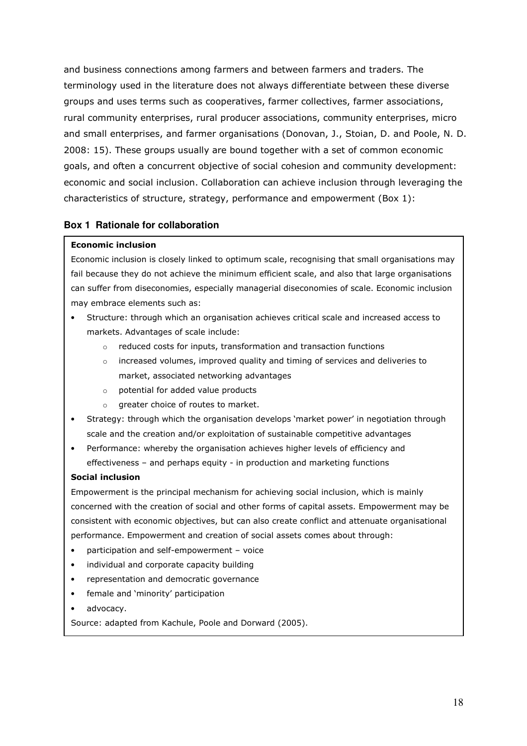and business connections among farmers and between farmers and traders. The terminology used in the literature does not always differentiate between these diverse groups and uses terms such as cooperatives, farmer collectives, farmer associations, rural community enterprises, rural producer associations, community enterprises, micro and small enterprises, and farmer organisations (Donovan, J., Stoian, D. and Poole, N. D. 2008: 15). These groups usually are bound together with a set of common economic goals, and often a concurrent objective of social cohesion and community development: economic and social inclusion. Collaboration can achieve inclusion through leveraging the characteristics of structure, strategy, performance and empowerment (Box 1):

### **Box 1 Rationale for collaboration**

#### Economic inclusion

Economic inclusion is closely linked to optimum scale, recognising that small organisations may fail because they do not achieve the minimum efficient scale, and also that large organisations can suffer from diseconomies, especially managerial diseconomies of scale. Economic inclusion may embrace elements such as:

- Structure: through which an organisation achieves critical scale and increased access to markets. Advantages of scale include:
	- o reduced costs for inputs, transformation and transaction functions
	- o increased volumes, improved quality and timing of services and deliveries to market, associated networking advantages
	- o potential for added value products
	- o greater choice of routes to market.
- Strategy: through which the organisation develops 'market power' in negotiation through scale and the creation and/or exploitation of sustainable competitive advantages
- Performance: whereby the organisation achieves higher levels of efficiency and effectiveness – and perhaps equity - in production and marketing functions

#### Social inclusion

Empowerment is the principal mechanism for achieving social inclusion, which is mainly concerned with the creation of social and other forms of capital assets. Empowerment may be consistent with economic objectives, but can also create conflict and attenuate organisational performance. Empowerment and creation of social assets comes about through:

- participation and self-empowerment voice
- individual and corporate capacity building
- representation and democratic governance
- female and 'minority' participation
- advocacy.

Source: adapted from Kachule, Poole and Dorward (2005).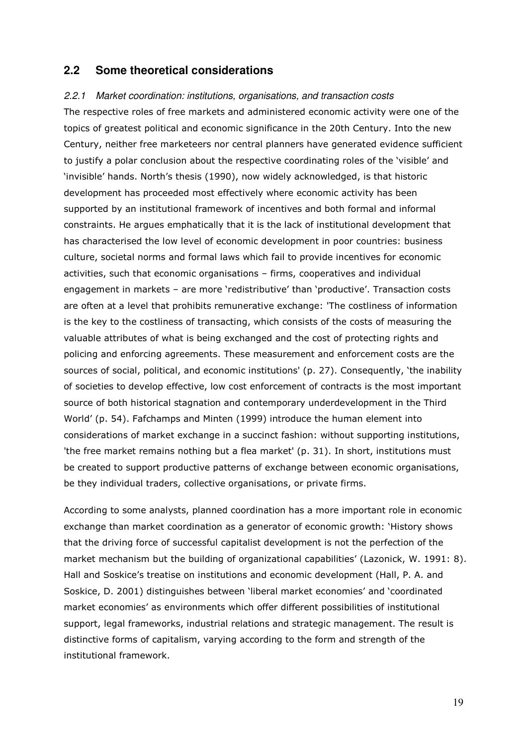#### **2.2 Some theoretical considerations**

#### 2.2.1 Market coordination: institutions, organisations, and transaction costs

The respective roles of free markets and administered economic activity were one of the topics of greatest political and economic significance in the 20th Century. Into the new Century, neither free marketeers nor central planners have generated evidence sufficient to justify a polar conclusion about the respective coordinating roles of the 'visible' and 'invisible' hands. North's thesis (1990), now widely acknowledged, is that historic development has proceeded most effectively where economic activity has been supported by an institutional framework of incentives and both formal and informal constraints. He argues emphatically that it is the lack of institutional development that has characterised the low level of economic development in poor countries: business culture, societal norms and formal laws which fail to provide incentives for economic activities, such that economic organisations – firms, cooperatives and individual engagement in markets – are more 'redistributive' than 'productive'. Transaction costs are often at a level that prohibits remunerative exchange: 'The costliness of information is the key to the costliness of transacting, which consists of the costs of measuring the valuable attributes of what is being exchanged and the cost of protecting rights and policing and enforcing agreements. These measurement and enforcement costs are the sources of social, political, and economic institutions' (p. 27). Consequently, 'the inability of societies to develop effective, low cost enforcement of contracts is the most important source of both historical stagnation and contemporary underdevelopment in the Third World' (p. 54). Fafchamps and Minten (1999) introduce the human element into considerations of market exchange in a succinct fashion: without supporting institutions, 'the free market remains nothing but a flea market' (p. 31). In short, institutions must be created to support productive patterns of exchange between economic organisations, be they individual traders, collective organisations, or private firms.

According to some analysts, planned coordination has a more important role in economic exchange than market coordination as a generator of economic growth: 'History shows that the driving force of successful capitalist development is not the perfection of the market mechanism but the building of organizational capabilities' (Lazonick, W. 1991: 8). Hall and Soskice's treatise on institutions and economic development (Hall, P. A. and Soskice, D. 2001) distinguishes between 'liberal market economies' and 'coordinated market economies' as environments which offer different possibilities of institutional support, legal frameworks, industrial relations and strategic management. The result is distinctive forms of capitalism, varying according to the form and strength of the institutional framework.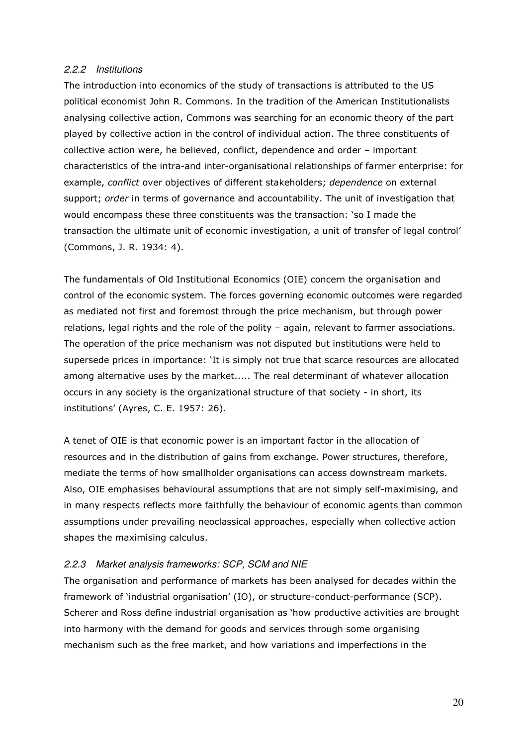#### 2.2.2 Institutions

The introduction into economics of the study of transactions is attributed to the US political economist John R. Commons. In the tradition of the American Institutionalists analysing collective action, Commons was searching for an economic theory of the part played by collective action in the control of individual action. The three constituents of collective action were, he believed, conflict, dependence and order – important characteristics of the intra-and inter-organisational relationships of farmer enterprise: for example, conflict over objectives of different stakeholders; dependence on external support; order in terms of governance and accountability. The unit of investigation that would encompass these three constituents was the transaction: 'so I made the transaction the ultimate unit of economic investigation, a unit of transfer of legal control' (Commons, J. R. 1934: 4).

The fundamentals of Old Institutional Economics (OIE) concern the organisation and control of the economic system. The forces governing economic outcomes were regarded as mediated not first and foremost through the price mechanism, but through power relations, legal rights and the role of the polity – again, relevant to farmer associations. The operation of the price mechanism was not disputed but institutions were held to supersede prices in importance: 'It is simply not true that scarce resources are allocated among alternative uses by the market..... The real determinant of whatever allocation occurs in any society is the organizational structure of that society - in short, its institutions' (Ayres, C. E. 1957: 26).

A tenet of OIE is that economic power is an important factor in the allocation of resources and in the distribution of gains from exchange. Power structures, therefore, mediate the terms of how smallholder organisations can access downstream markets. Also, OIE emphasises behavioural assumptions that are not simply self-maximising, and in many respects reflects more faithfully the behaviour of economic agents than common assumptions under prevailing neoclassical approaches, especially when collective action shapes the maximising calculus.

## 2.2.3 Market analysis frameworks: SCP, SCM and NIE

The organisation and performance of markets has been analysed for decades within the framework of 'industrial organisation' (IO), or structure-conduct-performance (SCP). Scherer and Ross define industrial organisation as 'how productive activities are brought into harmony with the demand for goods and services through some organising mechanism such as the free market, and how variations and imperfections in the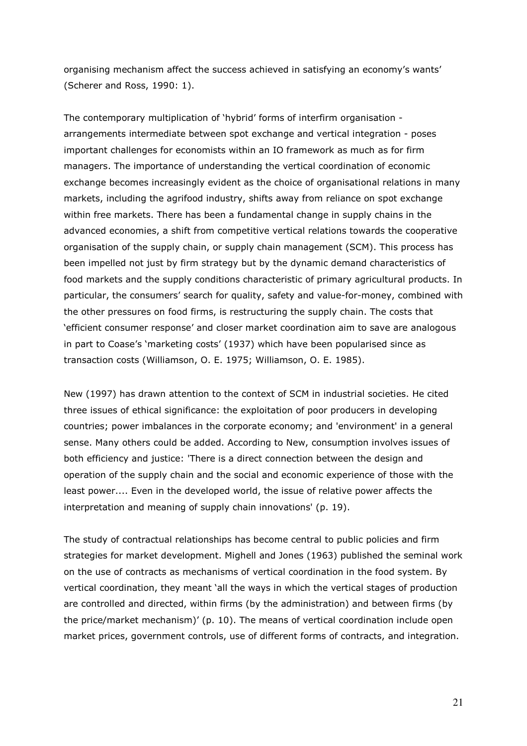organising mechanism affect the success achieved in satisfying an economy's wants' (Scherer and Ross, 1990: 1).

The contemporary multiplication of 'hybrid' forms of interfirm organisation arrangements intermediate between spot exchange and vertical integration - poses important challenges for economists within an IO framework as much as for firm managers. The importance of understanding the vertical coordination of economic exchange becomes increasingly evident as the choice of organisational relations in many markets, including the agrifood industry, shifts away from reliance on spot exchange within free markets. There has been a fundamental change in supply chains in the advanced economies, a shift from competitive vertical relations towards the cooperative organisation of the supply chain, or supply chain management (SCM). This process has been impelled not just by firm strategy but by the dynamic demand characteristics of food markets and the supply conditions characteristic of primary agricultural products. In particular, the consumers' search for quality, safety and value-for-money, combined with the other pressures on food firms, is restructuring the supply chain. The costs that 'efficient consumer response' and closer market coordination aim to save are analogous in part to Coase's 'marketing costs' (1937) which have been popularised since as transaction costs (Williamson, O. E. 1975; Williamson, O. E. 1985).

New (1997) has drawn attention to the context of SCM in industrial societies. He cited three issues of ethical significance: the exploitation of poor producers in developing countries; power imbalances in the corporate economy; and 'environment' in a general sense. Many others could be added. According to New, consumption involves issues of both efficiency and justice: 'There is a direct connection between the design and operation of the supply chain and the social and economic experience of those with the least power.... Even in the developed world, the issue of relative power affects the interpretation and meaning of supply chain innovations' (p. 19).

The study of contractual relationships has become central to public policies and firm strategies for market development. Mighell and Jones (1963) published the seminal work on the use of contracts as mechanisms of vertical coordination in the food system. By vertical coordination, they meant 'all the ways in which the vertical stages of production are controlled and directed, within firms (by the administration) and between firms (by the price/market mechanism)' (p. 10). The means of vertical coordination include open market prices, government controls, use of different forms of contracts, and integration.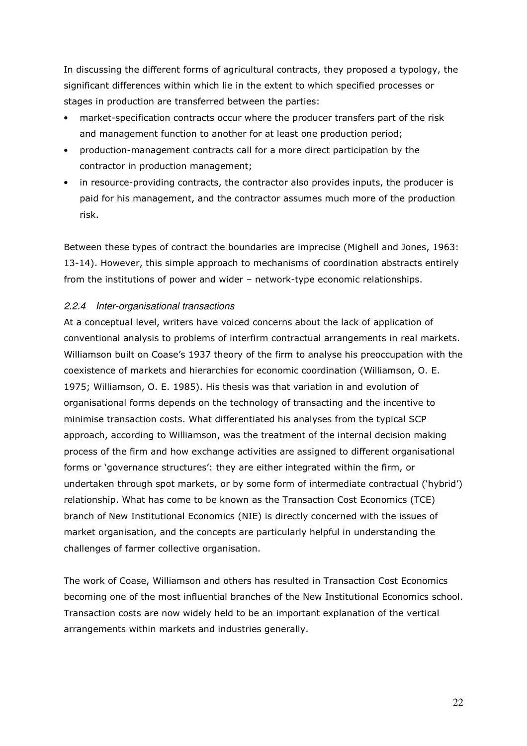In discussing the different forms of agricultural contracts, they proposed a typology, the significant differences within which lie in the extent to which specified processes or stages in production are transferred between the parties:

- market-specification contracts occur where the producer transfers part of the risk and management function to another for at least one production period;
- production-management contracts call for a more direct participation by the contractor in production management;
- in resource-providing contracts, the contractor also provides inputs, the producer is paid for his management, and the contractor assumes much more of the production risk.

Between these types of contract the boundaries are imprecise (Mighell and Jones, 1963: 13-14). However, this simple approach to mechanisms of coordination abstracts entirely from the institutions of power and wider – network-type economic relationships.

### 2.2.4 Inter-organisational transactions

At a conceptual level, writers have voiced concerns about the lack of application of conventional analysis to problems of interfirm contractual arrangements in real markets. Williamson built on Coase's 1937 theory of the firm to analyse his preoccupation with the coexistence of markets and hierarchies for economic coordination (Williamson, O. E. 1975; Williamson, O. E. 1985). His thesis was that variation in and evolution of organisational forms depends on the technology of transacting and the incentive to minimise transaction costs. What differentiated his analyses from the typical SCP approach, according to Williamson, was the treatment of the internal decision making process of the firm and how exchange activities are assigned to different organisational forms or 'governance structures': they are either integrated within the firm, or undertaken through spot markets, or by some form of intermediate contractual ('hybrid') relationship. What has come to be known as the Transaction Cost Economics (TCE) branch of New Institutional Economics (NIE) is directly concerned with the issues of market organisation, and the concepts are particularly helpful in understanding the challenges of farmer collective organisation.

The work of Coase, Williamson and others has resulted in Transaction Cost Economics becoming one of the most influential branches of the New Institutional Economics school. Transaction costs are now widely held to be an important explanation of the vertical arrangements within markets and industries generally.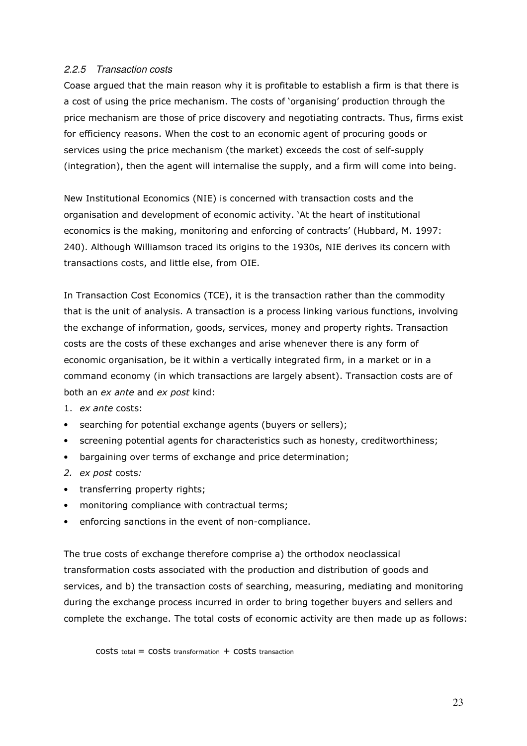### 2.2.5 Transaction costs

Coase argued that the main reason why it is profitable to establish a firm is that there is a cost of using the price mechanism. The costs of 'organising' production through the price mechanism are those of price discovery and negotiating contracts. Thus, firms exist for efficiency reasons. When the cost to an economic agent of procuring goods or services using the price mechanism (the market) exceeds the cost of self-supply (integration), then the agent will internalise the supply, and a firm will come into being.

New Institutional Economics (NIE) is concerned with transaction costs and the organisation and development of economic activity. 'At the heart of institutional economics is the making, monitoring and enforcing of contracts' (Hubbard, M. 1997: 240). Although Williamson traced its origins to the 1930s, NIE derives its concern with transactions costs, and little else, from OIE.

In Transaction Cost Economics (TCE), it is the transaction rather than the commodity that is the unit of analysis. A transaction is a process linking various functions, involving the exchange of information, goods, services, money and property rights. Transaction costs are the costs of these exchanges and arise whenever there is any form of economic organisation, be it within a vertically integrated firm, in a market or in a command economy (in which transactions are largely absent). Transaction costs are of both an ex ante and ex post kind:

- 1. ex ante costs:
- searching for potential exchange agents (buyers or sellers);
- screening potential agents for characteristics such as honesty, creditworthiness;
- bargaining over terms of exchange and price determination;
- 2. ex post costs:
- transferring property rights;
- monitoring compliance with contractual terms;
- enforcing sanctions in the event of non-compliance.

The true costs of exchange therefore comprise a) the orthodox neoclassical transformation costs associated with the production and distribution of goods and services, and b) the transaction costs of searching, measuring, mediating and monitoring during the exchange process incurred in order to bring together buyers and sellers and complete the exchange. The total costs of economic activity are then made up as follows:

 $costs$  total =  $costs$  transformation +  $costs$  transaction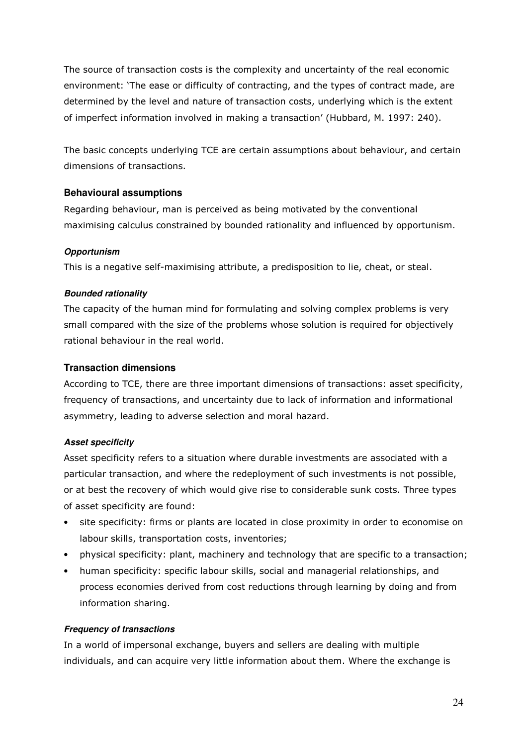The source of transaction costs is the complexity and uncertainty of the real economic environment: 'The ease or difficulty of contracting, and the types of contract made, are determined by the level and nature of transaction costs, underlying which is the extent of imperfect information involved in making a transaction' (Hubbard, M. 1997: 240).

The basic concepts underlying TCE are certain assumptions about behaviour, and certain dimensions of transactions.

### **Behavioural assumptions**

Regarding behaviour, man is perceived as being motivated by the conventional maximising calculus constrained by bounded rationality and influenced by opportunism.

### **Opportunism**

This is a negative self-maximising attribute, a predisposition to lie, cheat, or steal.

### **Bounded rationality**

The capacity of the human mind for formulating and solving complex problems is very small compared with the size of the problems whose solution is required for objectively rational behaviour in the real world.

### **Transaction dimensions**

According to TCE, there are three important dimensions of transactions: asset specificity, frequency of transactions, and uncertainty due to lack of information and informational asymmetry, leading to adverse selection and moral hazard.

## **Asset specificity**

Asset specificity refers to a situation where durable investments are associated with a particular transaction, and where the redeployment of such investments is not possible, or at best the recovery of which would give rise to considerable sunk costs. Three types of asset specificity are found:

- site specificity: firms or plants are located in close proximity in order to economise on labour skills, transportation costs, inventories;
- physical specificity: plant, machinery and technology that are specific to a transaction;
- human specificity: specific labour skills, social and managerial relationships, and process economies derived from cost reductions through learning by doing and from information sharing.

#### **Frequency of transactions**

In a world of impersonal exchange, buyers and sellers are dealing with multiple individuals, and can acquire very little information about them. Where the exchange is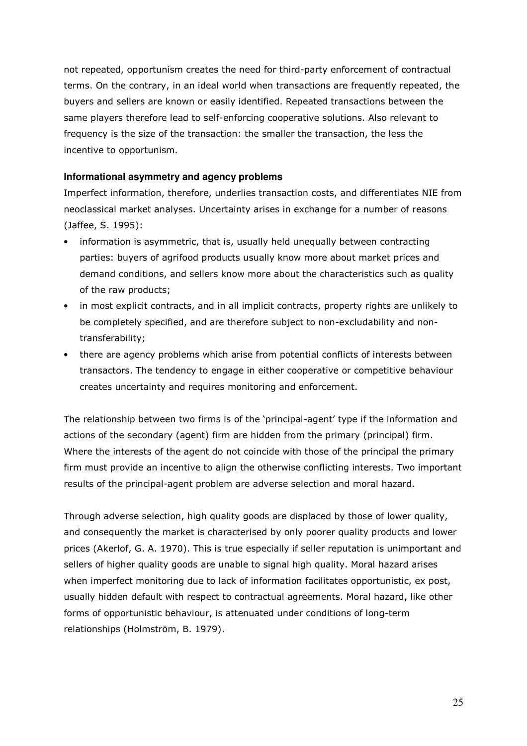not repeated, opportunism creates the need for third-party enforcement of contractual terms. On the contrary, in an ideal world when transactions are frequently repeated, the buyers and sellers are known or easily identified. Repeated transactions between the same players therefore lead to self-enforcing cooperative solutions. Also relevant to frequency is the size of the transaction: the smaller the transaction, the less the incentive to opportunism.

### **Informational asymmetry and agency problems**

Imperfect information, therefore, underlies transaction costs, and differentiates NIE from neoclassical market analyses. Uncertainty arises in exchange for a number of reasons (Jaffee, S. 1995):

- information is asymmetric, that is, usually held unequally between contracting parties: buyers of agrifood products usually know more about market prices and demand conditions, and sellers know more about the characteristics such as quality of the raw products;
- in most explicit contracts, and in all implicit contracts, property rights are unlikely to be completely specified, and are therefore subject to non-excludability and nontransferability;
- there are agency problems which arise from potential conflicts of interests between transactors. The tendency to engage in either cooperative or competitive behaviour creates uncertainty and requires monitoring and enforcement.

The relationship between two firms is of the 'principal-agent' type if the information and actions of the secondary (agent) firm are hidden from the primary (principal) firm. Where the interests of the agent do not coincide with those of the principal the primary firm must provide an incentive to align the otherwise conflicting interests. Two important results of the principal-agent problem are adverse selection and moral hazard.

Through adverse selection, high quality goods are displaced by those of lower quality, and consequently the market is characterised by only poorer quality products and lower prices (Akerlof, G. A. 1970). This is true especially if seller reputation is unimportant and sellers of higher quality goods are unable to signal high quality. Moral hazard arises when imperfect monitoring due to lack of information facilitates opportunistic, ex post, usually hidden default with respect to contractual agreements. Moral hazard, like other forms of opportunistic behaviour, is attenuated under conditions of long-term relationships (Holmström, B. 1979).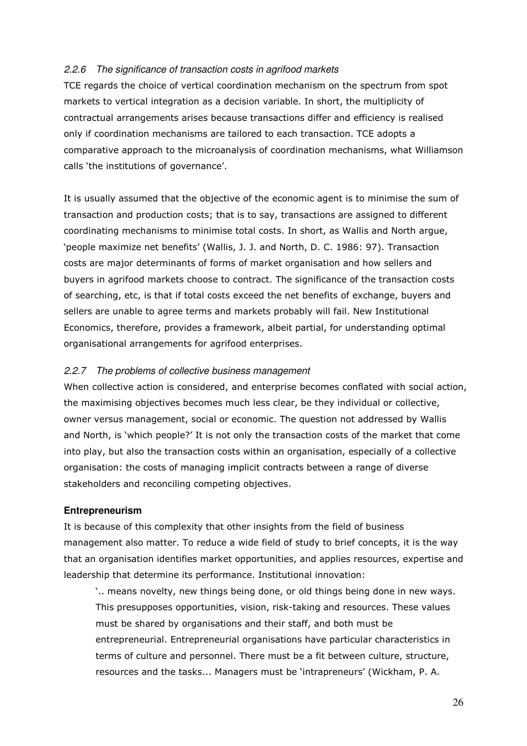#### 2.2.6 The significance of transaction costs in agrifood markets

TCE regards the choice of vertical coordination mechanism on the spectrum from spot markets to vertical integration as a decision variable. In short, the multiplicity of contractual arrangements arises because transactions differ and efficiency is realised only if coordination mechanisms are tailored to each transaction. TCE adopts a comparative approach to the microanalysis of coordination mechanisms, what Williamson calls 'the institutions of governance'.

It is usually assumed that the objective of the economic agent is to minimise the sum of transaction and production costs; that is to say, transactions are assigned to different coordinating mechanisms to minimise total costs. In short, as Wallis and North argue, 'people maximize net benefits' (Wallis, J. J. and North, D. C. 1986: 97). Transaction costs are major determinants of forms of market organisation and how sellers and buyers in agrifood markets choose to contract. The significance of the transaction costs of searching, etc, is that if total costs exceed the net benefits of exchange, buyers and sellers are unable to agree terms and markets probably will fail. New Institutional Economics, therefore, provides a framework, albeit partial, for understanding optimal organisational arrangements for agrifood enterprises.

#### 2.2.7 The problems of collective business management

When collective action is considered, and enterprise becomes conflated with social action, the maximising objectives becomes much less clear, be they individual or collective, owner versus management, social or economic. The question not addressed by Wallis and North, is 'which people?' It is not only the transaction costs of the market that come into play, but also the transaction costs within an organisation, especially of a collective organisation: the costs of managing implicit contracts between a range of diverse stakeholders and reconciling competing objectives.

#### **Entrepreneurism**

It is because of this complexity that other insights from the field of business management also matter. To reduce a wide field of study to brief concepts, it is the way that an organisation identifies market opportunities, and applies resources, expertise and leadership that determine its performance. Institutional innovation:

'.. means novelty, new things being done, or old things being done in new ways. This presupposes opportunities, vision, risk-taking and resources. These values must be shared by organisations and their staff, and both must be entrepreneurial. Entrepreneurial organisations have particular characteristics in terms of culture and personnel. There must be a fit between culture, structure, resources and the tasks... Managers must be 'intrapreneurs' (Wickham, P. A.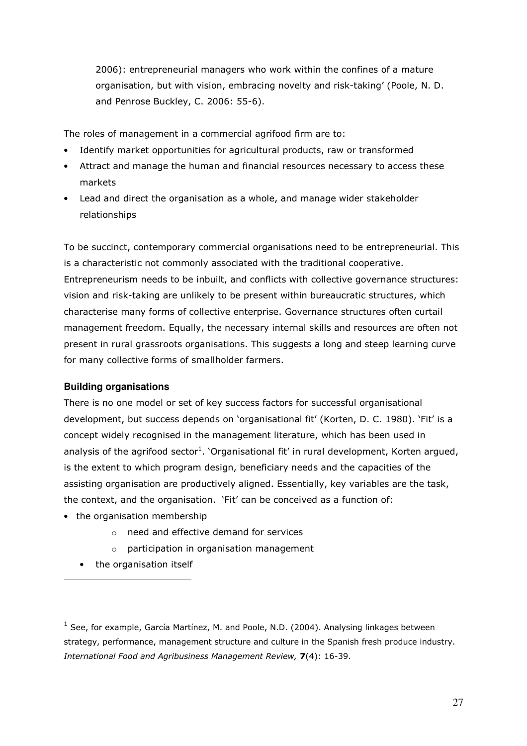2006): entrepreneurial managers who work within the confines of a mature organisation, but with vision, embracing novelty and risk-taking' (Poole, N. D. and Penrose Buckley, C. 2006: 55-6).

The roles of management in a commercial agrifood firm are to:

- Identify market opportunities for agricultural products, raw or transformed
- Attract and manage the human and financial resources necessary to access these markets
- Lead and direct the organisation as a whole, and manage wider stakeholder relationships

To be succinct, contemporary commercial organisations need to be entrepreneurial. This is a characteristic not commonly associated with the traditional cooperative. Entrepreneurism needs to be inbuilt, and conflicts with collective governance structures: vision and risk-taking are unlikely to be present within bureaucratic structures, which characterise many forms of collective enterprise. Governance structures often curtail management freedom. Equally, the necessary internal skills and resources are often not present in rural grassroots organisations. This suggests a long and steep learning curve for many collective forms of smallholder farmers.

#### **Building organisations**

There is no one model or set of key success factors for successful organisational development, but success depends on 'organisational fit' (Korten, D. C. 1980). 'Fit' is a concept widely recognised in the management literature, which has been used in analysis of the agrifood sector<sup>1</sup>. `Organisational fit' in rural development, Korten argued, is the extent to which program design, beneficiary needs and the capacities of the assisting organisation are productively aligned. Essentially, key variables are the task, the context, and the organisation. 'Fit' can be conceived as a function of:

- the organisation membership
	- o need and effective demand for services
	- $\circ$  participation in organisation management
	- the organisation itself

l

 $<sup>1</sup>$  See, for example, García Martínez, M. and Poole, N.D. (2004). Analysing linkages between</sup> strategy, performance, management structure and culture in the Spanish fresh produce industry. International Food and Agribusiness Management Review, 7(4): 16-39.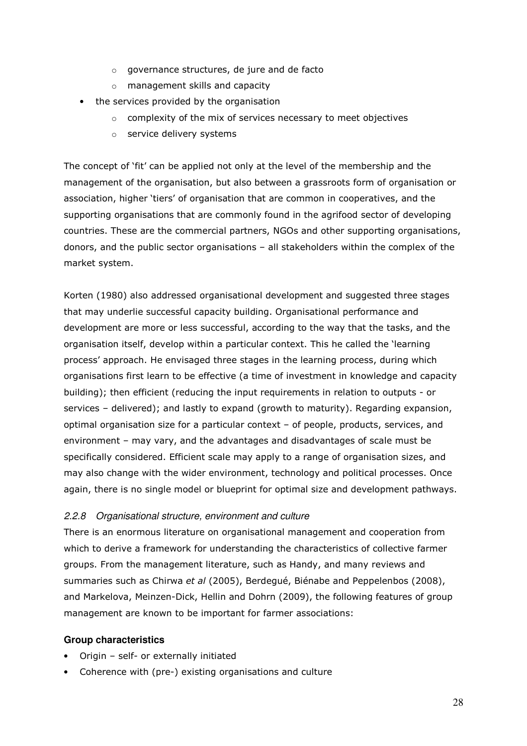- o governance structures, de jure and de facto
- o management skills and capacity
- the services provided by the organisation
	- o complexity of the mix of services necessary to meet objectives
	- o service delivery systems

The concept of 'fit' can be applied not only at the level of the membership and the management of the organisation, but also between a grassroots form of organisation or association, higher 'tiers' of organisation that are common in cooperatives, and the supporting organisations that are commonly found in the agrifood sector of developing countries. These are the commercial partners, NGOs and other supporting organisations, donors, and the public sector organisations – all stakeholders within the complex of the market system.

Korten (1980) also addressed organisational development and suggested three stages that may underlie successful capacity building. Organisational performance and development are more or less successful, according to the way that the tasks, and the organisation itself, develop within a particular context. This he called the 'learning process' approach. He envisaged three stages in the learning process, during which organisations first learn to be effective (a time of investment in knowledge and capacity building); then efficient (reducing the input requirements in relation to outputs - or services – delivered); and lastly to expand (growth to maturity). Regarding expansion, optimal organisation size for a particular context – of people, products, services, and environment – may vary, and the advantages and disadvantages of scale must be specifically considered. Efficient scale may apply to a range of organisation sizes, and may also change with the wider environment, technology and political processes. Once again, there is no single model or blueprint for optimal size and development pathways.

## 2.2.8 Organisational structure, environment and culture

There is an enormous literature on organisational management and cooperation from which to derive a framework for understanding the characteristics of collective farmer groups. From the management literature, such as Handy, and many reviews and summaries such as Chirwa et al (2005), Berdegué, Biénabe and Peppelenbos (2008), and Markelova, Meinzen-Dick, Hellin and Dohrn (2009), the following features of group management are known to be important for farmer associations:

## **Group characteristics**

- Origin self- or externally initiated
- Coherence with (pre-) existing organisations and culture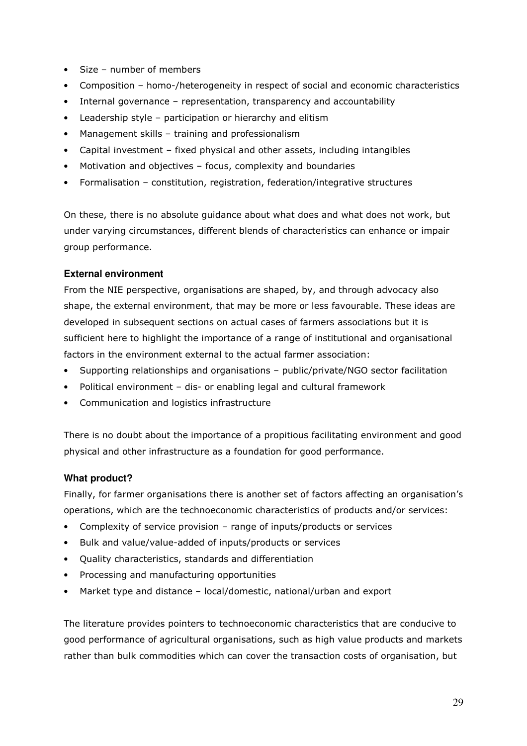- Size number of members
- Composition homo-/heterogeneity in respect of social and economic characteristics
- Internal governance representation, transparency and accountability
- Leadership style participation or hierarchy and elitism
- Management skills training and professionalism
- Capital investment fixed physical and other assets, including intangibles
- Motivation and objectives focus, complexity and boundaries
- Formalisation constitution, registration, federation/integrative structures

On these, there is no absolute guidance about what does and what does not work, but under varying circumstances, different blends of characteristics can enhance or impair group performance.

#### **External environment**

From the NIE perspective, organisations are shaped, by, and through advocacy also shape, the external environment, that may be more or less favourable. These ideas are developed in subsequent sections on actual cases of farmers associations but it is sufficient here to highlight the importance of a range of institutional and organisational factors in the environment external to the actual farmer association:

- Supporting relationships and organisations public/private/NGO sector facilitation
- Political environment dis- or enabling legal and cultural framework
- Communication and logistics infrastructure

There is no doubt about the importance of a propitious facilitating environment and good physical and other infrastructure as a foundation for good performance.

## **What product?**

Finally, for farmer organisations there is another set of factors affecting an organisation's operations, which are the technoeconomic characteristics of products and/or services:

- Complexity of service provision range of inputs/products or services
- Bulk and value/value-added of inputs/products or services
- Quality characteristics, standards and differentiation
- Processing and manufacturing opportunities
- Market type and distance local/domestic, national/urban and export

The literature provides pointers to technoeconomic characteristics that are conducive to good performance of agricultural organisations, such as high value products and markets rather than bulk commodities which can cover the transaction costs of organisation, but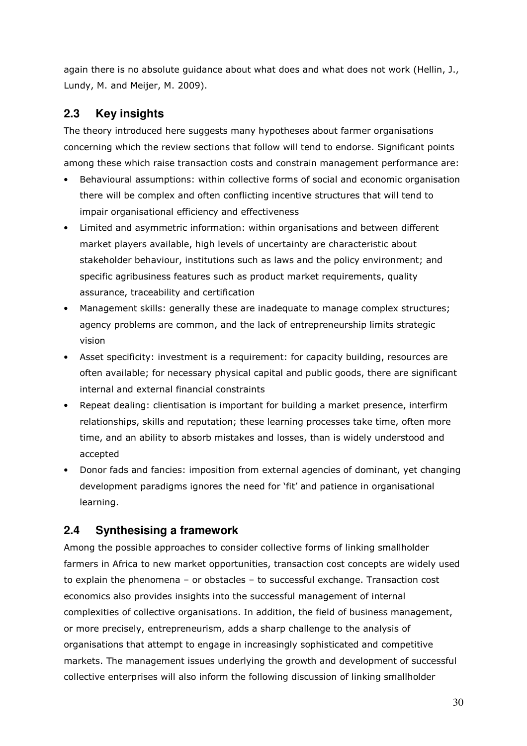again there is no absolute guidance about what does and what does not work (Hellin, J., Lundy, M. and Meijer, M. 2009).

## **2.3 Key insights**

The theory introduced here suggests many hypotheses about farmer organisations concerning which the review sections that follow will tend to endorse. Significant points among these which raise transaction costs and constrain management performance are:

- Behavioural assumptions: within collective forms of social and economic organisation there will be complex and often conflicting incentive structures that will tend to impair organisational efficiency and effectiveness
- Limited and asymmetric information: within organisations and between different market players available, high levels of uncertainty are characteristic about stakeholder behaviour, institutions such as laws and the policy environment; and specific agribusiness features such as product market requirements, quality assurance, traceability and certification
- Management skills: generally these are inadequate to manage complex structures; agency problems are common, and the lack of entrepreneurship limits strategic vision
- Asset specificity: investment is a requirement: for capacity building, resources are often available; for necessary physical capital and public goods, there are significant internal and external financial constraints
- Repeat dealing: clientisation is important for building a market presence, interfirm relationships, skills and reputation; these learning processes take time, often more time, and an ability to absorb mistakes and losses, than is widely understood and accepted
- Donor fads and fancies: imposition from external agencies of dominant, yet changing development paradigms ignores the need for 'fit' and patience in organisational learning.

## **2.4 Synthesising a framework**

Among the possible approaches to consider collective forms of linking smallholder farmers in Africa to new market opportunities, transaction cost concepts are widely used to explain the phenomena – or obstacles – to successful exchange. Transaction cost economics also provides insights into the successful management of internal complexities of collective organisations. In addition, the field of business management, or more precisely, entrepreneurism, adds a sharp challenge to the analysis of organisations that attempt to engage in increasingly sophisticated and competitive markets. The management issues underlying the growth and development of successful collective enterprises will also inform the following discussion of linking smallholder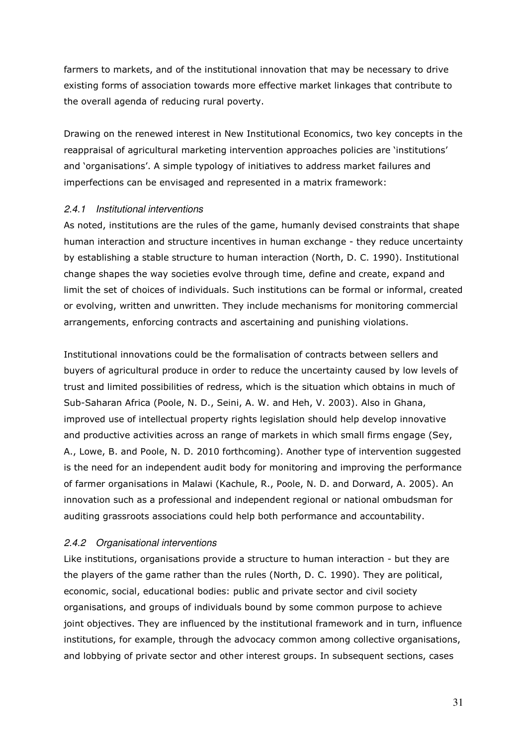farmers to markets, and of the institutional innovation that may be necessary to drive existing forms of association towards more effective market linkages that contribute to the overall agenda of reducing rural poverty.

Drawing on the renewed interest in New Institutional Economics, two key concepts in the reappraisal of agricultural marketing intervention approaches policies are 'institutions' and 'organisations'. A simple typology of initiatives to address market failures and imperfections can be envisaged and represented in a matrix framework:

### 2.4.1 Institutional interventions

As noted, institutions are the rules of the game, humanly devised constraints that shape human interaction and structure incentives in human exchange - they reduce uncertainty by establishing a stable structure to human interaction (North, D. C. 1990). Institutional change shapes the way societies evolve through time, define and create, expand and limit the set of choices of individuals. Such institutions can be formal or informal, created or evolving, written and unwritten. They include mechanisms for monitoring commercial arrangements, enforcing contracts and ascertaining and punishing violations.

Institutional innovations could be the formalisation of contracts between sellers and buyers of agricultural produce in order to reduce the uncertainty caused by low levels of trust and limited possibilities of redress, which is the situation which obtains in much of Sub-Saharan Africa (Poole, N. D., Seini, A. W. and Heh, V. 2003). Also in Ghana, improved use of intellectual property rights legislation should help develop innovative and productive activities across an range of markets in which small firms engage (Sey, A., Lowe, B. and Poole, N. D. 2010 forthcoming). Another type of intervention suggested is the need for an independent audit body for monitoring and improving the performance of farmer organisations in Malawi (Kachule, R., Poole, N. D. and Dorward, A. 2005). An innovation such as a professional and independent regional or national ombudsman for auditing grassroots associations could help both performance and accountability.

## 2.4.2 Organisational interventions

Like institutions, organisations provide a structure to human interaction - but they are the players of the game rather than the rules (North, D. C. 1990). They are political, economic, social, educational bodies: public and private sector and civil society organisations, and groups of individuals bound by some common purpose to achieve joint objectives. They are influenced by the institutional framework and in turn, influence institutions, for example, through the advocacy common among collective organisations, and lobbying of private sector and other interest groups. In subsequent sections, cases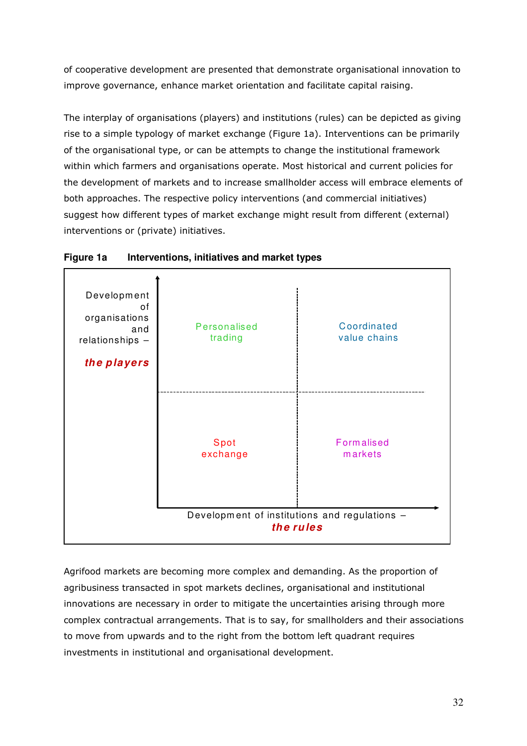of cooperative development are presented that demonstrate organisational innovation to improve governance, enhance market orientation and facilitate capital raising.

The interplay of organisations (players) and institutions (rules) can be depicted as giving rise to a simple typology of market exchange (Figure 1a). Interventions can be primarily of the organisational type, or can be attempts to change the institutional framework within which farmers and organisations operate. Most historical and current policies for the development of markets and to increase smallholder access will embrace elements of both approaches. The respective policy interventions (and commercial initiatives) suggest how different types of market exchange might result from different (external) interventions or (private) initiatives.





Agrifood markets are becoming more complex and demanding. As the proportion of agribusiness transacted in spot markets declines, organisational and institutional innovations are necessary in order to mitigate the uncertainties arising through more complex contractual arrangements. That is to say, for smallholders and their associations to move from upwards and to the right from the bottom left quadrant requires investments in institutional and organisational development.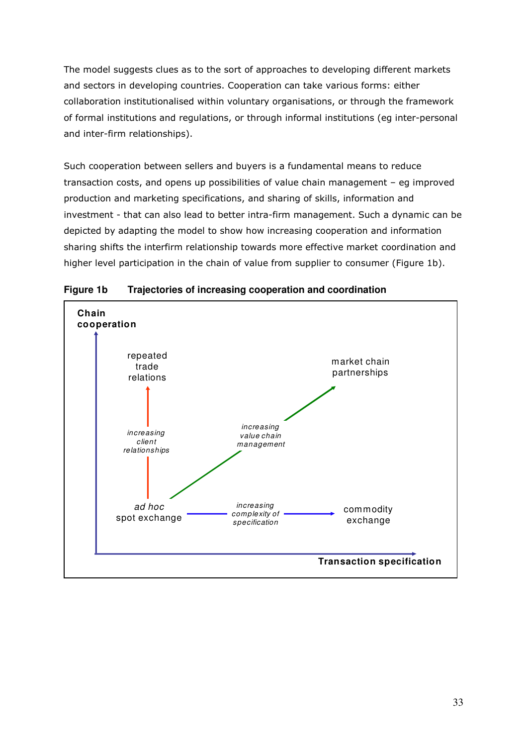The model suggests clues as to the sort of approaches to developing different markets and sectors in developing countries. Cooperation can take various forms: either collaboration institutionalised within voluntary organisations, or through the framework of formal institutions and regulations, or through informal institutions (eg inter-personal and inter-firm relationships).

Such cooperation between sellers and buyers is a fundamental means to reduce transaction costs, and opens up possibilities of value chain management – eg improved production and marketing specifications, and sharing of skills, information and investment - that can also lead to better intra-firm management. Such a dynamic can be depicted by adapting the model to show how increasing cooperation and information sharing shifts the interfirm relationship towards more effective market coordination and higher level participation in the chain of value from supplier to consumer (Figure 1b).



#### **Figure 1b Trajectories of increasing cooperation and coordination**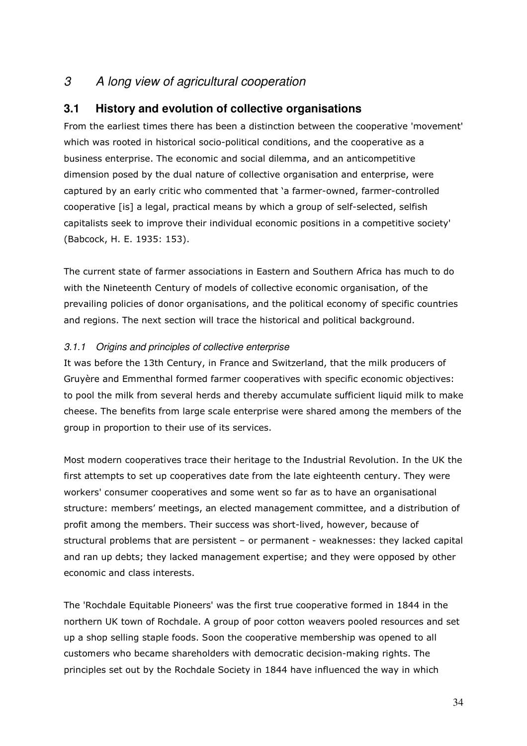## 3 A long view of agricultural cooperation

## **3.1 History and evolution of collective organisations**

From the earliest times there has been a distinction between the cooperative 'movement' which was rooted in historical socio-political conditions, and the cooperative as a business enterprise. The economic and social dilemma, and an anticompetitive dimension posed by the dual nature of collective organisation and enterprise, were captured by an early critic who commented that 'a farmer-owned, farmer-controlled cooperative [is] a legal, practical means by which a group of self-selected, selfish capitalists seek to improve their individual economic positions in a competitive society' (Babcock, H. E. 1935: 153).

The current state of farmer associations in Eastern and Southern Africa has much to do with the Nineteenth Century of models of collective economic organisation, of the prevailing policies of donor organisations, and the political economy of specific countries and regions. The next section will trace the historical and political background.

## 3.1.1 Origins and principles of collective enterprise

It was before the 13th Century, in France and Switzerland, that the milk producers of Gruyère and Emmenthal formed farmer cooperatives with specific economic objectives: to pool the milk from several herds and thereby accumulate sufficient liquid milk to make cheese. The benefits from large scale enterprise were shared among the members of the group in proportion to their use of its services.

Most modern cooperatives trace their heritage to the Industrial Revolution. In the UK the first attempts to set up cooperatives date from the late eighteenth century. They were workers' consumer cooperatives and some went so far as to have an organisational structure: members' meetings, an elected management committee, and a distribution of profit among the members. Their success was short-lived, however, because of structural problems that are persistent – or permanent - weaknesses: they lacked capital and ran up debts; they lacked management expertise; and they were opposed by other economic and class interests.

The 'Rochdale Equitable Pioneers' was the first true cooperative formed in 1844 in the northern UK town of Rochdale. A group of poor cotton weavers pooled resources and set up a shop selling staple foods. Soon the cooperative membership was opened to all customers who became shareholders with democratic decision-making rights. The principles set out by the Rochdale Society in 1844 have influenced the way in which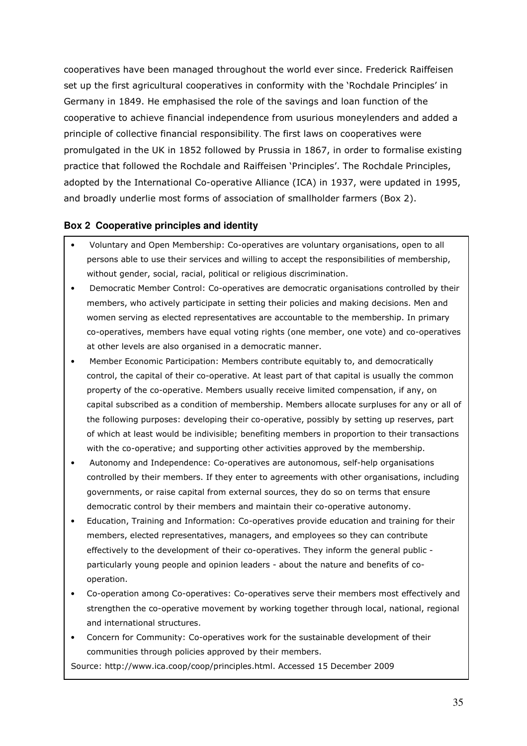cooperatives have been managed throughout the world ever since. Frederick Raiffeisen set up the first agricultural cooperatives in conformity with the 'Rochdale Principles' in Germany in 1849. He emphasised the role of the savings and loan function of the cooperative to achieve financial independence from usurious moneylenders and added a principle of collective financial responsibility. The first laws on cooperatives were promulgated in the UK in 1852 followed by Prussia in 1867, in order to formalise existing practice that followed the Rochdale and Raiffeisen 'Principles'. The Rochdale Principles, adopted by the International Co-operative Alliance (ICA) in 1937, were updated in 1995, and broadly underlie most forms of association of smallholder farmers (Box 2).

#### **Box 2 Cooperative principles and identity**

- Voluntary and Open Membership: Co-operatives are voluntary organisations, open to all persons able to use their services and willing to accept the responsibilities of membership, without gender, social, racial, political or religious discrimination.
- Democratic Member Control: Co-operatives are democratic organisations controlled by their members, who actively participate in setting their policies and making decisions. Men and women serving as elected representatives are accountable to the membership. In primary co-operatives, members have equal voting rights (one member, one vote) and co-operatives at other levels are also organised in a democratic manner.
- Member Economic Participation: Members contribute equitably to, and democratically control, the capital of their co-operative. At least part of that capital is usually the common property of the co-operative. Members usually receive limited compensation, if any, on capital subscribed as a condition of membership. Members allocate surpluses for any or all of the following purposes: developing their co-operative, possibly by setting up reserves, part of which at least would be indivisible; benefiting members in proportion to their transactions with the co-operative; and supporting other activities approved by the membership.
- Autonomy and Independence: Co-operatives are autonomous, self-help organisations controlled by their members. If they enter to agreements with other organisations, including governments, or raise capital from external sources, they do so on terms that ensure democratic control by their members and maintain their co-operative autonomy.
- Education, Training and Information: Co-operatives provide education and training for their members, elected representatives, managers, and employees so they can contribute effectively to the development of their co-operatives. They inform the general public particularly young people and opinion leaders - about the nature and benefits of cooperation.
- Co-operation among Co-operatives: Co-operatives serve their members most effectively and strengthen the co-operative movement by working together through local, national, regional and international structures.
- Concern for Community: Co-operatives work for the sustainable development of their communities through policies approved by their members.

Source: http://www.ica.coop/coop/principles.html. Accessed 15 December 2009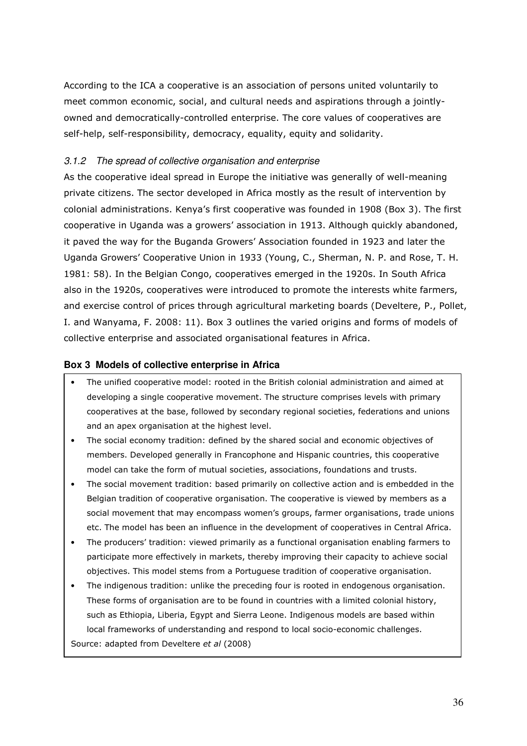According to the ICA a cooperative is an association of persons united voluntarily to meet common economic, social, and cultural needs and aspirations through a jointlyowned and democratically-controlled enterprise. The core values of cooperatives are self-help, self-responsibility, democracy, equality, equity and solidarity.

## 3.1.2 The spread of collective organisation and enterprise

As the cooperative ideal spread in Europe the initiative was generally of well-meaning private citizens. The sector developed in Africa mostly as the result of intervention by colonial administrations. Kenya's first cooperative was founded in 1908 (Box 3). The first cooperative in Uganda was a growers' association in 1913. Although quickly abandoned, it paved the way for the Buganda Growers' Association founded in 1923 and later the Uganda Growers' Cooperative Union in 1933 (Young, C., Sherman, N. P. and Rose, T. H. 1981: 58). In the Belgian Congo, cooperatives emerged in the 1920s. In South Africa also in the 1920s, cooperatives were introduced to promote the interests white farmers, and exercise control of prices through agricultural marketing boards (Develtere, P., Pollet, I. and Wanyama, F. 2008: 11). Box 3 outlines the varied origins and forms of models of collective enterprise and associated organisational features in Africa.

### **Box 3 Models of collective enterprise in Africa**

- The unified cooperative model: rooted in the British colonial administration and aimed at developing a single cooperative movement. The structure comprises levels with primary cooperatives at the base, followed by secondary regional societies, federations and unions and an apex organisation at the highest level.
- The social economy tradition: defined by the shared social and economic objectives of members. Developed generally in Francophone and Hispanic countries, this cooperative model can take the form of mutual societies, associations, foundations and trusts.
- The social movement tradition: based primarily on collective action and is embedded in the Belgian tradition of cooperative organisation. The cooperative is viewed by members as a social movement that may encompass women's groups, farmer organisations, trade unions etc. The model has been an influence in the development of cooperatives in Central Africa.
- The producers' tradition: viewed primarily as a functional organisation enabling farmers to participate more effectively in markets, thereby improving their capacity to achieve social objectives. This model stems from a Portuguese tradition of cooperative organisation.
- The indigenous tradition: unlike the preceding four is rooted in endogenous organisation. These forms of organisation are to be found in countries with a limited colonial history, such as Ethiopia, Liberia, Egypt and Sierra Leone. Indigenous models are based within local frameworks of understanding and respond to local socio-economic challenges. Source: adapted from Develtere et al (2008)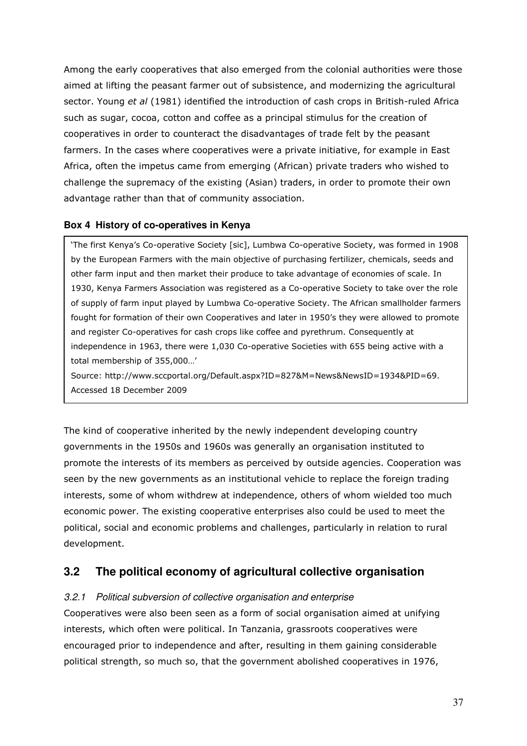Among the early cooperatives that also emerged from the colonial authorities were those aimed at lifting the peasant farmer out of subsistence, and modernizing the agricultural sector. Young et al (1981) identified the introduction of cash crops in British-ruled Africa such as sugar, cocoa, cotton and coffee as a principal stimulus for the creation of cooperatives in order to counteract the disadvantages of trade felt by the peasant farmers. In the cases where cooperatives were a private initiative, for example in East Africa, often the impetus came from emerging (African) private traders who wished to challenge the supremacy of the existing (Asian) traders, in order to promote their own advantage rather than that of community association.

#### **Box 4 History of co-operatives in Kenya**

'The first Kenya's Co-operative Society [sic], Lumbwa Co-operative Society, was formed in 1908 by the European Farmers with the main objective of purchasing fertilizer, chemicals, seeds and other farm input and then market their produce to take advantage of economies of scale. In 1930, Kenya Farmers Association was registered as a Co-operative Society to take over the role of supply of farm input played by Lumbwa Co-operative Society. The African smallholder farmers fought for formation of their own Cooperatives and later in 1950's they were allowed to promote and register Co-operatives for cash crops like coffee and pyrethrum. Consequently at independence in 1963, there were 1,030 Co-operative Societies with 655 being active with a total membership of 355,000…'

Source: http://www.sccportal.org/Default.aspx?ID=827&M=News&NewsID=1934&PID=69. Accessed 18 December 2009

The kind of cooperative inherited by the newly independent developing country governments in the 1950s and 1960s was generally an organisation instituted to promote the interests of its members as perceived by outside agencies. Cooperation was seen by the new governments as an institutional vehicle to replace the foreign trading interests, some of whom withdrew at independence, others of whom wielded too much economic power. The existing cooperative enterprises also could be used to meet the political, social and economic problems and challenges, particularly in relation to rural development.

## **3.2 The political economy of agricultural collective organisation**

#### 3.2.1 Political subversion of collective organisation and enterprise

Cooperatives were also been seen as a form of social organisation aimed at unifying interests, which often were political. In Tanzania, grassroots cooperatives were encouraged prior to independence and after, resulting in them gaining considerable political strength, so much so, that the government abolished cooperatives in 1976,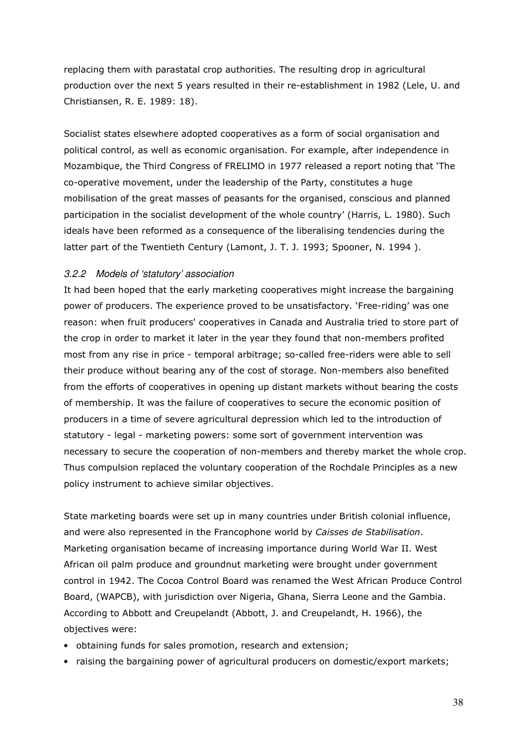replacing them with parastatal crop authorities. The resulting drop in agricultural production over the next 5 years resulted in their re-establishment in 1982 (Lele, U. and Christiansen, R. E. 1989: 18).

Socialist states elsewhere adopted cooperatives as a form of social organisation and political control, as well as economic organisation. For example, after independence in Mozambique, the Third Congress of FRELIMO in 1977 released a report noting that 'The co-operative movement, under the leadership of the Party, constitutes a huge mobilisation of the great masses of peasants for the organised, conscious and planned participation in the socialist development of the whole country' (Harris, L. 1980). Such ideals have been reformed as a consequence of the liberalising tendencies during the latter part of the Twentieth Century (Lamont, J. T. J. 1993; Spooner, N. 1994).

### 3.2.2 Models of 'statutory' association

It had been hoped that the early marketing cooperatives might increase the bargaining power of producers. The experience proved to be unsatisfactory. 'Free-riding' was one reason: when fruit producers' cooperatives in Canada and Australia tried to store part of the crop in order to market it later in the year they found that non-members profited most from any rise in price - temporal arbitrage; so-called free-riders were able to sell their produce without bearing any of the cost of storage. Non-members also benefited from the efforts of cooperatives in opening up distant markets without bearing the costs of membership. It was the failure of cooperatives to secure the economic position of producers in a time of severe agricultural depression which led to the introduction of statutory - legal - marketing powers: some sort of government intervention was necessary to secure the cooperation of non-members and thereby market the whole crop. Thus compulsion replaced the voluntary cooperation of the Rochdale Principles as a new policy instrument to achieve similar objectives.

State marketing boards were set up in many countries under British colonial influence, and were also represented in the Francophone world by Caisses de Stabilisation. Marketing organisation became of increasing importance during World War II. West African oil palm produce and groundnut marketing were brought under government control in 1942. The Cocoa Control Board was renamed the West African Produce Control Board, (WAPCB), with jurisdiction over Nigeria, Ghana, Sierra Leone and the Gambia. According to Abbott and Creupelandt (Abbott, J. and Creupelandt, H. 1966), the objectives were:

- obtaining funds for sales promotion, research and extension;
- raising the bargaining power of agricultural producers on domestic/export markets;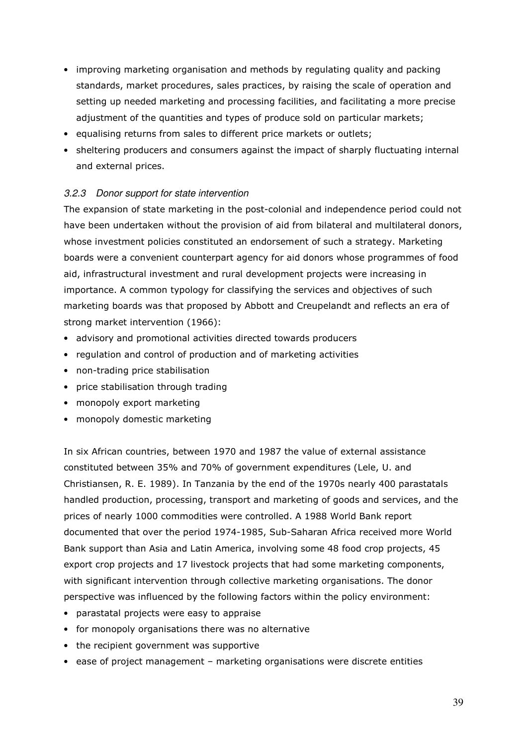- improving marketing organisation and methods by regulating quality and packing standards, market procedures, sales practices, by raising the scale of operation and setting up needed marketing and processing facilities, and facilitating a more precise adjustment of the quantities and types of produce sold on particular markets;
- equalising returns from sales to different price markets or outlets;
- sheltering producers and consumers against the impact of sharply fluctuating internal and external prices.

### 3.2.3 Donor support for state intervention

The expansion of state marketing in the post-colonial and independence period could not have been undertaken without the provision of aid from bilateral and multilateral donors, whose investment policies constituted an endorsement of such a strategy. Marketing boards were a convenient counterpart agency for aid donors whose programmes of food aid, infrastructural investment and rural development projects were increasing in importance. A common typology for classifying the services and objectives of such marketing boards was that proposed by Abbott and Creupelandt and reflects an era of strong market intervention (1966):

- advisory and promotional activities directed towards producers
- regulation and control of production and of marketing activities
- non-trading price stabilisation
- price stabilisation through trading
- monopoly export marketing
- monopoly domestic marketing

In six African countries, between 1970 and 1987 the value of external assistance constituted between 35% and 70% of government expenditures (Lele, U. and Christiansen, R. E. 1989). In Tanzania by the end of the 1970s nearly 400 parastatals handled production, processing, transport and marketing of goods and services, and the prices of nearly 1000 commodities were controlled. A 1988 World Bank report documented that over the period 1974-1985, Sub-Saharan Africa received more World Bank support than Asia and Latin America, involving some 48 food crop projects, 45 export crop projects and 17 livestock projects that had some marketing components, with significant intervention through collective marketing organisations. The donor perspective was influenced by the following factors within the policy environment:

- parastatal projects were easy to appraise
- for monopoly organisations there was no alternative
- the recipient government was supportive
- ease of project management marketing organisations were discrete entities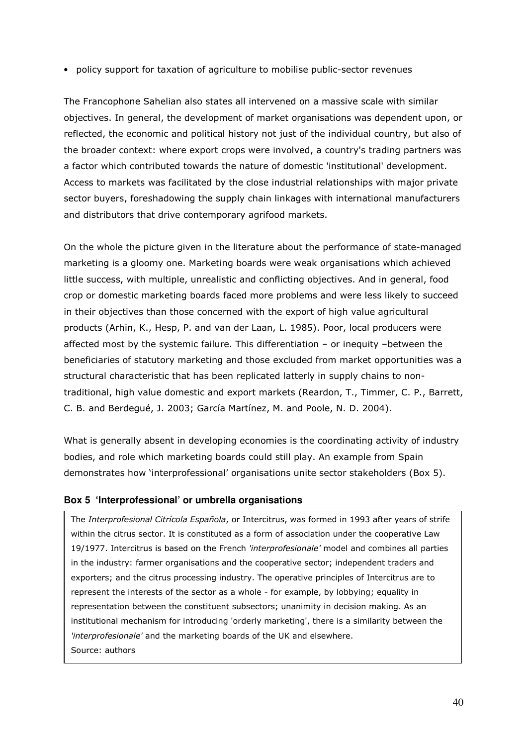• policy support for taxation of agriculture to mobilise public-sector revenues

The Francophone Sahelian also states all intervened on a massive scale with similar objectives. In general, the development of market organisations was dependent upon, or reflected, the economic and political history not just of the individual country, but also of the broader context: where export crops were involved, a country's trading partners was a factor which contributed towards the nature of domestic 'institutional' development. Access to markets was facilitated by the close industrial relationships with major private sector buyers, foreshadowing the supply chain linkages with international manufacturers and distributors that drive contemporary agrifood markets.

On the whole the picture given in the literature about the performance of state-managed marketing is a gloomy one. Marketing boards were weak organisations which achieved little success, with multiple, unrealistic and conflicting objectives. And in general, food crop or domestic marketing boards faced more problems and were less likely to succeed in their objectives than those concerned with the export of high value agricultural products (Arhin, K., Hesp, P. and van der Laan, L. 1985). Poor, local producers were affected most by the systemic failure. This differentiation – or inequity –between the beneficiaries of statutory marketing and those excluded from market opportunities was a structural characteristic that has been replicated latterly in supply chains to nontraditional, high value domestic and export markets (Reardon, T., Timmer, C. P., Barrett, C. B. and Berdegué, J. 2003; García Martínez, M. and Poole, N. D. 2004).

What is generally absent in developing economies is the coordinating activity of industry bodies, and role which marketing boards could still play. An example from Spain demonstrates how 'interprofessional' organisations unite sector stakeholders (Box 5).

### **Box 5 'Interprofessional' or umbrella organisations**

The Interprofesional Citrícola Española, or Intercitrus, was formed in 1993 after years of strife within the citrus sector. It is constituted as a form of association under the cooperative Law 19/1977. Intercitrus is based on the French 'interprofesionale' model and combines all parties in the industry: farmer organisations and the cooperative sector; independent traders and exporters; and the citrus processing industry. The operative principles of Intercitrus are to represent the interests of the sector as a whole - for example, by lobbying; equality in representation between the constituent subsectors; unanimity in decision making. As an institutional mechanism for introducing 'orderly marketing', there is a similarity between the 'interprofesionale' and the marketing boards of the UK and elsewhere. Source: authors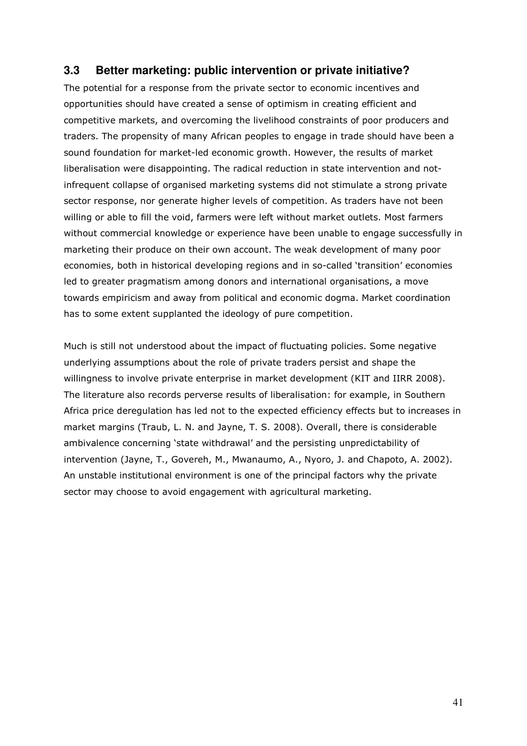## **3.3 Better marketing: public intervention or private initiative?**

The potential for a response from the private sector to economic incentives and opportunities should have created a sense of optimism in creating efficient and competitive markets, and overcoming the livelihood constraints of poor producers and traders. The propensity of many African peoples to engage in trade should have been a sound foundation for market-led economic growth. However, the results of market liberalisation were disappointing. The radical reduction in state intervention and notinfrequent collapse of organised marketing systems did not stimulate a strong private sector response, nor generate higher levels of competition. As traders have not been willing or able to fill the void, farmers were left without market outlets. Most farmers without commercial knowledge or experience have been unable to engage successfully in marketing their produce on their own account. The weak development of many poor economies, both in historical developing regions and in so-called 'transition' economies led to greater pragmatism among donors and international organisations, a move towards empiricism and away from political and economic dogma. Market coordination has to some extent supplanted the ideology of pure competition.

Much is still not understood about the impact of fluctuating policies. Some negative underlying assumptions about the role of private traders persist and shape the willingness to involve private enterprise in market development (KIT and IIRR 2008). The literature also records perverse results of liberalisation: for example, in Southern Africa price deregulation has led not to the expected efficiency effects but to increases in market margins (Traub, L. N. and Jayne, T. S. 2008). Overall, there is considerable ambivalence concerning 'state withdrawal' and the persisting unpredictability of intervention (Jayne, T., Govereh, M., Mwanaumo, A., Nyoro, J. and Chapoto, A. 2002). An unstable institutional environment is one of the principal factors why the private sector may choose to avoid engagement with agricultural marketing.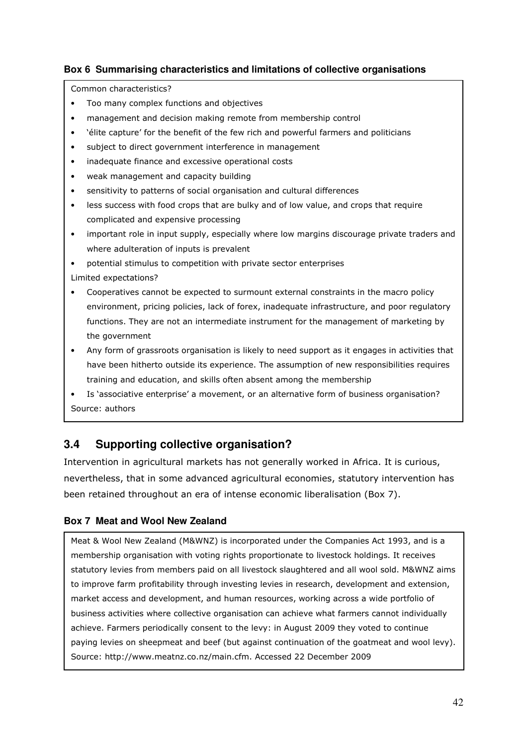## **Box 6 Summarising characteristics and limitations of collective organisations**

Common characteristics?

- Too many complex functions and objectives
- management and decision making remote from membership control
- 'élite capture' for the benefit of the few rich and powerful farmers and politicians
- subject to direct government interference in management
- inadequate finance and excessive operational costs
- weak management and capacity building
- sensitivity to patterns of social organisation and cultural differences
- less success with food crops that are bulky and of low value, and crops that require complicated and expensive processing
- important role in input supply, especially where low margins discourage private traders and where adulteration of inputs is prevalent
- potential stimulus to competition with private sector enterprises
- Limited expectations?
- Cooperatives cannot be expected to surmount external constraints in the macro policy environment, pricing policies, lack of forex, inadequate infrastructure, and poor regulatory functions. They are not an intermediate instrument for the management of marketing by the government
- Any form of grassroots organisation is likely to need support as it engages in activities that have been hitherto outside its experience. The assumption of new responsibilities requires training and education, and skills often absent among the membership
- Is 'associative enterprise' a movement, or an alternative form of business organisation? Source: authors

# **3.4 Supporting collective organisation?**

Intervention in agricultural markets has not generally worked in Africa. It is curious, nevertheless, that in some advanced agricultural economies, statutory intervention has been retained throughout an era of intense economic liberalisation (Box 7).

## **Box 7 Meat and Wool New Zealand**

Meat & Wool New Zealand (M&WNZ) is incorporated under the Companies Act 1993, and is a membership organisation with voting rights proportionate to livestock holdings. It receives statutory levies from members paid on all livestock slaughtered and all wool sold. M&WNZ aims to improve farm profitability through investing levies in research, development and extension, market access and development, and human resources, working across a wide portfolio of business activities where collective organisation can achieve what farmers cannot individually achieve. Farmers periodically consent to the levy: in August 2009 they voted to continue paying levies on sheepmeat and beef (but against continuation of the goatmeat and wool levy). Source: http://www.meatnz.co.nz/main.cfm. Accessed 22 December 2009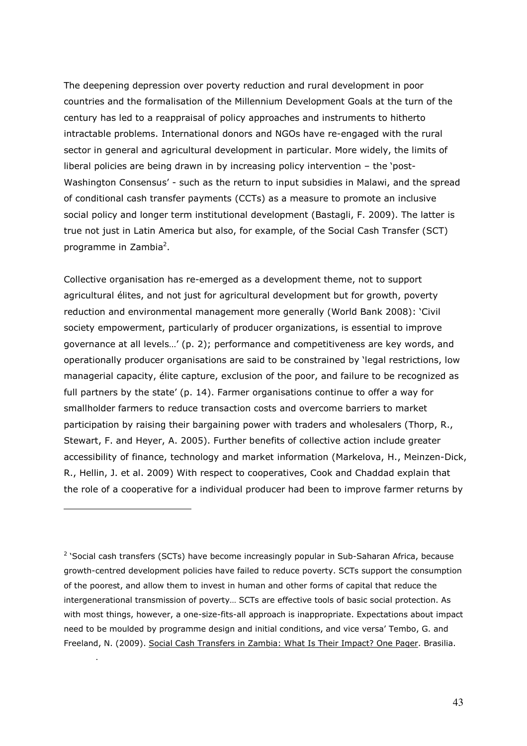The deepening depression over poverty reduction and rural development in poor countries and the formalisation of the Millennium Development Goals at the turn of the century has led to a reappraisal of policy approaches and instruments to hitherto intractable problems. International donors and NGOs have re-engaged with the rural sector in general and agricultural development in particular. More widely, the limits of liberal policies are being drawn in by increasing policy intervention – the 'post-Washington Consensus' - such as the return to input subsidies in Malawi, and the spread of conditional cash transfer payments (CCTs) as a measure to promote an inclusive social policy and longer term institutional development (Bastagli, F. 2009). The latter is true not just in Latin America but also, for example, of the Social Cash Transfer (SCT) programme in Zambia<sup>2</sup>.

Collective organisation has re-emerged as a development theme, not to support agricultural élites, and not just for agricultural development but for growth, poverty reduction and environmental management more generally (World Bank 2008): 'Civil society empowerment, particularly of producer organizations, is essential to improve governance at all levels…' (p. 2); performance and competitiveness are key words, and operationally producer organisations are said to be constrained by 'legal restrictions, low managerial capacity, élite capture, exclusion of the poor, and failure to be recognized as full partners by the state' (p. 14). Farmer organisations continue to offer a way for smallholder farmers to reduce transaction costs and overcome barriers to market participation by raising their bargaining power with traders and wholesalers (Thorp, R., Stewart, F. and Heyer, A. 2005). Further benefits of collective action include greater accessibility of finance, technology and market information (Markelova, H., Meinzen-Dick, R., Hellin, J. et al. 2009) With respect to cooperatives, Cook and Chaddad explain that the role of a cooperative for a individual producer had been to improve farmer returns by

<sup>2</sup> 'Social cash transfers (SCTs) have become increasingly popular in Sub-Saharan Africa, because growth-centred development policies have failed to reduce poverty. SCTs support the consumption of the poorest, and allow them to invest in human and other forms of capital that reduce the intergenerational transmission of poverty… SCTs are effective tools of basic social protection. As with most things, however, a one-size-fits-all approach is inappropriate. Expectations about impact need to be moulded by programme design and initial conditions, and vice versa' Tembo, G. and Freeland, N. (2009). Social Cash Transfers in Zambia: What Is Their Impact? One Pager. Brasilia.

i,

.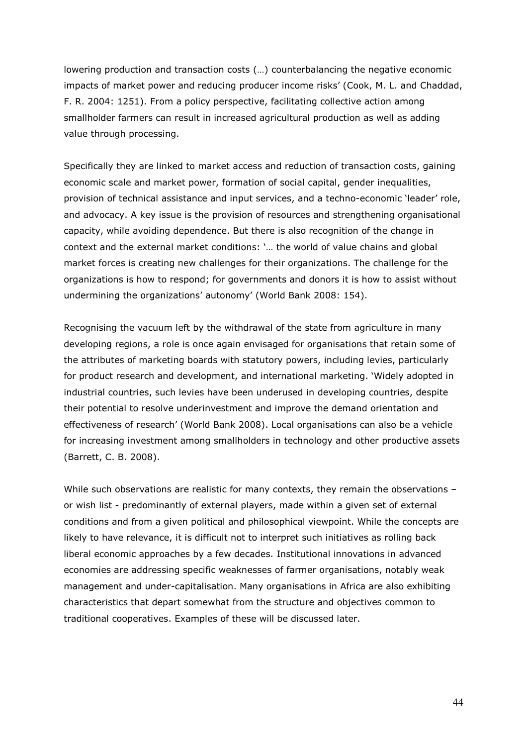lowering production and transaction costs (…) counterbalancing the negative economic impacts of market power and reducing producer income risks' (Cook, M. L. and Chaddad, F. R. 2004: 1251). From a policy perspective, facilitating collective action among smallholder farmers can result in increased agricultural production as well as adding value through processing.

Specifically they are linked to market access and reduction of transaction costs, gaining economic scale and market power, formation of social capital, gender inequalities, provision of technical assistance and input services, and a techno-economic 'leader' role, and advocacy. A key issue is the provision of resources and strengthening organisational capacity, while avoiding dependence. But there is also recognition of the change in context and the external market conditions: '… the world of value chains and global market forces is creating new challenges for their organizations. The challenge for the organizations is how to respond; for governments and donors it is how to assist without undermining the organizations' autonomy' (World Bank 2008: 154).

Recognising the vacuum left by the withdrawal of the state from agriculture in many developing regions, a role is once again envisaged for organisations that retain some of the attributes of marketing boards with statutory powers, including levies, particularly for product research and development, and international marketing. 'Widely adopted in industrial countries, such levies have been underused in developing countries, despite their potential to resolve underinvestment and improve the demand orientation and effectiveness of research' (World Bank 2008). Local organisations can also be a vehicle for increasing investment among smallholders in technology and other productive assets (Barrett, C. B. 2008).

While such observations are realistic for many contexts, they remain the observations or wish list - predominantly of external players, made within a given set of external conditions and from a given political and philosophical viewpoint. While the concepts are likely to have relevance, it is difficult not to interpret such initiatives as rolling back liberal economic approaches by a few decades. Institutional innovations in advanced economies are addressing specific weaknesses of farmer organisations, notably weak management and under-capitalisation. Many organisations in Africa are also exhibiting characteristics that depart somewhat from the structure and objectives common to traditional cooperatives. Examples of these will be discussed later.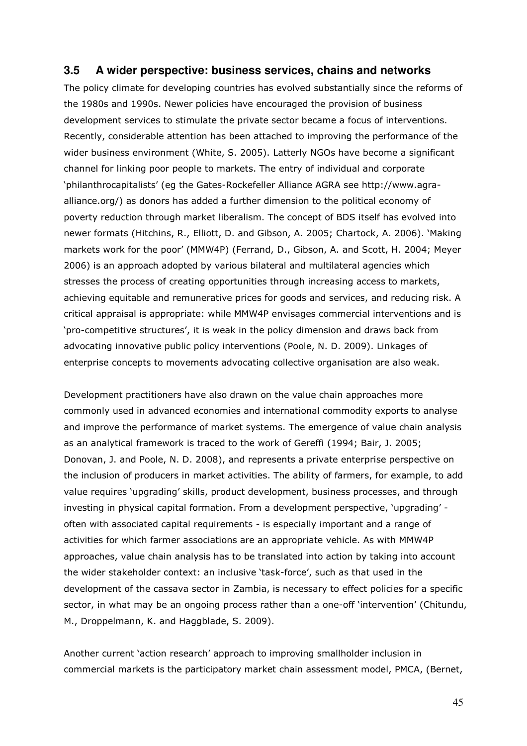### **3.5 A wider perspective: business services, chains and networks**

The policy climate for developing countries has evolved substantially since the reforms of the 1980s and 1990s. Newer policies have encouraged the provision of business development services to stimulate the private sector became a focus of interventions. Recently, considerable attention has been attached to improving the performance of the wider business environment (White, S. 2005). Latterly NGOs have become a significant channel for linking poor people to markets. The entry of individual and corporate 'philanthrocapitalists' (eg the Gates-Rockefeller Alliance AGRA see http://www.agraalliance.org/) as donors has added a further dimension to the political economy of poverty reduction through market liberalism. The concept of BDS itself has evolved into newer formats (Hitchins, R., Elliott, D. and Gibson, A. 2005; Chartock, A. 2006). 'Making markets work for the poor' (MMW4P) (Ferrand, D., Gibson, A. and Scott, H. 2004; Meyer 2006) is an approach adopted by various bilateral and multilateral agencies which stresses the process of creating opportunities through increasing access to markets, achieving equitable and remunerative prices for goods and services, and reducing risk. A critical appraisal is appropriate: while MMW4P envisages commercial interventions and is 'pro-competitive structures', it is weak in the policy dimension and draws back from advocating innovative public policy interventions (Poole, N. D. 2009). Linkages of enterprise concepts to movements advocating collective organisation are also weak.

Development practitioners have also drawn on the value chain approaches more commonly used in advanced economies and international commodity exports to analyse and improve the performance of market systems. The emergence of value chain analysis as an analytical framework is traced to the work of Gereffi (1994; Bair, J. 2005; Donovan, J. and Poole, N. D. 2008), and represents a private enterprise perspective on the inclusion of producers in market activities. The ability of farmers, for example, to add value requires 'upgrading' skills, product development, business processes, and through investing in physical capital formation. From a development perspective, 'upgrading' often with associated capital requirements - is especially important and a range of activities for which farmer associations are an appropriate vehicle. As with MMW4P approaches, value chain analysis has to be translated into action by taking into account the wider stakeholder context: an inclusive 'task-force', such as that used in the development of the cassava sector in Zambia, is necessary to effect policies for a specific sector, in what may be an ongoing process rather than a one-off 'intervention' (Chitundu, M., Droppelmann, K. and Haggblade, S. 2009).

Another current 'action research' approach to improving smallholder inclusion in commercial markets is the participatory market chain assessment model, PMCA, (Bernet,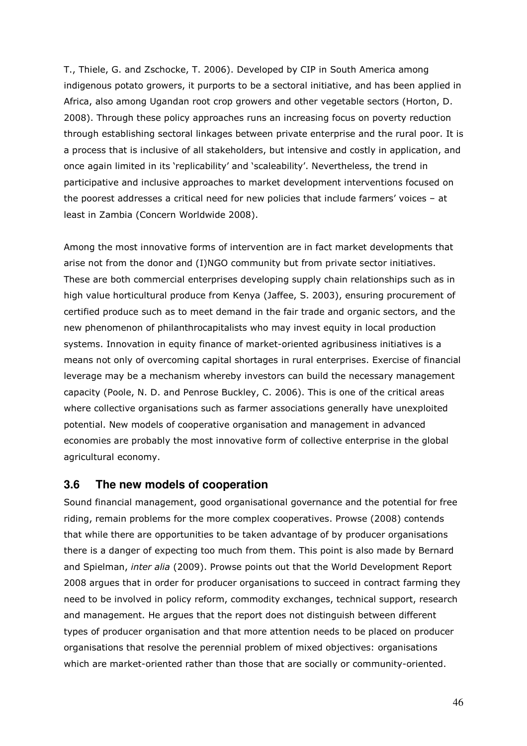T., Thiele, G. and Zschocke, T. 2006). Developed by CIP in South America among indigenous potato growers, it purports to be a sectoral initiative, and has been applied in Africa, also among Ugandan root crop growers and other vegetable sectors (Horton, D. 2008). Through these policy approaches runs an increasing focus on poverty reduction through establishing sectoral linkages between private enterprise and the rural poor. It is a process that is inclusive of all stakeholders, but intensive and costly in application, and once again limited in its 'replicability' and 'scaleability'. Nevertheless, the trend in participative and inclusive approaches to market development interventions focused on the poorest addresses a critical need for new policies that include farmers' voices – at least in Zambia (Concern Worldwide 2008).

Among the most innovative forms of intervention are in fact market developments that arise not from the donor and (I)NGO community but from private sector initiatives. These are both commercial enterprises developing supply chain relationships such as in high value horticultural produce from Kenya (Jaffee, S. 2003), ensuring procurement of certified produce such as to meet demand in the fair trade and organic sectors, and the new phenomenon of philanthrocapitalists who may invest equity in local production systems. Innovation in equity finance of market-oriented agribusiness initiatives is a means not only of overcoming capital shortages in rural enterprises. Exercise of financial leverage may be a mechanism whereby investors can build the necessary management capacity (Poole, N. D. and Penrose Buckley, C. 2006). This is one of the critical areas where collective organisations such as farmer associations generally have unexploited potential. New models of cooperative organisation and management in advanced economies are probably the most innovative form of collective enterprise in the global agricultural economy.

### **3.6 The new models of cooperation**

Sound financial management, good organisational governance and the potential for free riding, remain problems for the more complex cooperatives. Prowse (2008) contends that while there are opportunities to be taken advantage of by producer organisations there is a danger of expecting too much from them. This point is also made by Bernard and Spielman, inter alia (2009). Prowse points out that the World Development Report 2008 argues that in order for producer organisations to succeed in contract farming they need to be involved in policy reform, commodity exchanges, technical support, research and management. He argues that the report does not distinguish between different types of producer organisation and that more attention needs to be placed on producer organisations that resolve the perennial problem of mixed objectives: organisations which are market-oriented rather than those that are socially or community-oriented.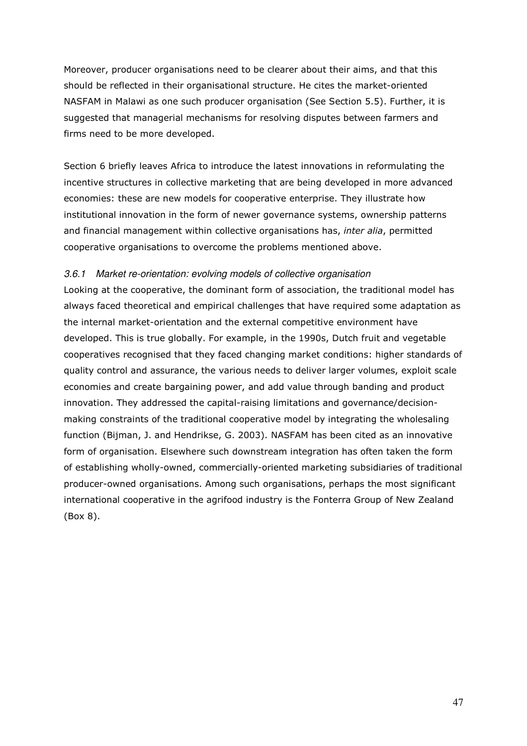Moreover, producer organisations need to be clearer about their aims, and that this should be reflected in their organisational structure. He cites the market-oriented NASFAM in Malawi as one such producer organisation (See Section 5.5). Further, it is suggested that managerial mechanisms for resolving disputes between farmers and firms need to be more developed.

Section 6 briefly leaves Africa to introduce the latest innovations in reformulating the incentive structures in collective marketing that are being developed in more advanced economies: these are new models for cooperative enterprise. They illustrate how institutional innovation in the form of newer governance systems, ownership patterns and financial management within collective organisations has, *inter alia*, permitted cooperative organisations to overcome the problems mentioned above.

### 3.6.1 Market re-orientation: evolving models of collective organisation

Looking at the cooperative, the dominant form of association, the traditional model has always faced theoretical and empirical challenges that have required some adaptation as the internal market-orientation and the external competitive environment have developed. This is true globally. For example, in the 1990s, Dutch fruit and vegetable cooperatives recognised that they faced changing market conditions: higher standards of quality control and assurance, the various needs to deliver larger volumes, exploit scale economies and create bargaining power, and add value through banding and product innovation. They addressed the capital-raising limitations and governance/decisionmaking constraints of the traditional cooperative model by integrating the wholesaling function (Bijman, J. and Hendrikse, G. 2003). NASFAM has been cited as an innovative form of organisation. Elsewhere such downstream integration has often taken the form of establishing wholly-owned, commercially-oriented marketing subsidiaries of traditional producer-owned organisations. Among such organisations, perhaps the most significant international cooperative in the agrifood industry is the Fonterra Group of New Zealand (Box 8).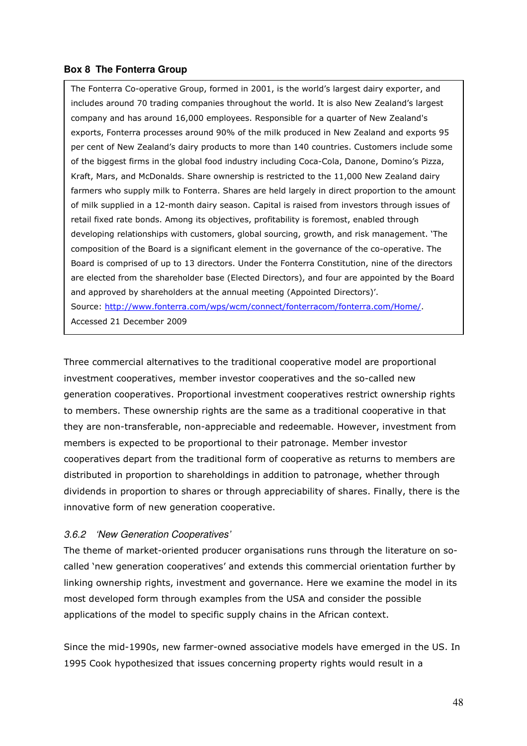### **Box 8 The Fonterra Group**

The Fonterra Co-operative Group, formed in 2001, is the world's largest dairy exporter, and includes around 70 trading companies throughout the world. It is also New Zealand's largest company and has around 16,000 employees. Responsible for a quarter of New Zealand's exports, Fonterra processes around 90% of the milk produced in New Zealand and exports 95 per cent of New Zealand's dairy products to more than 140 countries. Customers include some of the biggest firms in the global food industry including Coca-Cola, Danone, Domino's Pizza, Kraft, Mars, and McDonalds. Share ownership is restricted to the 11,000 New Zealand dairy farmers who supply milk to Fonterra. Shares are held largely in direct proportion to the amount of milk supplied in a 12-month dairy season. Capital is raised from investors through issues of retail fixed rate bonds. Among its objectives, profitability is foremost, enabled through developing relationships with customers, global sourcing, growth, and risk management. 'The composition of the Board is a significant element in the governance of the co-operative. The Board is comprised of up to 13 directors. Under the Fonterra Constitution, nine of the directors are elected from the shareholder base (Elected Directors), and four are appointed by the Board and approved by shareholders at the annual meeting (Appointed Directors)'.

Source: http://www.fonterra.com/wps/wcm/connect/fonterracom/fonterra.com/Home/. Accessed 21 December 2009

Three commercial alternatives to the traditional cooperative model are proportional investment cooperatives, member investor cooperatives and the so-called new generation cooperatives. Proportional investment cooperatives restrict ownership rights to members. These ownership rights are the same as a traditional cooperative in that they are non-transferable, non-appreciable and redeemable. However, investment from members is expected to be proportional to their patronage. Member investor cooperatives depart from the traditional form of cooperative as returns to members are distributed in proportion to shareholdings in addition to patronage, whether through dividends in proportion to shares or through appreciability of shares. Finally, there is the innovative form of new generation cooperative.

### 3.6.2 'New Generation Cooperatives'

The theme of market-oriented producer organisations runs through the literature on socalled 'new generation cooperatives' and extends this commercial orientation further by linking ownership rights, investment and governance. Here we examine the model in its most developed form through examples from the USA and consider the possible applications of the model to specific supply chains in the African context.

Since the mid-1990s, new farmer-owned associative models have emerged in the US. In 1995 Cook hypothesized that issues concerning property rights would result in a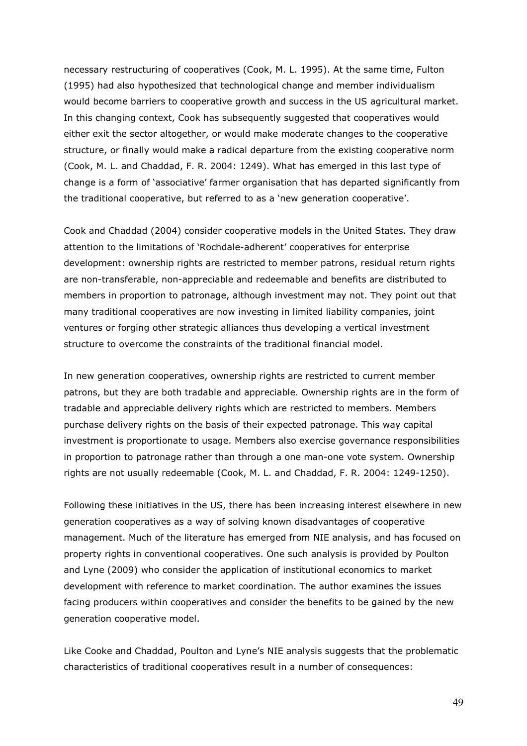necessary restructuring of cooperatives (Cook, M. L. 1995). At the same time, Fulton (1995) had also hypothesized that technological change and member individualism would become barriers to cooperative growth and success in the US agricultural market. In this changing context, Cook has subsequently suggested that cooperatives would either exit the sector altogether, or would make moderate changes to the cooperative structure, or finally would make a radical departure from the existing cooperative norm (Cook, M. L. and Chaddad, F. R. 2004: 1249). What has emerged in this last type of change is a form of 'associative' farmer organisation that has departed significantly from the traditional cooperative, but referred to as a 'new generation cooperative'.

Cook and Chaddad (2004) consider cooperative models in the United States. They draw attention to the limitations of 'Rochdale-adherent' cooperatives for enterprise development: ownership rights are restricted to member patrons, residual return rights are non-transferable, non-appreciable and redeemable and benefits are distributed to members in proportion to patronage, although investment may not. They point out that many traditional cooperatives are now investing in limited liability companies, joint ventures or forging other strategic alliances thus developing a vertical investment structure to overcome the constraints of the traditional financial model.

In new generation cooperatives, ownership rights are restricted to current member patrons, but they are both tradable and appreciable. Ownership rights are in the form of tradable and appreciable delivery rights which are restricted to members. Members purchase delivery rights on the basis of their expected patronage. This way capital investment is proportionate to usage. Members also exercise governance responsibilities in proportion to patronage rather than through a one man-one vote system. Ownership rights are not usually redeemable (Cook, M. L. and Chaddad, F. R. 2004: 1249-1250).

Following these initiatives in the US, there has been increasing interest elsewhere in new generation cooperatives as a way of solving known disadvantages of cooperative management. Much of the literature has emerged from NIE analysis, and has focused on property rights in conventional cooperatives. One such analysis is provided by Poulton and Lyne (2009) who consider the application of institutional economics to market development with reference to market coordination. The author examines the issues facing producers within cooperatives and consider the benefits to be gained by the new generation cooperative model.

Like Cooke and Chaddad, Poulton and Lyne's NIE analysis suggests that the problematic characteristics of traditional cooperatives result in a number of consequences: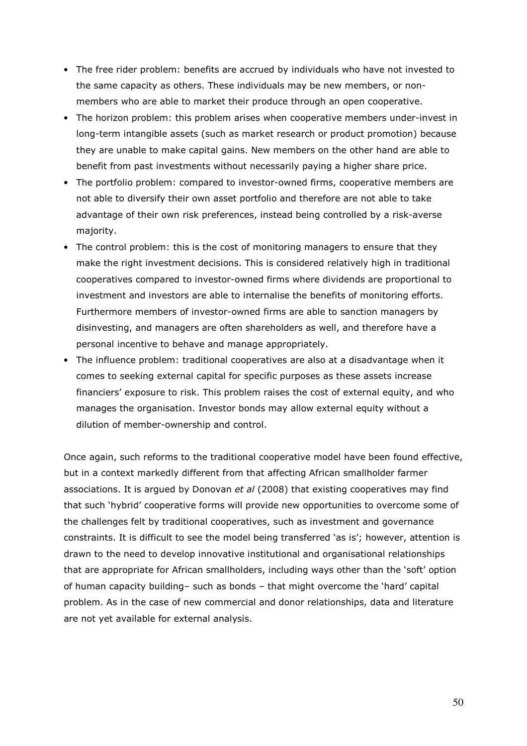- The free rider problem: benefits are accrued by individuals who have not invested to the same capacity as others. These individuals may be new members, or nonmembers who are able to market their produce through an open cooperative.
- The horizon problem: this problem arises when cooperative members under-invest in long-term intangible assets (such as market research or product promotion) because they are unable to make capital gains. New members on the other hand are able to benefit from past investments without necessarily paying a higher share price.
- The portfolio problem: compared to investor-owned firms, cooperative members are not able to diversify their own asset portfolio and therefore are not able to take advantage of their own risk preferences, instead being controlled by a risk-averse majority.
- The control problem: this is the cost of monitoring managers to ensure that they make the right investment decisions. This is considered relatively high in traditional cooperatives compared to investor-owned firms where dividends are proportional to investment and investors are able to internalise the benefits of monitoring efforts. Furthermore members of investor-owned firms are able to sanction managers by disinvesting, and managers are often shareholders as well, and therefore have a personal incentive to behave and manage appropriately.
- The influence problem: traditional cooperatives are also at a disadvantage when it comes to seeking external capital for specific purposes as these assets increase financiers' exposure to risk. This problem raises the cost of external equity, and who manages the organisation. Investor bonds may allow external equity without a dilution of member-ownership and control.

Once again, such reforms to the traditional cooperative model have been found effective, but in a context markedly different from that affecting African smallholder farmer associations. It is argued by Donovan et al (2008) that existing cooperatives may find that such 'hybrid' cooperative forms will provide new opportunities to overcome some of the challenges felt by traditional cooperatives, such as investment and governance constraints. It is difficult to see the model being transferred 'as is'; however, attention is drawn to the need to develop innovative institutional and organisational relationships that are appropriate for African smallholders, including ways other than the 'soft' option of human capacity building– such as bonds – that might overcome the 'hard' capital problem. As in the case of new commercial and donor relationships, data and literature are not yet available for external analysis.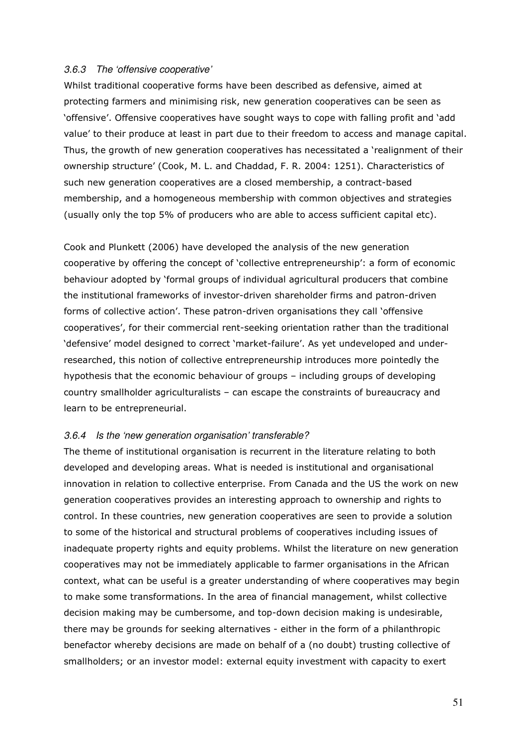#### 3.6.3 The 'offensive cooperative'

Whilst traditional cooperative forms have been described as defensive, aimed at protecting farmers and minimising risk, new generation cooperatives can be seen as 'offensive'. Offensive cooperatives have sought ways to cope with falling profit and 'add value' to their produce at least in part due to their freedom to access and manage capital. Thus, the growth of new generation cooperatives has necessitated a 'realignment of their ownership structure' (Cook, M. L. and Chaddad, F. R. 2004: 1251). Characteristics of such new generation cooperatives are a closed membership, a contract-based membership, and a homogeneous membership with common objectives and strategies (usually only the top 5% of producers who are able to access sufficient capital etc).

Cook and Plunkett (2006) have developed the analysis of the new generation cooperative by offering the concept of 'collective entrepreneurship': a form of economic behaviour adopted by 'formal groups of individual agricultural producers that combine the institutional frameworks of investor-driven shareholder firms and patron-driven forms of collective action'. These patron-driven organisations they call 'offensive cooperatives', for their commercial rent-seeking orientation rather than the traditional 'defensive' model designed to correct 'market-failure'. As yet undeveloped and underresearched, this notion of collective entrepreneurship introduces more pointedly the hypothesis that the economic behaviour of groups – including groups of developing country smallholder agriculturalists – can escape the constraints of bureaucracy and learn to be entrepreneurial.

#### 3.6.4 Is the 'new generation organisation' transferable?

The theme of institutional organisation is recurrent in the literature relating to both developed and developing areas. What is needed is institutional and organisational innovation in relation to collective enterprise. From Canada and the US the work on new generation cooperatives provides an interesting approach to ownership and rights to control. In these countries, new generation cooperatives are seen to provide a solution to some of the historical and structural problems of cooperatives including issues of inadequate property rights and equity problems. Whilst the literature on new generation cooperatives may not be immediately applicable to farmer organisations in the African context, what can be useful is a greater understanding of where cooperatives may begin to make some transformations. In the area of financial management, whilst collective decision making may be cumbersome, and top-down decision making is undesirable, there may be grounds for seeking alternatives - either in the form of a philanthropic benefactor whereby decisions are made on behalf of a (no doubt) trusting collective of smallholders; or an investor model: external equity investment with capacity to exert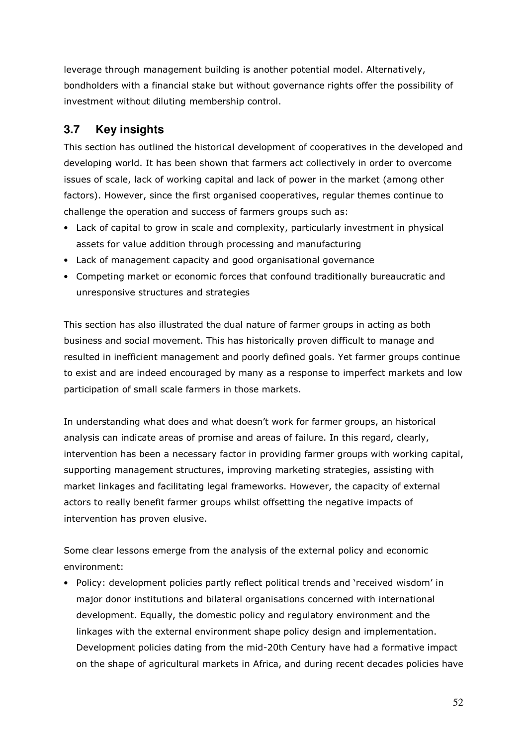leverage through management building is another potential model. Alternatively, bondholders with a financial stake but without governance rights offer the possibility of investment without diluting membership control.

# **3.7 Key insights**

This section has outlined the historical development of cooperatives in the developed and developing world. It has been shown that farmers act collectively in order to overcome issues of scale, lack of working capital and lack of power in the market (among other factors). However, since the first organised cooperatives, regular themes continue to challenge the operation and success of farmers groups such as:

- Lack of capital to grow in scale and complexity, particularly investment in physical assets for value addition through processing and manufacturing
- Lack of management capacity and good organisational governance
- Competing market or economic forces that confound traditionally bureaucratic and unresponsive structures and strategies

This section has also illustrated the dual nature of farmer groups in acting as both business and social movement. This has historically proven difficult to manage and resulted in inefficient management and poorly defined goals. Yet farmer groups continue to exist and are indeed encouraged by many as a response to imperfect markets and low participation of small scale farmers in those markets.

In understanding what does and what doesn't work for farmer groups, an historical analysis can indicate areas of promise and areas of failure. In this regard, clearly, intervention has been a necessary factor in providing farmer groups with working capital, supporting management structures, improving marketing strategies, assisting with market linkages and facilitating legal frameworks. However, the capacity of external actors to really benefit farmer groups whilst offsetting the negative impacts of intervention has proven elusive.

Some clear lessons emerge from the analysis of the external policy and economic environment:

• Policy: development policies partly reflect political trends and 'received wisdom' in major donor institutions and bilateral organisations concerned with international development. Equally, the domestic policy and regulatory environment and the linkages with the external environment shape policy design and implementation. Development policies dating from the mid-20th Century have had a formative impact on the shape of agricultural markets in Africa, and during recent decades policies have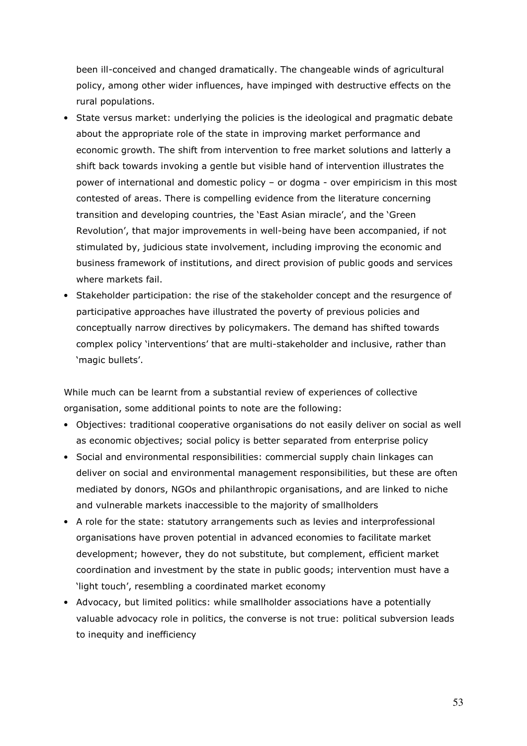been ill-conceived and changed dramatically. The changeable winds of agricultural policy, among other wider influences, have impinged with destructive effects on the rural populations.

- State versus market: underlying the policies is the ideological and pragmatic debate about the appropriate role of the state in improving market performance and economic growth. The shift from intervention to free market solutions and latterly a shift back towards invoking a gentle but visible hand of intervention illustrates the power of international and domestic policy – or dogma - over empiricism in this most contested of areas. There is compelling evidence from the literature concerning transition and developing countries, the 'East Asian miracle', and the 'Green Revolution', that major improvements in well-being have been accompanied, if not stimulated by, judicious state involvement, including improving the economic and business framework of institutions, and direct provision of public goods and services where markets fail
- Stakeholder participation: the rise of the stakeholder concept and the resurgence of participative approaches have illustrated the poverty of previous policies and conceptually narrow directives by policymakers. The demand has shifted towards complex policy 'interventions' that are multi-stakeholder and inclusive, rather than 'magic bullets'.

While much can be learnt from a substantial review of experiences of collective organisation, some additional points to note are the following:

- Objectives: traditional cooperative organisations do not easily deliver on social as well as economic objectives; social policy is better separated from enterprise policy
- Social and environmental responsibilities: commercial supply chain linkages can deliver on social and environmental management responsibilities, but these are often mediated by donors, NGOs and philanthropic organisations, and are linked to niche and vulnerable markets inaccessible to the majority of smallholders
- A role for the state: statutory arrangements such as levies and interprofessional organisations have proven potential in advanced economies to facilitate market development; however, they do not substitute, but complement, efficient market coordination and investment by the state in public goods; intervention must have a 'light touch', resembling a coordinated market economy
- Advocacy, but limited politics: while smallholder associations have a potentially valuable advocacy role in politics, the converse is not true: political subversion leads to inequity and inefficiency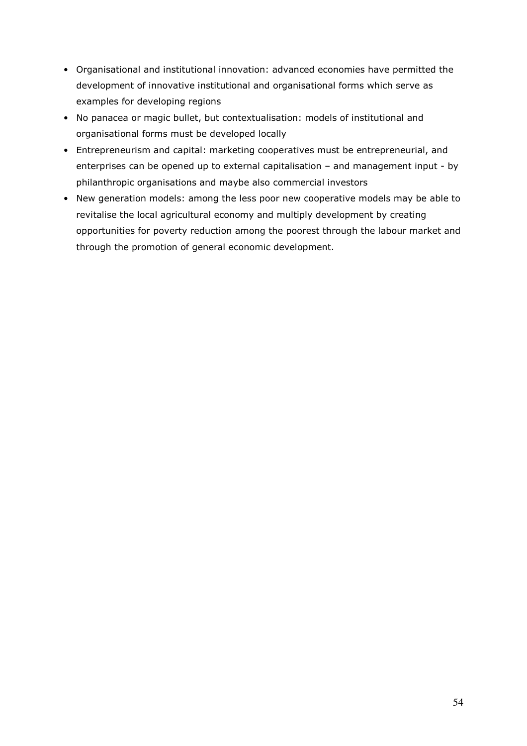- Organisational and institutional innovation: advanced economies have permitted the development of innovative institutional and organisational forms which serve as examples for developing regions
- No panacea or magic bullet, but contextualisation: models of institutional and organisational forms must be developed locally
- Entrepreneurism and capital: marketing cooperatives must be entrepreneurial, and enterprises can be opened up to external capitalisation – and management input - by philanthropic organisations and maybe also commercial investors
- New generation models: among the less poor new cooperative models may be able to revitalise the local agricultural economy and multiply development by creating opportunities for poverty reduction among the poorest through the labour market and through the promotion of general economic development.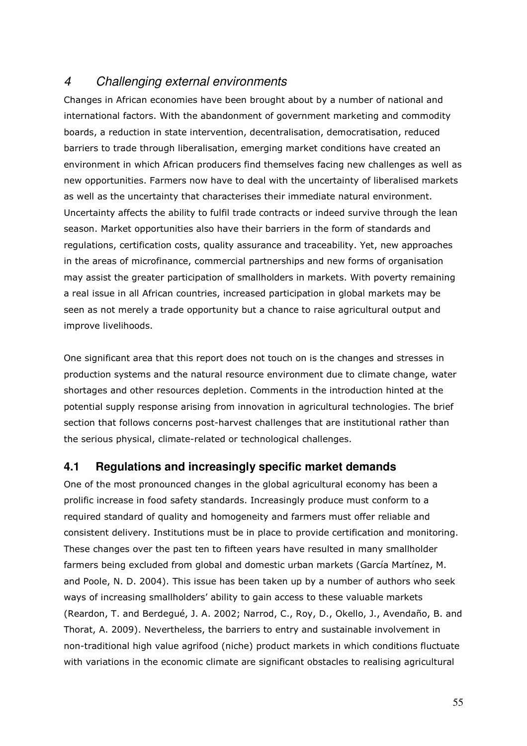# 4 Challenging external environments

Changes in African economies have been brought about by a number of national and international factors. With the abandonment of government marketing and commodity boards, a reduction in state intervention, decentralisation, democratisation, reduced barriers to trade through liberalisation, emerging market conditions have created an environment in which African producers find themselves facing new challenges as well as new opportunities. Farmers now have to deal with the uncertainty of liberalised markets as well as the uncertainty that characterises their immediate natural environment. Uncertainty affects the ability to fulfil trade contracts or indeed survive through the lean season. Market opportunities also have their barriers in the form of standards and regulations, certification costs, quality assurance and traceability. Yet, new approaches in the areas of microfinance, commercial partnerships and new forms of organisation may assist the greater participation of smallholders in markets. With poverty remaining a real issue in all African countries, increased participation in global markets may be seen as not merely a trade opportunity but a chance to raise agricultural output and improve livelihoods.

One significant area that this report does not touch on is the changes and stresses in production systems and the natural resource environment due to climate change, water shortages and other resources depletion. Comments in the introduction hinted at the potential supply response arising from innovation in agricultural technologies. The brief section that follows concerns post-harvest challenges that are institutional rather than the serious physical, climate-related or technological challenges.

## **4.1 Regulations and increasingly specific market demands**

One of the most pronounced changes in the global agricultural economy has been a prolific increase in food safety standards. Increasingly produce must conform to a required standard of quality and homogeneity and farmers must offer reliable and consistent delivery. Institutions must be in place to provide certification and monitoring. These changes over the past ten to fifteen years have resulted in many smallholder farmers being excluded from global and domestic urban markets (García Martínez, M. and Poole, N. D. 2004). This issue has been taken up by a number of authors who seek ways of increasing smallholders' ability to gain access to these valuable markets (Reardon, T. and Berdegué, J. A. 2002; Narrod, C., Roy, D., Okello, J., Avendaño, B. and Thorat, A. 2009). Nevertheless, the barriers to entry and sustainable involvement in non-traditional high value agrifood (niche) product markets in which conditions fluctuate with variations in the economic climate are significant obstacles to realising agricultural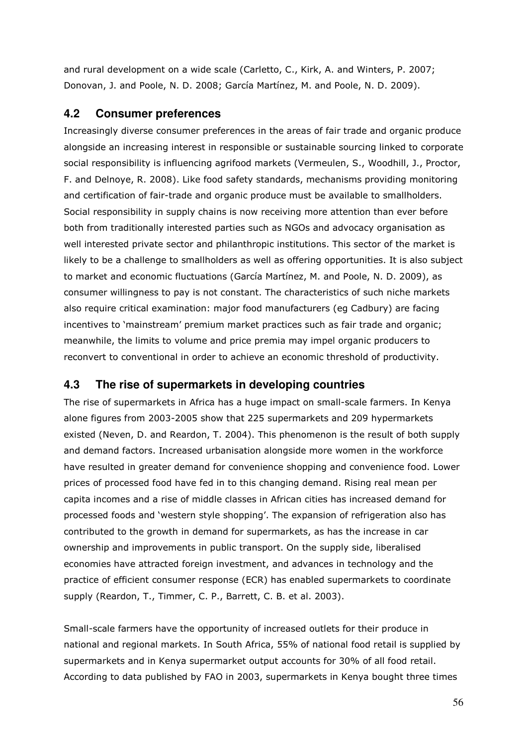and rural development on a wide scale (Carletto, C., Kirk, A. and Winters, P. 2007; Donovan, J. and Poole, N. D. 2008; García Martínez, M. and Poole, N. D. 2009).

### **4.2 Consumer preferences**

Increasingly diverse consumer preferences in the areas of fair trade and organic produce alongside an increasing interest in responsible or sustainable sourcing linked to corporate social responsibility is influencing agrifood markets (Vermeulen, S., Woodhill, J., Proctor, F. and Delnoye, R. 2008). Like food safety standards, mechanisms providing monitoring and certification of fair-trade and organic produce must be available to smallholders. Social responsibility in supply chains is now receiving more attention than ever before both from traditionally interested parties such as NGOs and advocacy organisation as well interested private sector and philanthropic institutions. This sector of the market is likely to be a challenge to smallholders as well as offering opportunities. It is also subject to market and economic fluctuations (García Martínez, M. and Poole, N. D. 2009), as consumer willingness to pay is not constant. The characteristics of such niche markets also require critical examination: major food manufacturers (eg Cadbury) are facing incentives to 'mainstream' premium market practices such as fair trade and organic; meanwhile, the limits to volume and price premia may impel organic producers to reconvert to conventional in order to achieve an economic threshold of productivity.

## **4.3 The rise of supermarkets in developing countries**

The rise of supermarkets in Africa has a huge impact on small-scale farmers. In Kenya alone figures from 2003-2005 show that 225 supermarkets and 209 hypermarkets existed (Neven, D. and Reardon, T. 2004). This phenomenon is the result of both supply and demand factors. Increased urbanisation alongside more women in the workforce have resulted in greater demand for convenience shopping and convenience food. Lower prices of processed food have fed in to this changing demand. Rising real mean per capita incomes and a rise of middle classes in African cities has increased demand for processed foods and 'western style shopping'. The expansion of refrigeration also has contributed to the growth in demand for supermarkets, as has the increase in car ownership and improvements in public transport. On the supply side, liberalised economies have attracted foreign investment, and advances in technology and the practice of efficient consumer response (ECR) has enabled supermarkets to coordinate supply (Reardon, T., Timmer, C. P., Barrett, C. B. et al. 2003).

Small-scale farmers have the opportunity of increased outlets for their produce in national and regional markets. In South Africa, 55% of national food retail is supplied by supermarkets and in Kenya supermarket output accounts for 30% of all food retail. According to data published by FAO in 2003, supermarkets in Kenya bought three times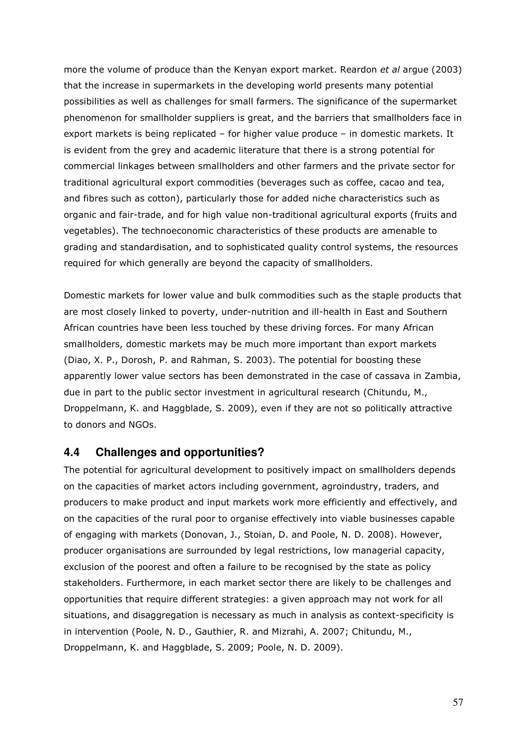more the volume of produce than the Kenyan export market. Reardon et al arque (2003) that the increase in supermarkets in the developing world presents many potential possibilities as well as challenges for small farmers. The significance of the supermarket phenomenon for smallholder suppliers is great, and the barriers that smallholders face in export markets is being replicated – for higher value produce – in domestic markets. It is evident from the grey and academic literature that there is a strong potential for commercial linkages between smallholders and other farmers and the private sector for traditional agricultural export commodities (beverages such as coffee, cacao and tea, and fibres such as cotton), particularly those for added niche characteristics such as organic and fair-trade, and for high value non-traditional agricultural exports (fruits and vegetables). The technoeconomic characteristics of these products are amenable to grading and standardisation, and to sophisticated quality control systems, the resources required for which generally are beyond the capacity of smallholders.

Domestic markets for lower value and bulk commodities such as the staple products that are most closely linked to poverty, under-nutrition and ill-health in East and Southern African countries have been less touched by these driving forces. For many African smallholders, domestic markets may be much more important than export markets (Diao, X. P., Dorosh, P. and Rahman, S. 2003). The potential for boosting these apparently lower value sectors has been demonstrated in the case of cassava in Zambia, due in part to the public sector investment in agricultural research (Chitundu, M., Droppelmann, K. and Haggblade, S. 2009), even if they are not so politically attractive to donors and NGOs.

### **4.4 Challenges and opportunities?**

The potential for agricultural development to positively impact on smallholders depends on the capacities of market actors including government, agroindustry, traders, and producers to make product and input markets work more efficiently and effectively, and on the capacities of the rural poor to organise effectively into viable businesses capable of engaging with markets (Donovan, J., Stoian, D. and Poole, N. D. 2008). However, producer organisations are surrounded by legal restrictions, low managerial capacity, exclusion of the poorest and often a failure to be recognised by the state as policy stakeholders. Furthermore, in each market sector there are likely to be challenges and opportunities that require different strategies: a given approach may not work for all situations, and disaggregation is necessary as much in analysis as context-specificity is in intervention (Poole, N. D., Gauthier, R. and Mizrahi, A. 2007; Chitundu, M., Droppelmann, K. and Haggblade, S. 2009; Poole, N. D. 2009).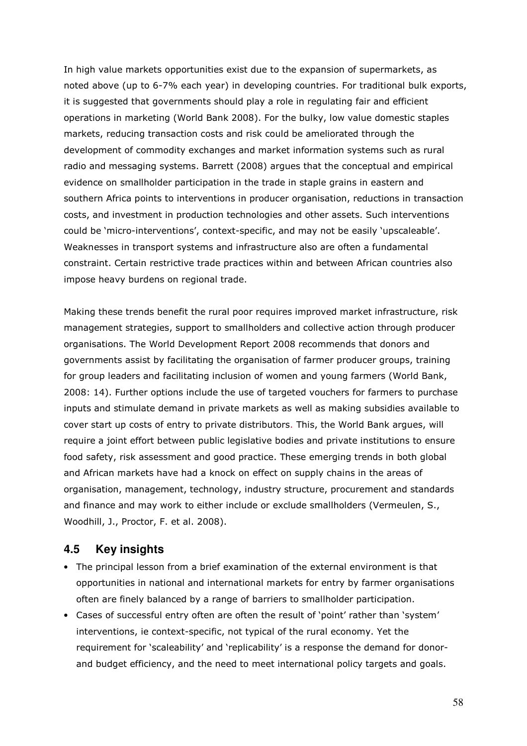In high value markets opportunities exist due to the expansion of supermarkets, as noted above (up to 6-7% each year) in developing countries. For traditional bulk exports, it is suggested that governments should play a role in regulating fair and efficient operations in marketing (World Bank 2008). For the bulky, low value domestic staples markets, reducing transaction costs and risk could be ameliorated through the development of commodity exchanges and market information systems such as rural radio and messaging systems. Barrett (2008) argues that the conceptual and empirical evidence on smallholder participation in the trade in staple grains in eastern and southern Africa points to interventions in producer organisation, reductions in transaction costs, and investment in production technologies and other assets. Such interventions could be 'micro-interventions', context-specific, and may not be easily 'upscaleable'. Weaknesses in transport systems and infrastructure also are often a fundamental constraint. Certain restrictive trade practices within and between African countries also impose heavy burdens on regional trade.

Making these trends benefit the rural poor requires improved market infrastructure, risk management strategies, support to smallholders and collective action through producer organisations. The World Development Report 2008 recommends that donors and governments assist by facilitating the organisation of farmer producer groups, training for group leaders and facilitating inclusion of women and young farmers (World Bank, 2008: 14). Further options include the use of targeted vouchers for farmers to purchase inputs and stimulate demand in private markets as well as making subsidies available to cover start up costs of entry to private distributors. This, the World Bank argues, will require a joint effort between public legislative bodies and private institutions to ensure food safety, risk assessment and good practice. These emerging trends in both global and African markets have had a knock on effect on supply chains in the areas of organisation, management, technology, industry structure, procurement and standards and finance and may work to either include or exclude smallholders (Vermeulen, S., Woodhill, J., Proctor, F. et al. 2008).

# **4.5 Key insights**

- The principal lesson from a brief examination of the external environment is that opportunities in national and international markets for entry by farmer organisations often are finely balanced by a range of barriers to smallholder participation.
- Cases of successful entry often are often the result of 'point' rather than 'system' interventions, ie context-specific, not typical of the rural economy. Yet the requirement for 'scaleability' and 'replicability' is a response the demand for donorand budget efficiency, and the need to meet international policy targets and goals.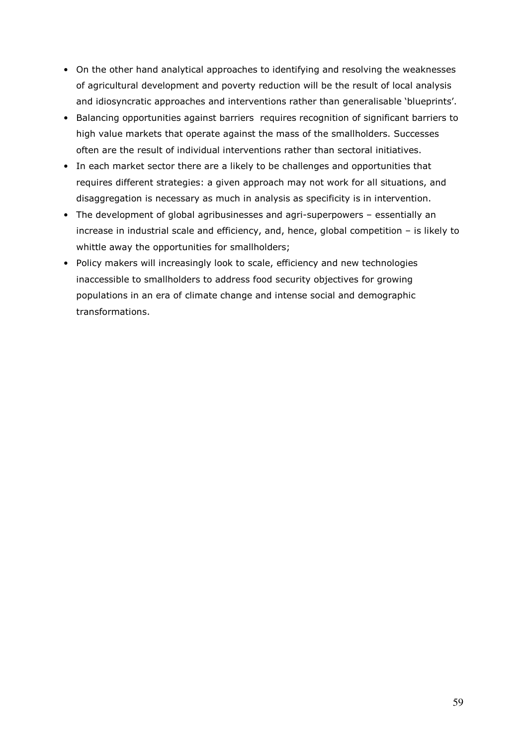- On the other hand analytical approaches to identifying and resolving the weaknesses of agricultural development and poverty reduction will be the result of local analysis and idiosyncratic approaches and interventions rather than generalisable 'blueprints'.
- Balancing opportunities against barriers requires recognition of significant barriers to high value markets that operate against the mass of the smallholders. Successes often are the result of individual interventions rather than sectoral initiatives.
- In each market sector there are a likely to be challenges and opportunities that requires different strategies: a given approach may not work for all situations, and disaggregation is necessary as much in analysis as specificity is in intervention.
- The development of global agribusinesses and agri-superpowers essentially an increase in industrial scale and efficiency, and, hence, global competition – is likely to whittle away the opportunities for smallholders;
- Policy makers will increasingly look to scale, efficiency and new technologies inaccessible to smallholders to address food security objectives for growing populations in an era of climate change and intense social and demographic transformations.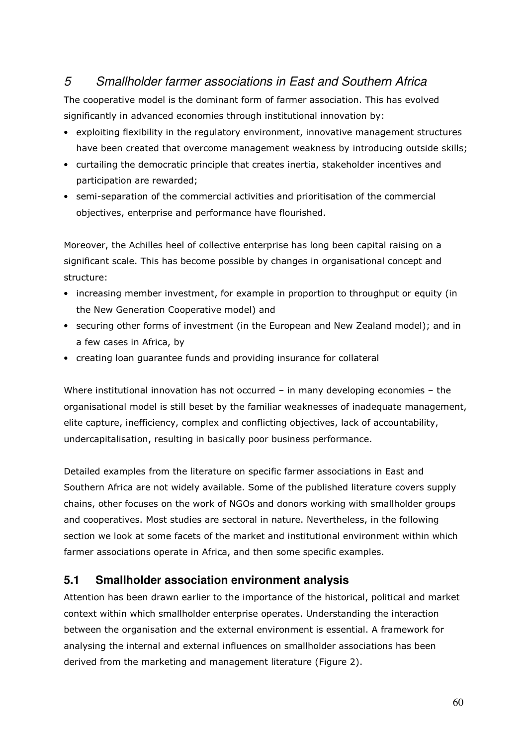# 5 Smallholder farmer associations in East and Southern Africa

The cooperative model is the dominant form of farmer association. This has evolved significantly in advanced economies through institutional innovation by:

- exploiting flexibility in the regulatory environment, innovative management structures have been created that overcome management weakness by introducing outside skills;
- curtailing the democratic principle that creates inertia, stakeholder incentives and participation are rewarded;
- semi-separation of the commercial activities and prioritisation of the commercial objectives, enterprise and performance have flourished.

Moreover, the Achilles heel of collective enterprise has long been capital raising on a significant scale. This has become possible by changes in organisational concept and structure:

- increasing member investment, for example in proportion to throughput or equity (in the New Generation Cooperative model) and
- securing other forms of investment (in the European and New Zealand model); and in a few cases in Africa, by
- creating loan guarantee funds and providing insurance for collateral

Where institutional innovation has not occurred - in many developing economies - the organisational model is still beset by the familiar weaknesses of inadequate management, elite capture, inefficiency, complex and conflicting objectives, lack of accountability, undercapitalisation, resulting in basically poor business performance.

Detailed examples from the literature on specific farmer associations in East and Southern Africa are not widely available. Some of the published literature covers supply chains, other focuses on the work of NGOs and donors working with smallholder groups and cooperatives. Most studies are sectoral in nature. Nevertheless, in the following section we look at some facets of the market and institutional environment within which farmer associations operate in Africa, and then some specific examples.

## **5.1 Smallholder association environment analysis**

Attention has been drawn earlier to the importance of the historical, political and market context within which smallholder enterprise operates. Understanding the interaction between the organisation and the external environment is essential. A framework for analysing the internal and external influences on smallholder associations has been derived from the marketing and management literature (Figure 2).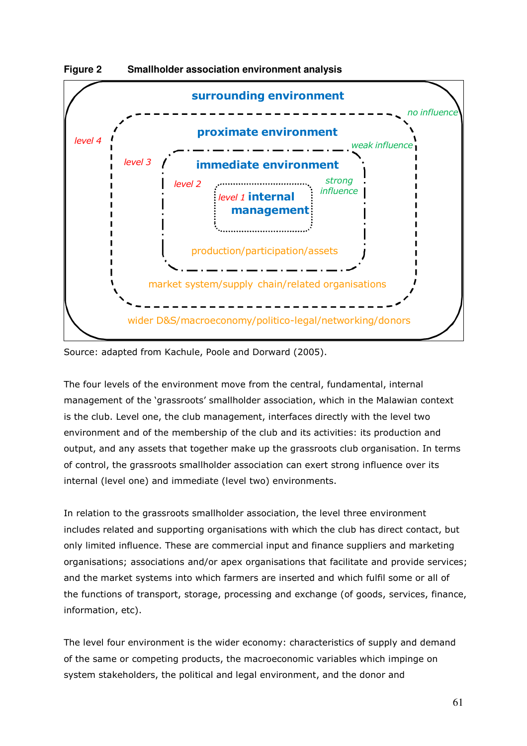

**Figure 2 Smallholder association environment analysis** 

Source: adapted from Kachule, Poole and Dorward (2005).

The four levels of the environment move from the central, fundamental, internal management of the 'grassroots' smallholder association, which in the Malawian context is the club. Level one, the club management, interfaces directly with the level two environment and of the membership of the club and its activities: its production and output, and any assets that together make up the grassroots club organisation. In terms of control, the grassroots smallholder association can exert strong influence over its internal (level one) and immediate (level two) environments.

In relation to the grassroots smallholder association, the level three environment includes related and supporting organisations with which the club has direct contact, but only limited influence. These are commercial input and finance suppliers and marketing organisations; associations and/or apex organisations that facilitate and provide services; and the market systems into which farmers are inserted and which fulfil some or all of the functions of transport, storage, processing and exchange (of goods, services, finance, information, etc).

The level four environment is the wider economy: characteristics of supply and demand of the same or competing products, the macroeconomic variables which impinge on system stakeholders, the political and legal environment, and the donor and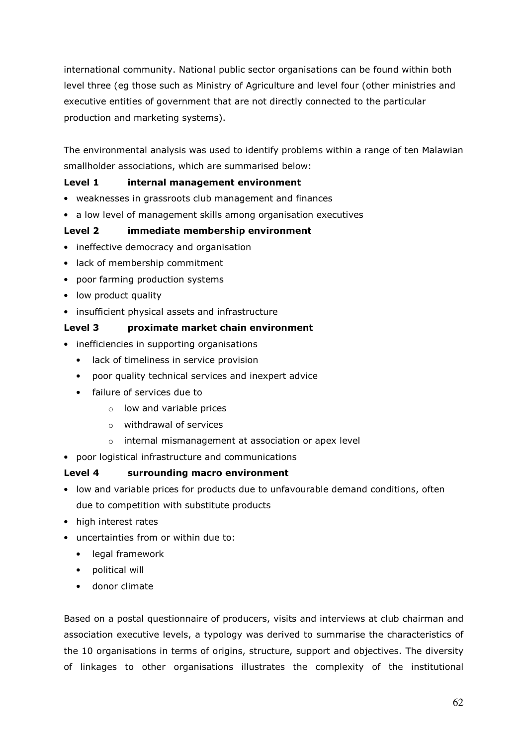international community. National public sector organisations can be found within both level three (eg those such as Ministry of Agriculture and level four (other ministries and executive entities of government that are not directly connected to the particular production and marketing systems).

The environmental analysis was used to identify problems within a range of ten Malawian smallholder associations, which are summarised below:

### Level 1 internal management environment

- weaknesses in grassroots club management and finances
- a low level of management skills among organisation executives

### Level 2 immediate membership environment

- ineffective democracy and organisation
- lack of membership commitment
- poor farming production systems
- low product quality
- insufficient physical assets and infrastructure

#### Level 3 proximate market chain environment

- inefficiencies in supporting organisations
	- lack of timeliness in service provision
	- poor quality technical services and inexpert advice
	- failure of services due to
		- $\circ$  low and variable prices
		- o withdrawal of services
		- o internal mismanagement at association or apex level
- poor logistical infrastructure and communications

### Level 4 surrounding macro environment

- low and variable prices for products due to unfavourable demand conditions, often due to competition with substitute products
- high interest rates
- uncertainties from or within due to:
	- legal framework
	- political will
	- donor climate

Based on a postal questionnaire of producers, visits and interviews at club chairman and association executive levels, a typology was derived to summarise the characteristics of the 10 organisations in terms of origins, structure, support and objectives. The diversity of linkages to other organisations illustrates the complexity of the institutional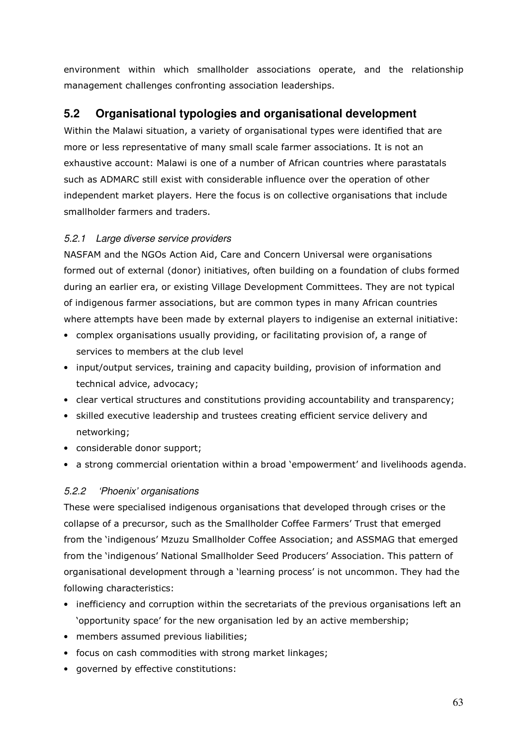environment within which smallholder associations operate, and the relationship management challenges confronting association leaderships.

# **5.2 Organisational typologies and organisational development**

Within the Malawi situation, a variety of organisational types were identified that are more or less representative of many small scale farmer associations. It is not an exhaustive account: Malawi is one of a number of African countries where parastatals such as ADMARC still exist with considerable influence over the operation of other independent market players. Here the focus is on collective organisations that include smallholder farmers and traders.

## 5.2.1 Large diverse service providers

NASFAM and the NGOs Action Aid, Care and Concern Universal were organisations formed out of external (donor) initiatives, often building on a foundation of clubs formed during an earlier era, or existing Village Development Committees. They are not typical of indigenous farmer associations, but are common types in many African countries where attempts have been made by external players to indigenise an external initiative:

- complex organisations usually providing, or facilitating provision of, a range of services to members at the club level
- input/output services, training and capacity building, provision of information and technical advice, advocacy;
- clear vertical structures and constitutions providing accountability and transparency;
- skilled executive leadership and trustees creating efficient service delivery and networking;
- considerable donor support;
- a strong commercial orientation within a broad 'empowerment' and livelihoods agenda.

## 5.2.2 'Phoenix' organisations

These were specialised indigenous organisations that developed through crises or the collapse of a precursor, such as the Smallholder Coffee Farmers' Trust that emerged from the 'indigenous' Mzuzu Smallholder Coffee Association; and ASSMAG that emerged from the 'indigenous' National Smallholder Seed Producers' Association. This pattern of organisational development through a 'learning process' is not uncommon. They had the following characteristics:

- inefficiency and corruption within the secretariats of the previous organisations left an 'opportunity space' for the new organisation led by an active membership;
- members assumed previous liabilities;
- focus on cash commodities with strong market linkages;
- governed by effective constitutions: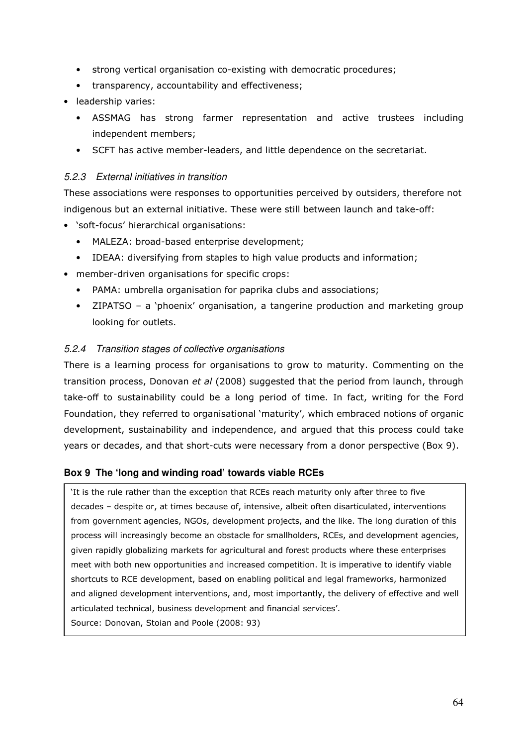- strong vertical organisation co-existing with democratic procedures;
- transparency, accountability and effectiveness;
- leadership varies:
	- ASSMAG has strong farmer representation and active trustees including independent members;
	- SCFT has active member-leaders, and little dependence on the secretariat.

### 5.2.3 External initiatives in transition

These associations were responses to opportunities perceived by outsiders, therefore not indigenous but an external initiative. These were still between launch and take-off:

- 'soft-focus' hierarchical organisations:
	- MALEZA: broad-based enterprise development;
	- IDEAA: diversifying from staples to high value products and information;
- member-driven organisations for specific crops:
	- PAMA: umbrella organisation for paprika clubs and associations;
	- ZIPATSO a 'phoenix' organisation, a tangerine production and marketing group looking for outlets.

### 5.2.4 Transition stages of collective organisations

There is a learning process for organisations to grow to maturity. Commenting on the transition process, Donovan et al (2008) suggested that the period from launch, through take-off to sustainability could be a long period of time. In fact, writing for the Ford Foundation, they referred to organisational 'maturity', which embraced notions of organic development, sustainability and independence, and argued that this process could take years or decades, and that short-cuts were necessary from a donor perspective (Box 9).

### **Box 9 The 'long and winding road' towards viable RCEs**

'It is the rule rather than the exception that RCEs reach maturity only after three to five decades – despite or, at times because of, intensive, albeit often disarticulated, interventions from government agencies, NGOs, development projects, and the like. The long duration of this process will increasingly become an obstacle for smallholders, RCEs, and development agencies, given rapidly globalizing markets for agricultural and forest products where these enterprises meet with both new opportunities and increased competition. It is imperative to identify viable shortcuts to RCE development, based on enabling political and legal frameworks, harmonized and aligned development interventions, and, most importantly, the delivery of effective and well articulated technical, business development and financial services'.

Source: Donovan, Stoian and Poole (2008: 93)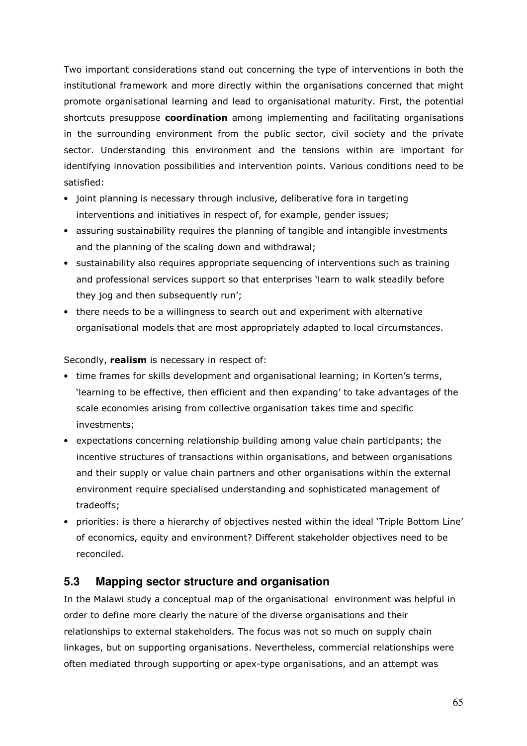Two important considerations stand out concerning the type of interventions in both the institutional framework and more directly within the organisations concerned that might promote organisational learning and lead to organisational maturity. First, the potential shortcuts presuppose **coordination** among implementing and facilitating organisations in the surrounding environment from the public sector, civil society and the private sector. Understanding this environment and the tensions within are important for identifying innovation possibilities and intervention points. Various conditions need to be satisfied:

- joint planning is necessary through inclusive, deliberative fora in targeting interventions and initiatives in respect of, for example, gender issues;
- assuring sustainability requires the planning of tangible and intangible investments and the planning of the scaling down and withdrawal;
- sustainability also requires appropriate sequencing of interventions such as training and professional services support so that enterprises 'learn to walk steadily before they jog and then subsequently run';
- there needs to be a willingness to search out and experiment with alternative organisational models that are most appropriately adapted to local circumstances.

Secondly, realism is necessary in respect of:

- time frames for skills development and organisational learning; in Korten's terms, 'learning to be effective, then efficient and then expanding' to take advantages of the scale economies arising from collective organisation takes time and specific investments;
- expectations concerning relationship building among value chain participants; the incentive structures of transactions within organisations, and between organisations and their supply or value chain partners and other organisations within the external environment require specialised understanding and sophisticated management of tradeoffs;
- priorities: is there a hierarchy of objectives nested within the ideal 'Triple Bottom Line' of economics, equity and environment? Different stakeholder objectives need to be reconciled.

# **5.3 Mapping sector structure and organisation**

In the Malawi study a conceptual map of the organisational environment was helpful in order to define more clearly the nature of the diverse organisations and their relationships to external stakeholders. The focus was not so much on supply chain linkages, but on supporting organisations. Nevertheless, commercial relationships were often mediated through supporting or apex-type organisations, and an attempt was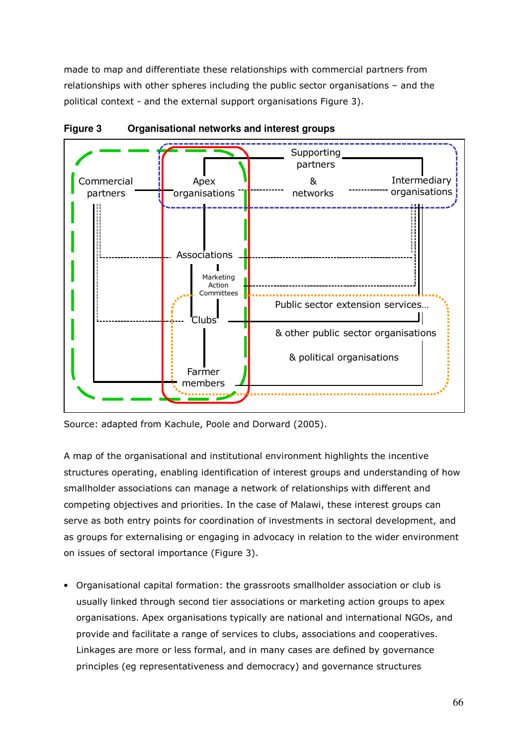made to map and differentiate these relationships with commercial partners from relationships with other spheres including the public sector organisations – and the political context - and the external support organisations Figure 3).



**Figure 3 Organisational networks and interest groups** 

Source: adapted from Kachule, Poole and Dorward (2005).

A map of the organisational and institutional environment highlights the incentive structures operating, enabling identification of interest groups and understanding of how smallholder associations can manage a network of relationships with different and competing objectives and priorities. In the case of Malawi, these interest groups can serve as both entry points for coordination of investments in sectoral development, and as groups for externalising or engaging in advocacy in relation to the wider environment on issues of sectoral importance (Figure 3).

• Organisational capital formation: the grassroots smallholder association or club is usually linked through second tier associations or marketing action groups to apex organisations. Apex organisations typically are national and international NGOs, and provide and facilitate a range of services to clubs, associations and cooperatives. Linkages are more or less formal, and in many cases are defined by governance principles (eg representativeness and democracy) and governance structures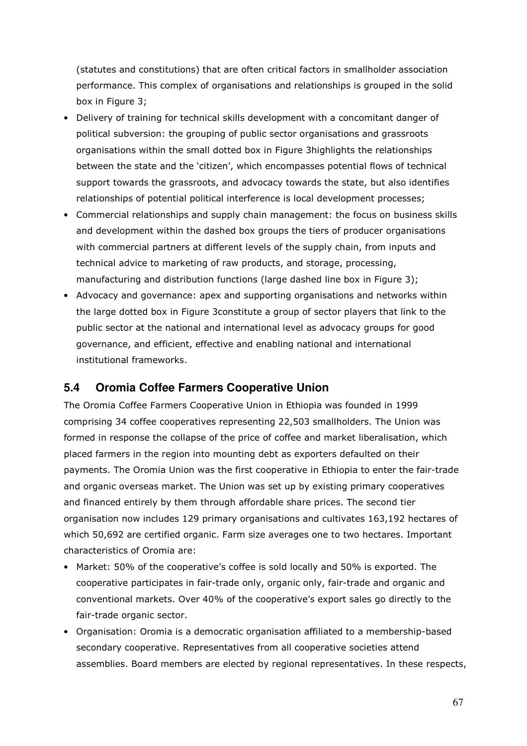(statutes and constitutions) that are often critical factors in smallholder association performance. This complex of organisations and relationships is grouped in the solid box in Figure 3;

- Delivery of training for technical skills development with a concomitant danger of political subversion: the grouping of public sector organisations and grassroots organisations within the small dotted box in Figure 3highlights the relationships between the state and the 'citizen', which encompasses potential flows of technical support towards the grassroots, and advocacy towards the state, but also identifies relationships of potential political interference is local development processes;
- Commercial relationships and supply chain management: the focus on business skills and development within the dashed box groups the tiers of producer organisations with commercial partners at different levels of the supply chain, from inputs and technical advice to marketing of raw products, and storage, processing, manufacturing and distribution functions (large dashed line box in Figure 3);
- Advocacy and governance: apex and supporting organisations and networks within the large dotted box in Figure 3constitute a group of sector players that link to the public sector at the national and international level as advocacy groups for good governance, and efficient, effective and enabling national and international institutional frameworks.

# **5.4 Oromia Coffee Farmers Cooperative Union**

The Oromia Coffee Farmers Cooperative Union in Ethiopia was founded in 1999 comprising 34 coffee cooperatives representing 22,503 smallholders. The Union was formed in response the collapse of the price of coffee and market liberalisation, which placed farmers in the region into mounting debt as exporters defaulted on their payments. The Oromia Union was the first cooperative in Ethiopia to enter the fair-trade and organic overseas market. The Union was set up by existing primary cooperatives and financed entirely by them through affordable share prices. The second tier organisation now includes 129 primary organisations and cultivates 163,192 hectares of which 50,692 are certified organic. Farm size averages one to two hectares. Important characteristics of Oromia are:

- Market: 50% of the cooperative's coffee is sold locally and 50% is exported. The cooperative participates in fair-trade only, organic only, fair-trade and organic and conventional markets. Over 40% of the cooperative's export sales go directly to the fair-trade organic sector.
- Organisation: Oromia is a democratic organisation affiliated to a membership-based secondary cooperative. Representatives from all cooperative societies attend assemblies. Board members are elected by regional representatives. In these respects,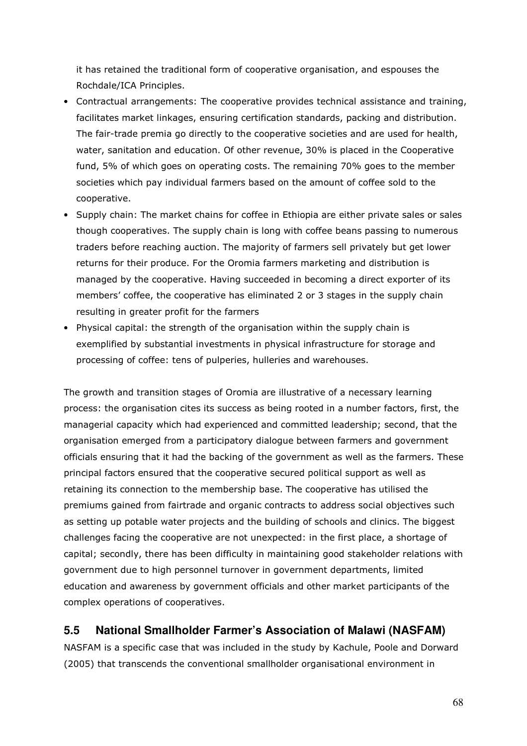it has retained the traditional form of cooperative organisation, and espouses the Rochdale/ICA Principles.

- Contractual arrangements: The cooperative provides technical assistance and training, facilitates market linkages, ensuring certification standards, packing and distribution. The fair-trade premia go directly to the cooperative societies and are used for health, water, sanitation and education. Of other revenue, 30% is placed in the Cooperative fund, 5% of which goes on operating costs. The remaining 70% goes to the member societies which pay individual farmers based on the amount of coffee sold to the cooperative.
- Supply chain: The market chains for coffee in Ethiopia are either private sales or sales though cooperatives. The supply chain is long with coffee beans passing to numerous traders before reaching auction. The majority of farmers sell privately but get lower returns for their produce. For the Oromia farmers marketing and distribution is managed by the cooperative. Having succeeded in becoming a direct exporter of its members' coffee, the cooperative has eliminated 2 or 3 stages in the supply chain resulting in greater profit for the farmers
- Physical capital: the strength of the organisation within the supply chain is exemplified by substantial investments in physical infrastructure for storage and processing of coffee: tens of pulperies, hulleries and warehouses.

The growth and transition stages of Oromia are illustrative of a necessary learning process: the organisation cites its success as being rooted in a number factors, first, the managerial capacity which had experienced and committed leadership; second, that the organisation emerged from a participatory dialogue between farmers and government officials ensuring that it had the backing of the government as well as the farmers. These principal factors ensured that the cooperative secured political support as well as retaining its connection to the membership base. The cooperative has utilised the premiums gained from fairtrade and organic contracts to address social objectives such as setting up potable water projects and the building of schools and clinics. The biggest challenges facing the cooperative are not unexpected: in the first place, a shortage of capital; secondly, there has been difficulty in maintaining good stakeholder relations with government due to high personnel turnover in government departments, limited education and awareness by government officials and other market participants of the complex operations of cooperatives.

# **5.5 National Smallholder Farmer's Association of Malawi (NASFAM)**

NASFAM is a specific case that was included in the study by Kachule, Poole and Dorward (2005) that transcends the conventional smallholder organisational environment in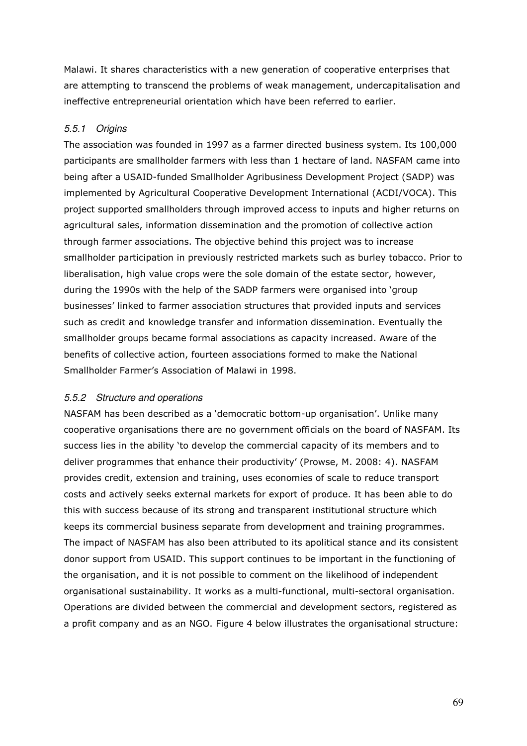Malawi. It shares characteristics with a new generation of cooperative enterprises that are attempting to transcend the problems of weak management, undercapitalisation and ineffective entrepreneurial orientation which have been referred to earlier.

### 5.5.1 Origins

The association was founded in 1997 as a farmer directed business system. Its 100,000 participants are smallholder farmers with less than 1 hectare of land. NASFAM came into being after a USAID-funded Smallholder Agribusiness Development Project (SADP) was implemented by Agricultural Cooperative Development International (ACDI/VOCA). This project supported smallholders through improved access to inputs and higher returns on agricultural sales, information dissemination and the promotion of collective action through farmer associations. The objective behind this project was to increase smallholder participation in previously restricted markets such as burley tobacco. Prior to liberalisation, high value crops were the sole domain of the estate sector, however, during the 1990s with the help of the SADP farmers were organised into 'group businesses' linked to farmer association structures that provided inputs and services such as credit and knowledge transfer and information dissemination. Eventually the smallholder groups became formal associations as capacity increased. Aware of the benefits of collective action, fourteen associations formed to make the National Smallholder Farmer's Association of Malawi in 1998.

### 5.5.2 Structure and operations

NASFAM has been described as a 'democratic bottom-up organisation'. Unlike many cooperative organisations there are no government officials on the board of NASFAM. Its success lies in the ability 'to develop the commercial capacity of its members and to deliver programmes that enhance their productivity' (Prowse, M. 2008: 4). NASFAM provides credit, extension and training, uses economies of scale to reduce transport costs and actively seeks external markets for export of produce. It has been able to do this with success because of its strong and transparent institutional structure which keeps its commercial business separate from development and training programmes. The impact of NASFAM has also been attributed to its apolitical stance and its consistent donor support from USAID. This support continues to be important in the functioning of the organisation, and it is not possible to comment on the likelihood of independent organisational sustainability. It works as a multi-functional, multi-sectoral organisation. Operations are divided between the commercial and development sectors, registered as a profit company and as an NGO. Figure 4 below illustrates the organisational structure: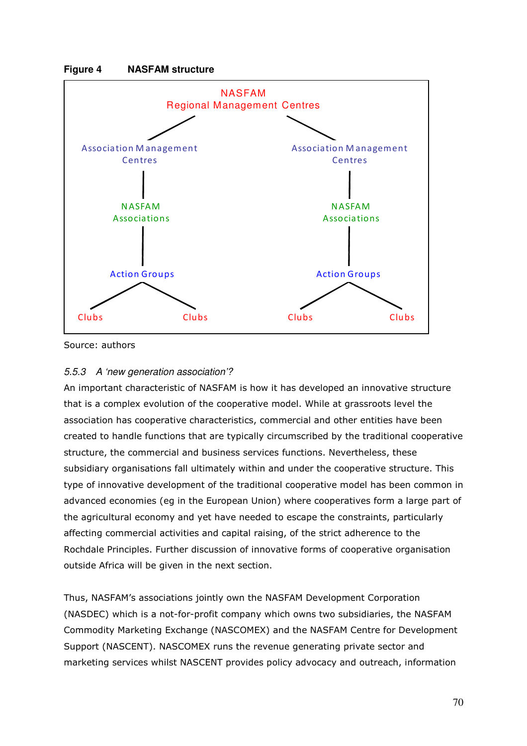



Source: authors

### 5.5.3 A 'new generation association'?

An important characteristic of NASFAM is how it has developed an innovative structure that is a complex evolution of the cooperative model. While at grassroots level the association has cooperative characteristics, commercial and other entities have been created to handle functions that are typically circumscribed by the traditional cooperative structure, the commercial and business services functions. Nevertheless, these subsidiary organisations fall ultimately within and under the cooperative structure. This type of innovative development of the traditional cooperative model has been common in advanced economies (eg in the European Union) where cooperatives form a large part of the agricultural economy and yet have needed to escape the constraints, particularly affecting commercial activities and capital raising, of the strict adherence to the Rochdale Principles. Further discussion of innovative forms of cooperative organisation outside Africa will be given in the next section.

Thus, NASFAM's associations jointly own the NASFAM Development Corporation (NASDEC) which is a not-for-profit company which owns two subsidiaries, the NASFAM Commodity Marketing Exchange (NASCOMEX) and the NASFAM Centre for Development Support (NASCENT). NASCOMEX runs the revenue generating private sector and marketing services whilst NASCENT provides policy advocacy and outreach, information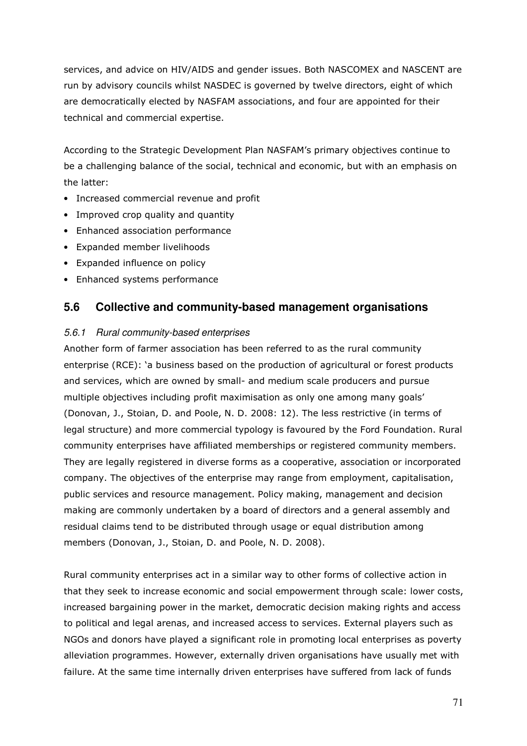services, and advice on HIV/AIDS and gender issues. Both NASCOMEX and NASCENT are run by advisory councils whilst NASDEC is governed by twelve directors, eight of which are democratically elected by NASFAM associations, and four are appointed for their technical and commercial expertise.

According to the Strategic Development Plan NASFAM's primary objectives continue to be a challenging balance of the social, technical and economic, but with an emphasis on the latter:

- Increased commercial revenue and profit
- Improved crop quality and quantity
- Enhanced association performance
- Expanded member livelihoods
- Expanded influence on policy
- Enhanced systems performance

## **5.6 Collective and community-based management organisations**

### 5.6.1 Rural community-based enterprises

Another form of farmer association has been referred to as the rural community enterprise (RCE): 'a business based on the production of agricultural or forest products and services, which are owned by small- and medium scale producers and pursue multiple objectives including profit maximisation as only one among many goals' (Donovan, J., Stoian, D. and Poole, N. D. 2008: 12). The less restrictive (in terms of legal structure) and more commercial typology is favoured by the Ford Foundation. Rural community enterprises have affiliated memberships or registered community members. They are legally registered in diverse forms as a cooperative, association or incorporated company. The objectives of the enterprise may range from employment, capitalisation, public services and resource management. Policy making, management and decision making are commonly undertaken by a board of directors and a general assembly and residual claims tend to be distributed through usage or equal distribution among members (Donovan, J., Stoian, D. and Poole, N. D. 2008).

Rural community enterprises act in a similar way to other forms of collective action in that they seek to increase economic and social empowerment through scale: lower costs, increased bargaining power in the market, democratic decision making rights and access to political and legal arenas, and increased access to services. External players such as NGOs and donors have played a significant role in promoting local enterprises as poverty alleviation programmes. However, externally driven organisations have usually met with failure. At the same time internally driven enterprises have suffered from lack of funds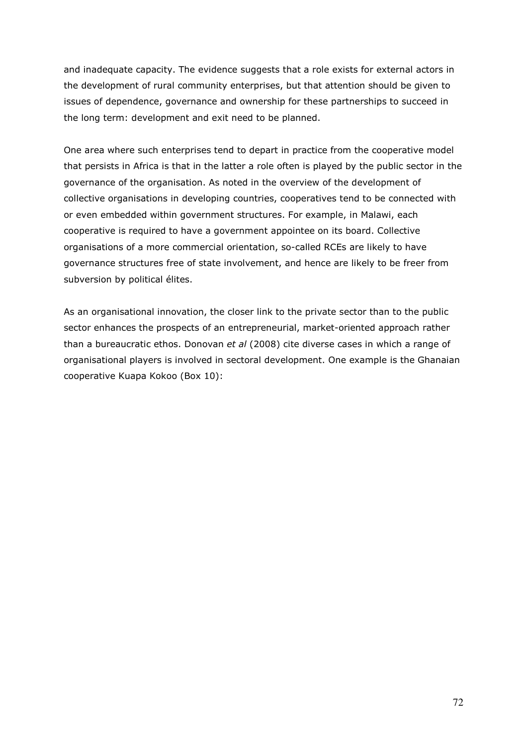and inadequate capacity. The evidence suggests that a role exists for external actors in the development of rural community enterprises, but that attention should be given to issues of dependence, governance and ownership for these partnerships to succeed in the long term: development and exit need to be planned.

One area where such enterprises tend to depart in practice from the cooperative model that persists in Africa is that in the latter a role often is played by the public sector in the governance of the organisation. As noted in the overview of the development of collective organisations in developing countries, cooperatives tend to be connected with or even embedded within government structures. For example, in Malawi, each cooperative is required to have a government appointee on its board. Collective organisations of a more commercial orientation, so-called RCEs are likely to have governance structures free of state involvement, and hence are likely to be freer from subversion by political élites.

As an organisational innovation, the closer link to the private sector than to the public sector enhances the prospects of an entrepreneurial, market-oriented approach rather than a bureaucratic ethos. Donovan et al (2008) cite diverse cases in which a range of organisational players is involved in sectoral development. One example is the Ghanaian cooperative Kuapa Kokoo (Box 10):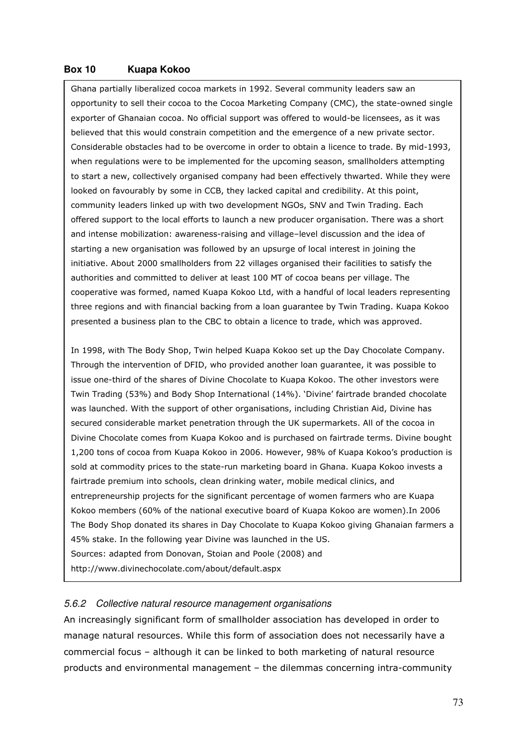### **Box 10 Kuapa Kokoo**

Ghana partially liberalized cocoa markets in 1992. Several community leaders saw an opportunity to sell their cocoa to the Cocoa Marketing Company (CMC), the state-owned single exporter of Ghanaian cocoa. No official support was offered to would-be licensees, as it was believed that this would constrain competition and the emergence of a new private sector. Considerable obstacles had to be overcome in order to obtain a licence to trade. By mid-1993, when regulations were to be implemented for the upcoming season, smallholders attempting to start a new, collectively organised company had been effectively thwarted. While they were looked on favourably by some in CCB, they lacked capital and credibility. At this point, community leaders linked up with two development NGOs, SNV and Twin Trading. Each offered support to the local efforts to launch a new producer organisation. There was a short and intense mobilization: awareness-raising and village–level discussion and the idea of starting a new organisation was followed by an upsurge of local interest in joining the initiative. About 2000 smallholders from 22 villages organised their facilities to satisfy the authorities and committed to deliver at least 100 MT of cocoa beans per village. The cooperative was formed, named Kuapa Kokoo Ltd, with a handful of local leaders representing three regions and with financial backing from a loan guarantee by Twin Trading. Kuapa Kokoo presented a business plan to the CBC to obtain a licence to trade, which was approved.

In 1998, with The Body Shop, Twin helped Kuapa Kokoo set up the Day Chocolate Company. Through the intervention of DFID, who provided another loan guarantee, it was possible to issue one-third of the shares of Divine Chocolate to Kuapa Kokoo. The other investors were Twin Trading (53%) and Body Shop International (14%). 'Divine' fairtrade branded chocolate was launched. With the support of other organisations, including Christian Aid, Divine has secured considerable market penetration through the UK supermarkets. All of the cocoa in Divine Chocolate comes from Kuapa Kokoo and is purchased on fairtrade terms. Divine bought 1,200 tons of cocoa from Kuapa Kokoo in 2006. However, 98% of Kuapa Kokoo's production is sold at commodity prices to the state-run marketing board in Ghana. Kuapa Kokoo invests a fairtrade premium into schools, clean drinking water, mobile medical clinics, and entrepreneurship projects for the significant percentage of women farmers who are Kuapa Kokoo members (60% of the national executive board of Kuapa Kokoo are women).In 2006 The Body Shop donated its shares in Day Chocolate to Kuapa Kokoo giving Ghanaian farmers a 45% stake. In the following year Divine was launched in the US. Sources: adapted from Donovan, Stoian and Poole (2008) and http://www.divinechocolate.com/about/default.aspx

#### 5.6.2 Collective natural resource management organisations

An increasingly significant form of smallholder association has developed in order to manage natural resources. While this form of association does not necessarily have a commercial focus – although it can be linked to both marketing of natural resource products and environmental management – the dilemmas concerning intra-community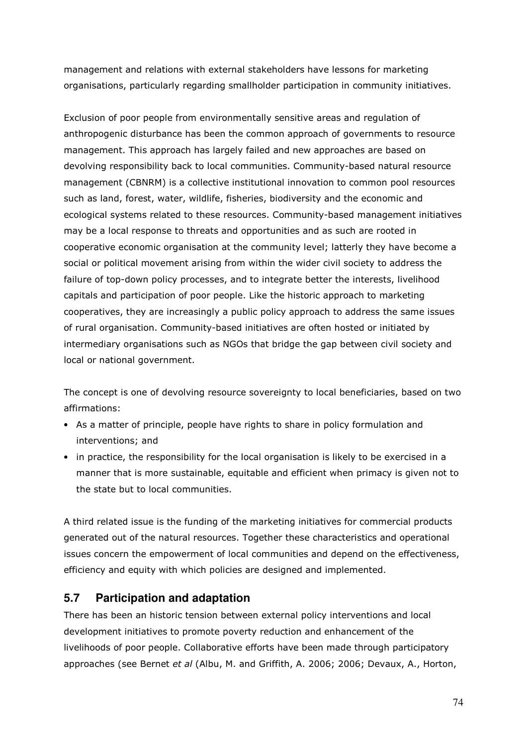management and relations with external stakeholders have lessons for marketing organisations, particularly regarding smallholder participation in community initiatives.

Exclusion of poor people from environmentally sensitive areas and regulation of anthropogenic disturbance has been the common approach of governments to resource management. This approach has largely failed and new approaches are based on devolving responsibility back to local communities. Community-based natural resource management (CBNRM) is a collective institutional innovation to common pool resources such as land, forest, water, wildlife, fisheries, biodiversity and the economic and ecological systems related to these resources. Community-based management initiatives may be a local response to threats and opportunities and as such are rooted in cooperative economic organisation at the community level; latterly they have become a social or political movement arising from within the wider civil society to address the failure of top-down policy processes, and to integrate better the interests, livelihood capitals and participation of poor people. Like the historic approach to marketing cooperatives, they are increasingly a public policy approach to address the same issues of rural organisation. Community-based initiatives are often hosted or initiated by intermediary organisations such as NGOs that bridge the gap between civil society and local or national government.

The concept is one of devolving resource sovereignty to local beneficiaries, based on two affirmations:

- As a matter of principle, people have rights to share in policy formulation and interventions; and
- in practice, the responsibility for the local organisation is likely to be exercised in a manner that is more sustainable, equitable and efficient when primacy is given not to the state but to local communities.

A third related issue is the funding of the marketing initiatives for commercial products generated out of the natural resources. Together these characteristics and operational issues concern the empowerment of local communities and depend on the effectiveness, efficiency and equity with which policies are designed and implemented.

# **5.7 Participation and adaptation**

There has been an historic tension between external policy interventions and local development initiatives to promote poverty reduction and enhancement of the livelihoods of poor people. Collaborative efforts have been made through participatory approaches (see Bernet et al (Albu, M. and Griffith, A. 2006; 2006; Devaux, A., Horton,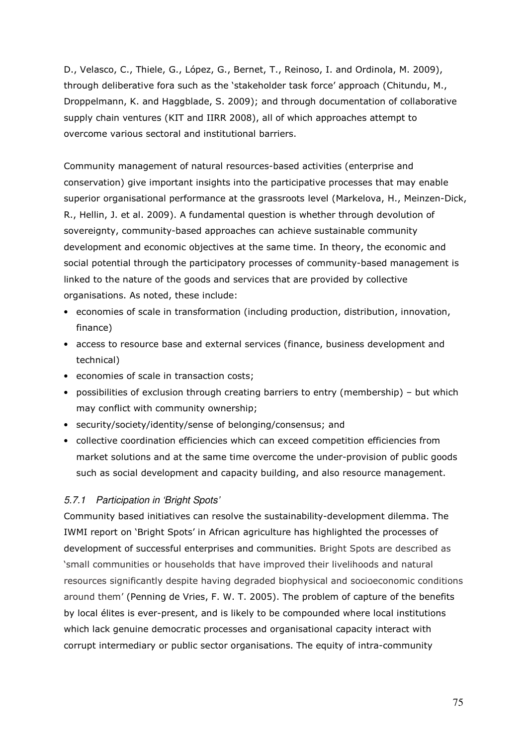D., Velasco, C., Thiele, G., López, G., Bernet, T., Reinoso, I. and Ordinola, M. 2009), through deliberative fora such as the 'stakeholder task force' approach (Chitundu, M., Droppelmann, K. and Haggblade, S. 2009); and through documentation of collaborative supply chain ventures (KIT and IIRR 2008), all of which approaches attempt to overcome various sectoral and institutional barriers.

Community management of natural resources-based activities (enterprise and conservation) give important insights into the participative processes that may enable superior organisational performance at the grassroots level (Markelova, H., Meinzen-Dick, R., Hellin, J. et al. 2009). A fundamental question is whether through devolution of sovereignty, community-based approaches can achieve sustainable community development and economic objectives at the same time. In theory, the economic and social potential through the participatory processes of community-based management is linked to the nature of the goods and services that are provided by collective organisations. As noted, these include:

- economies of scale in transformation (including production, distribution, innovation, finance)
- access to resource base and external services (finance, business development and technical)
- economies of scale in transaction costs;
- possibilities of exclusion through creating barriers to entry (membership) but which may conflict with community ownership;
- security/society/identity/sense of belonging/consensus; and
- collective coordination efficiencies which can exceed competition efficiencies from market solutions and at the same time overcome the under-provision of public goods such as social development and capacity building, and also resource management.

### 5.7.1 Participation in 'Bright Spots'

Community based initiatives can resolve the sustainability-development dilemma. The IWMI report on 'Bright Spots' in African agriculture has highlighted the processes of development of successful enterprises and communities. Bright Spots are described as 'small communities or households that have improved their livelihoods and natural resources significantly despite having degraded biophysical and socioeconomic conditions around them' (Penning de Vries, F. W. T. 2005). The problem of capture of the benefits by local élites is ever-present, and is likely to be compounded where local institutions which lack genuine democratic processes and organisational capacity interact with corrupt intermediary or public sector organisations. The equity of intra-community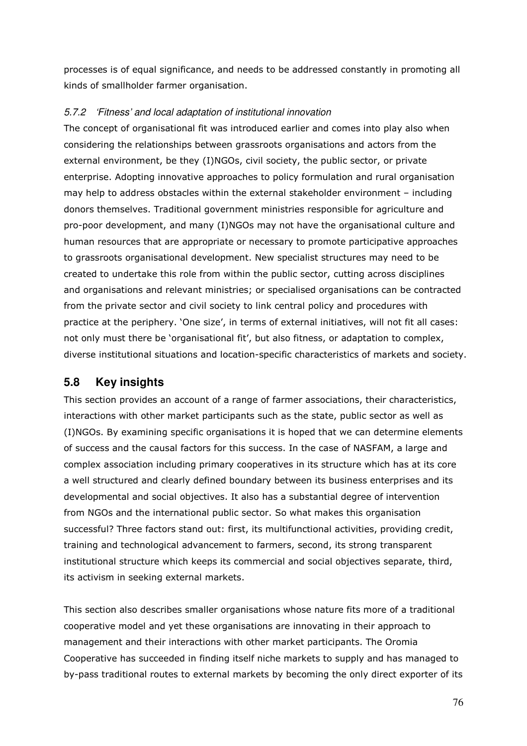processes is of equal significance, and needs to be addressed constantly in promoting all kinds of smallholder farmer organisation.

### 5.7.2 'Fitness' and local adaptation of institutional innovation

The concept of organisational fit was introduced earlier and comes into play also when considering the relationships between grassroots organisations and actors from the external environment, be they (I)NGOs, civil society, the public sector, or private enterprise. Adopting innovative approaches to policy formulation and rural organisation may help to address obstacles within the external stakeholder environment – including donors themselves. Traditional government ministries responsible for agriculture and pro-poor development, and many (I)NGOs may not have the organisational culture and human resources that are appropriate or necessary to promote participative approaches to grassroots organisational development. New specialist structures may need to be created to undertake this role from within the public sector, cutting across disciplines and organisations and relevant ministries; or specialised organisations can be contracted from the private sector and civil society to link central policy and procedures with practice at the periphery. 'One size', in terms of external initiatives, will not fit all cases: not only must there be 'organisational fit', but also fitness, or adaptation to complex, diverse institutional situations and location-specific characteristics of markets and society.

## **5.8 Key insights**

This section provides an account of a range of farmer associations, their characteristics, interactions with other market participants such as the state, public sector as well as (I)NGOs. By examining specific organisations it is hoped that we can determine elements of success and the causal factors for this success. In the case of NASFAM, a large and complex association including primary cooperatives in its structure which has at its core a well structured and clearly defined boundary between its business enterprises and its developmental and social objectives. It also has a substantial degree of intervention from NGOs and the international public sector. So what makes this organisation successful? Three factors stand out: first, its multifunctional activities, providing credit, training and technological advancement to farmers, second, its strong transparent institutional structure which keeps its commercial and social objectives separate, third, its activism in seeking external markets.

This section also describes smaller organisations whose nature fits more of a traditional cooperative model and yet these organisations are innovating in their approach to management and their interactions with other market participants. The Oromia Cooperative has succeeded in finding itself niche markets to supply and has managed to by-pass traditional routes to external markets by becoming the only direct exporter of its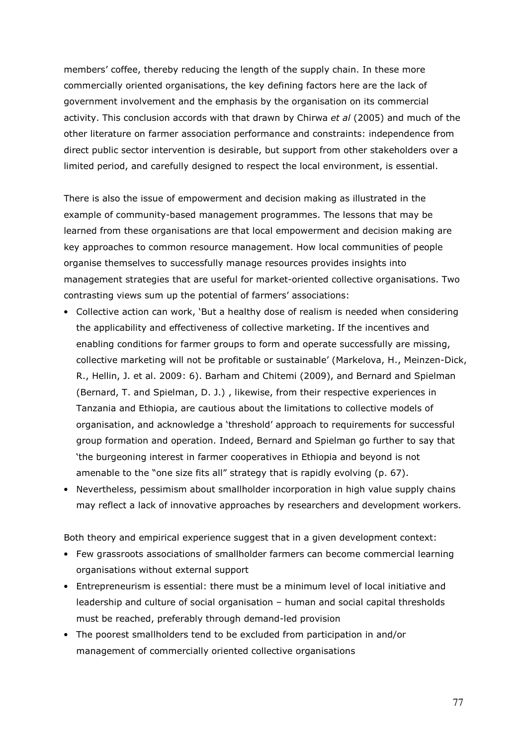members' coffee, thereby reducing the length of the supply chain. In these more commercially oriented organisations, the key defining factors here are the lack of government involvement and the emphasis by the organisation on its commercial activity. This conclusion accords with that drawn by Chirwa et al (2005) and much of the other literature on farmer association performance and constraints: independence from direct public sector intervention is desirable, but support from other stakeholders over a limited period, and carefully designed to respect the local environment, is essential.

There is also the issue of empowerment and decision making as illustrated in the example of community-based management programmes. The lessons that may be learned from these organisations are that local empowerment and decision making are key approaches to common resource management. How local communities of people organise themselves to successfully manage resources provides insights into management strategies that are useful for market-oriented collective organisations. Two contrasting views sum up the potential of farmers' associations:

- Collective action can work, 'But a healthy dose of realism is needed when considering the applicability and effectiveness of collective marketing. If the incentives and enabling conditions for farmer groups to form and operate successfully are missing, collective marketing will not be profitable or sustainable' (Markelova, H., Meinzen-Dick, R., Hellin, J. et al. 2009: 6). Barham and Chitemi (2009), and Bernard and Spielman (Bernard, T. and Spielman, D. J.) , likewise, from their respective experiences in Tanzania and Ethiopia, are cautious about the limitations to collective models of organisation, and acknowledge a 'threshold' approach to requirements for successful group formation and operation. Indeed, Bernard and Spielman go further to say that 'the burgeoning interest in farmer cooperatives in Ethiopia and beyond is not amenable to the "one size fits all" strategy that is rapidly evolving (p. 67).
- Nevertheless, pessimism about smallholder incorporation in high value supply chains may reflect a lack of innovative approaches by researchers and development workers.

Both theory and empirical experience suggest that in a given development context:

- Few grassroots associations of smallholder farmers can become commercial learning organisations without external support
- Entrepreneurism is essential: there must be a minimum level of local initiative and leadership and culture of social organisation – human and social capital thresholds must be reached, preferably through demand-led provision
- The poorest smallholders tend to be excluded from participation in and/or management of commercially oriented collective organisations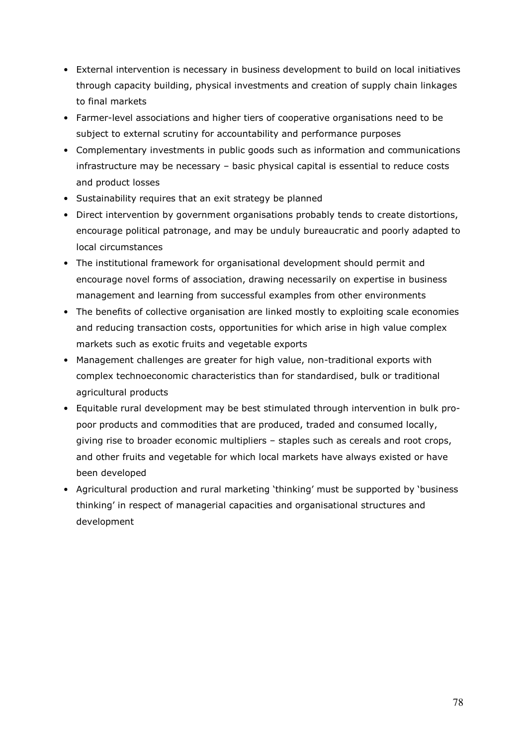- External intervention is necessary in business development to build on local initiatives through capacity building, physical investments and creation of supply chain linkages to final markets
- Farmer-level associations and higher tiers of cooperative organisations need to be subject to external scrutiny for accountability and performance purposes
- Complementary investments in public goods such as information and communications infrastructure may be necessary – basic physical capital is essential to reduce costs and product losses
- Sustainability requires that an exit strategy be planned
- Direct intervention by government organisations probably tends to create distortions, encourage political patronage, and may be unduly bureaucratic and poorly adapted to local circumstances
- The institutional framework for organisational development should permit and encourage novel forms of association, drawing necessarily on expertise in business management and learning from successful examples from other environments
- The benefits of collective organisation are linked mostly to exploiting scale economies and reducing transaction costs, opportunities for which arise in high value complex markets such as exotic fruits and vegetable exports
- Management challenges are greater for high value, non-traditional exports with complex technoeconomic characteristics than for standardised, bulk or traditional agricultural products
- Equitable rural development may be best stimulated through intervention in bulk propoor products and commodities that are produced, traded and consumed locally, giving rise to broader economic multipliers – staples such as cereals and root crops, and other fruits and vegetable for which local markets have always existed or have been developed
- Agricultural production and rural marketing 'thinking' must be supported by 'business thinking' in respect of managerial capacities and organisational structures and development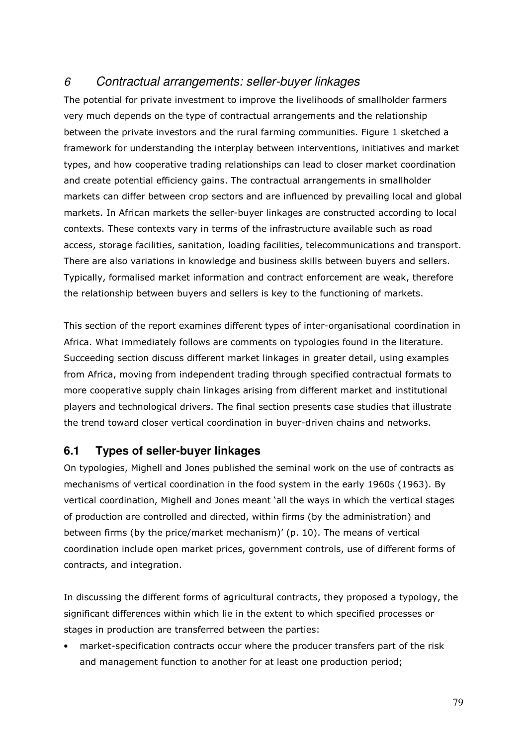# 6 Contractual arrangements: seller-buyer linkages

The potential for private investment to improve the livelihoods of smallholder farmers very much depends on the type of contractual arrangements and the relationship between the private investors and the rural farming communities. Figure 1 sketched a framework for understanding the interplay between interventions, initiatives and market types, and how cooperative trading relationships can lead to closer market coordination and create potential efficiency gains. The contractual arrangements in smallholder markets can differ between crop sectors and are influenced by prevailing local and global markets. In African markets the seller-buyer linkages are constructed according to local contexts. These contexts vary in terms of the infrastructure available such as road access, storage facilities, sanitation, loading facilities, telecommunications and transport. There are also variations in knowledge and business skills between buyers and sellers. Typically, formalised market information and contract enforcement are weak, therefore the relationship between buyers and sellers is key to the functioning of markets.

This section of the report examines different types of inter-organisational coordination in Africa. What immediately follows are comments on typologies found in the literature. Succeeding section discuss different market linkages in greater detail, using examples from Africa, moving from independent trading through specified contractual formats to more cooperative supply chain linkages arising from different market and institutional players and technological drivers. The final section presents case studies that illustrate the trend toward closer vertical coordination in buyer-driven chains and networks.

## **6.1 Types of seller-buyer linkages**

On typologies, Mighell and Jones published the seminal work on the use of contracts as mechanisms of vertical coordination in the food system in the early 1960s (1963). By vertical coordination, Mighell and Jones meant 'all the ways in which the vertical stages of production are controlled and directed, within firms (by the administration) and between firms (by the price/market mechanism)' (p. 10). The means of vertical coordination include open market prices, government controls, use of different forms of contracts, and integration.

In discussing the different forms of agricultural contracts, they proposed a typology, the significant differences within which lie in the extent to which specified processes or stages in production are transferred between the parties:

• market-specification contracts occur where the producer transfers part of the risk and management function to another for at least one production period;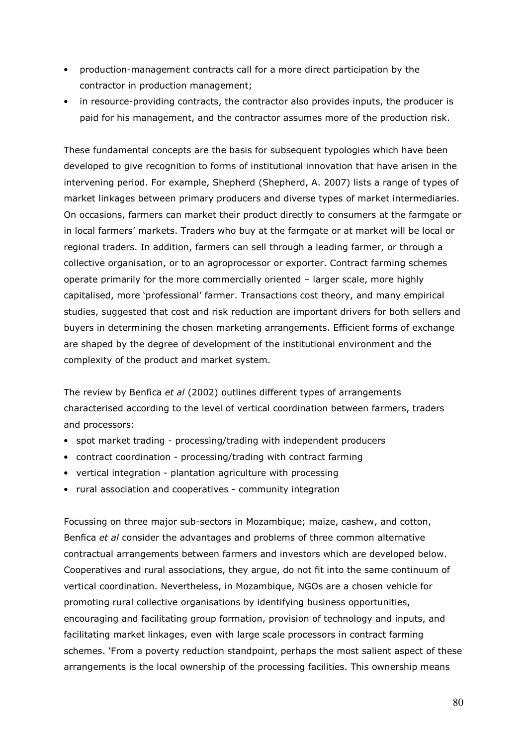- production-management contracts call for a more direct participation by the contractor in production management;
- in resource-providing contracts, the contractor also provides inputs, the producer is paid for his management, and the contractor assumes more of the production risk.

These fundamental concepts are the basis for subsequent typologies which have been developed to give recognition to forms of institutional innovation that have arisen in the intervening period. For example, Shepherd (Shepherd, A. 2007) lists a range of types of market linkages between primary producers and diverse types of market intermediaries. On occasions, farmers can market their product directly to consumers at the farmgate or in local farmers' markets. Traders who buy at the farmgate or at market will be local or regional traders. In addition, farmers can sell through a leading farmer, or through a collective organisation, or to an agroprocessor or exporter. Contract farming schemes operate primarily for the more commercially oriented – larger scale, more highly capitalised, more 'professional' farmer. Transactions cost theory, and many empirical studies, suggested that cost and risk reduction are important drivers for both sellers and buyers in determining the chosen marketing arrangements. Efficient forms of exchange are shaped by the degree of development of the institutional environment and the complexity of the product and market system.

The review by Benfica et al (2002) outlines different types of arrangements characterised according to the level of vertical coordination between farmers, traders and processors:

- spot market trading processing/trading with independent producers
- contract coordination processing/trading with contract farming
- vertical integration plantation agriculture with processing
- rural association and cooperatives community integration

Focussing on three major sub-sectors in Mozambique; maize, cashew, and cotton, Benfica et al consider the advantages and problems of three common alternative contractual arrangements between farmers and investors which are developed below. Cooperatives and rural associations, they argue, do not fit into the same continuum of vertical coordination. Nevertheless, in Mozambique, NGOs are a chosen vehicle for promoting rural collective organisations by identifying business opportunities, encouraging and facilitating group formation, provision of technology and inputs, and facilitating market linkages, even with large scale processors in contract farming schemes. 'From a poverty reduction standpoint, perhaps the most salient aspect of these arrangements is the local ownership of the processing facilities. This ownership means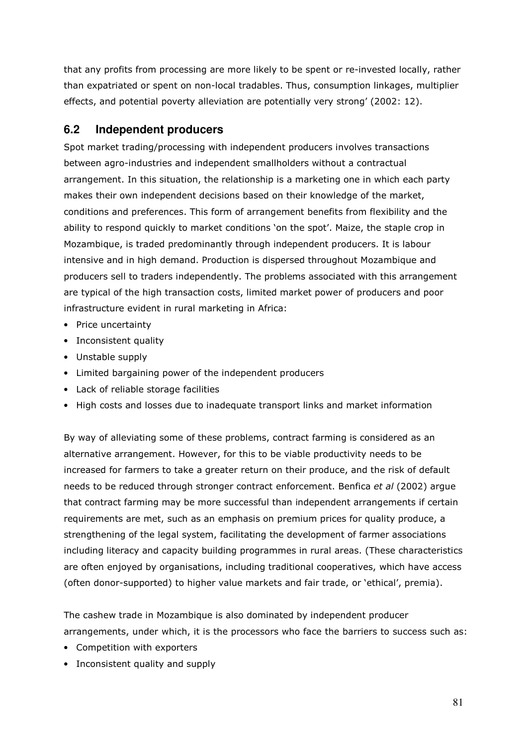that any profits from processing are more likely to be spent or re-invested locally, rather than expatriated or spent on non-local tradables. Thus, consumption linkages, multiplier effects, and potential poverty alleviation are potentially very strong' (2002: 12).

# **6.2 Independent producers**

Spot market trading/processing with independent producers involves transactions between agro-industries and independent smallholders without a contractual arrangement. In this situation, the relationship is a marketing one in which each party makes their own independent decisions based on their knowledge of the market, conditions and preferences. This form of arrangement benefits from flexibility and the ability to respond quickly to market conditions 'on the spot'. Maize, the staple crop in Mozambique, is traded predominantly through independent producers. It is labour intensive and in high demand. Production is dispersed throughout Mozambique and producers sell to traders independently. The problems associated with this arrangement are typical of the high transaction costs, limited market power of producers and poor infrastructure evident in rural marketing in Africa:

- Price uncertainty
- Inconsistent quality
- Unstable supply
- Limited bargaining power of the independent producers
- Lack of reliable storage facilities
- High costs and losses due to inadequate transport links and market information

By way of alleviating some of these problems, contract farming is considered as an alternative arrangement. However, for this to be viable productivity needs to be increased for farmers to take a greater return on their produce, and the risk of default needs to be reduced through stronger contract enforcement. Benfica et al (2002) argue that contract farming may be more successful than independent arrangements if certain requirements are met, such as an emphasis on premium prices for quality produce, a strengthening of the legal system, facilitating the development of farmer associations including literacy and capacity building programmes in rural areas. (These characteristics are often enjoyed by organisations, including traditional cooperatives, which have access (often donor-supported) to higher value markets and fair trade, or 'ethical', premia).

The cashew trade in Mozambique is also dominated by independent producer arrangements, under which, it is the processors who face the barriers to success such as:

- Competition with exporters
- Inconsistent quality and supply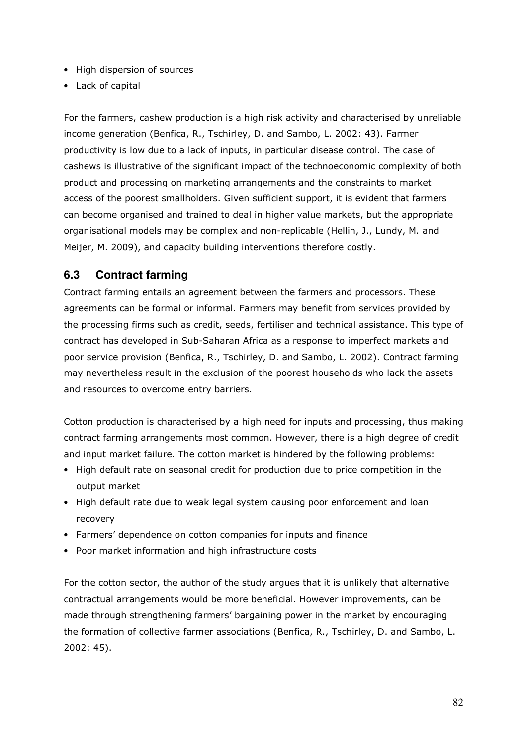- High dispersion of sources
- Lack of capital

For the farmers, cashew production is a high risk activity and characterised by unreliable income generation (Benfica, R., Tschirley, D. and Sambo, L. 2002: 43). Farmer productivity is low due to a lack of inputs, in particular disease control. The case of cashews is illustrative of the significant impact of the technoeconomic complexity of both product and processing on marketing arrangements and the constraints to market access of the poorest smallholders. Given sufficient support, it is evident that farmers can become organised and trained to deal in higher value markets, but the appropriate organisational models may be complex and non-replicable (Hellin, J., Lundy, M. and Meijer, M. 2009), and capacity building interventions therefore costly.

## **6.3 Contract farming**

Contract farming entails an agreement between the farmers and processors. These agreements can be formal or informal. Farmers may benefit from services provided by the processing firms such as credit, seeds, fertiliser and technical assistance. This type of contract has developed in Sub-Saharan Africa as a response to imperfect markets and poor service provision (Benfica, R., Tschirley, D. and Sambo, L. 2002). Contract farming may nevertheless result in the exclusion of the poorest households who lack the assets and resources to overcome entry barriers.

Cotton production is characterised by a high need for inputs and processing, thus making contract farming arrangements most common. However, there is a high degree of credit and input market failure. The cotton market is hindered by the following problems:

- High default rate on seasonal credit for production due to price competition in the output market
- High default rate due to weak legal system causing poor enforcement and loan recovery
- Farmers' dependence on cotton companies for inputs and finance
- Poor market information and high infrastructure costs

For the cotton sector, the author of the study argues that it is unlikely that alternative contractual arrangements would be more beneficial. However improvements, can be made through strengthening farmers' bargaining power in the market by encouraging the formation of collective farmer associations (Benfica, R., Tschirley, D. and Sambo, L. 2002: 45).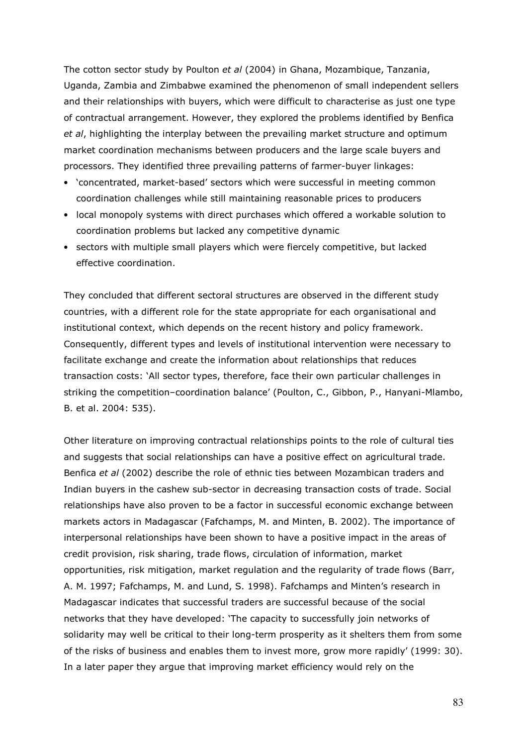The cotton sector study by Poulton et al (2004) in Ghana, Mozambique, Tanzania, Uganda, Zambia and Zimbabwe examined the phenomenon of small independent sellers and their relationships with buyers, which were difficult to characterise as just one type of contractual arrangement. However, they explored the problems identified by Benfica et al, highlighting the interplay between the prevailing market structure and optimum market coordination mechanisms between producers and the large scale buyers and processors. They identified three prevailing patterns of farmer-buyer linkages:

- 'concentrated, market-based' sectors which were successful in meeting common coordination challenges while still maintaining reasonable prices to producers
- local monopoly systems with direct purchases which offered a workable solution to coordination problems but lacked any competitive dynamic
- sectors with multiple small players which were fiercely competitive, but lacked effective coordination.

They concluded that different sectoral structures are observed in the different study countries, with a different role for the state appropriate for each organisational and institutional context, which depends on the recent history and policy framework. Consequently, different types and levels of institutional intervention were necessary to facilitate exchange and create the information about relationships that reduces transaction costs: 'All sector types, therefore, face their own particular challenges in striking the competition–coordination balance' (Poulton, C., Gibbon, P., Hanyani-Mlambo, B. et al. 2004: 535).

Other literature on improving contractual relationships points to the role of cultural ties and suggests that social relationships can have a positive effect on agricultural trade. Benfica et al (2002) describe the role of ethnic ties between Mozambican traders and Indian buyers in the cashew sub-sector in decreasing transaction costs of trade. Social relationships have also proven to be a factor in successful economic exchange between markets actors in Madagascar (Fafchamps, M. and Minten, B. 2002). The importance of interpersonal relationships have been shown to have a positive impact in the areas of credit provision, risk sharing, trade flows, circulation of information, market opportunities, risk mitigation, market regulation and the regularity of trade flows (Barr, A. M. 1997; Fafchamps, M. and Lund, S. 1998). Fafchamps and Minten's research in Madagascar indicates that successful traders are successful because of the social networks that they have developed: 'The capacity to successfully join networks of solidarity may well be critical to their long-term prosperity as it shelters them from some of the risks of business and enables them to invest more, grow more rapidly' (1999: 30). In a later paper they argue that improving market efficiency would rely on the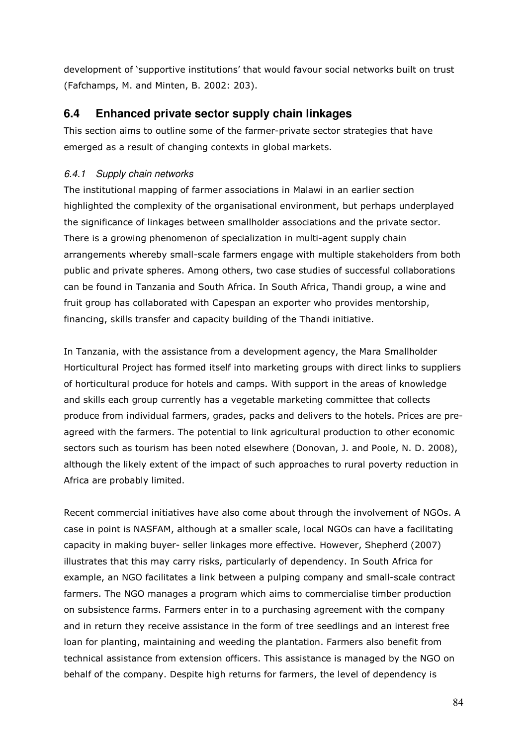development of 'supportive institutions' that would favour social networks built on trust (Fafchamps, M. and Minten, B. 2002: 203).

## **6.4 Enhanced private sector supply chain linkages**

This section aims to outline some of the farmer-private sector strategies that have emerged as a result of changing contexts in global markets.

## 6.4.1 Supply chain networks

The institutional mapping of farmer associations in Malawi in an earlier section highlighted the complexity of the organisational environment, but perhaps underplayed the significance of linkages between smallholder associations and the private sector. There is a growing phenomenon of specialization in multi-agent supply chain arrangements whereby small-scale farmers engage with multiple stakeholders from both public and private spheres. Among others, two case studies of successful collaborations can be found in Tanzania and South Africa. In South Africa, Thandi group, a wine and fruit group has collaborated with Capespan an exporter who provides mentorship, financing, skills transfer and capacity building of the Thandi initiative.

In Tanzania, with the assistance from a development agency, the Mara Smallholder Horticultural Project has formed itself into marketing groups with direct links to suppliers of horticultural produce for hotels and camps. With support in the areas of knowledge and skills each group currently has a vegetable marketing committee that collects produce from individual farmers, grades, packs and delivers to the hotels. Prices are preagreed with the farmers. The potential to link agricultural production to other economic sectors such as tourism has been noted elsewhere (Donovan, J. and Poole, N. D. 2008), although the likely extent of the impact of such approaches to rural poverty reduction in Africa are probably limited.

Recent commercial initiatives have also come about through the involvement of NGOs. A case in point is NASFAM, although at a smaller scale, local NGOs can have a facilitating capacity in making buyer- seller linkages more effective. However, Shepherd (2007) illustrates that this may carry risks, particularly of dependency. In South Africa for example, an NGO facilitates a link between a pulping company and small-scale contract farmers. The NGO manages a program which aims to commercialise timber production on subsistence farms. Farmers enter in to a purchasing agreement with the company and in return they receive assistance in the form of tree seedlings and an interest free loan for planting, maintaining and weeding the plantation. Farmers also benefit from technical assistance from extension officers. This assistance is managed by the NGO on behalf of the company. Despite high returns for farmers, the level of dependency is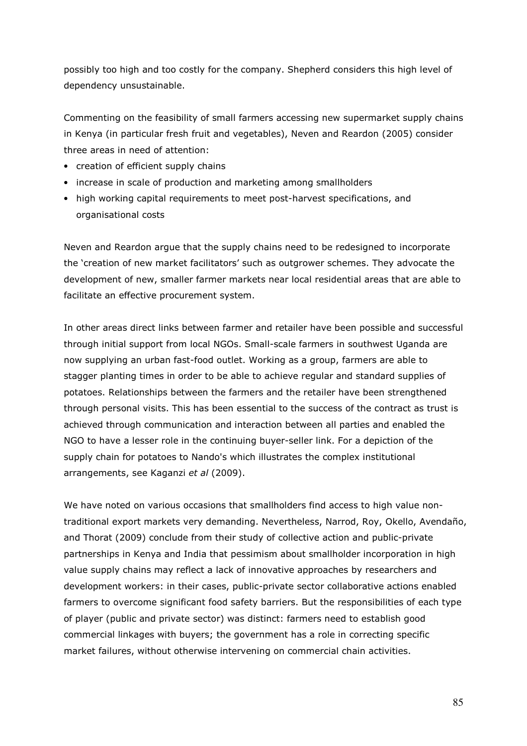possibly too high and too costly for the company. Shepherd considers this high level of dependency unsustainable.

Commenting on the feasibility of small farmers accessing new supermarket supply chains in Kenya (in particular fresh fruit and vegetables), Neven and Reardon (2005) consider three areas in need of attention:

- creation of efficient supply chains
- increase in scale of production and marketing among smallholders
- high working capital requirements to meet post-harvest specifications, and organisational costs

Neven and Reardon argue that the supply chains need to be redesigned to incorporate the 'creation of new market facilitators' such as outgrower schemes. They advocate the development of new, smaller farmer markets near local residential areas that are able to facilitate an effective procurement system.

In other areas direct links between farmer and retailer have been possible and successful through initial support from local NGOs. Small-scale farmers in southwest Uganda are now supplying an urban fast-food outlet. Working as a group, farmers are able to stagger planting times in order to be able to achieve regular and standard supplies of potatoes. Relationships between the farmers and the retailer have been strengthened through personal visits. This has been essential to the success of the contract as trust is achieved through communication and interaction between all parties and enabled the NGO to have a lesser role in the continuing buyer-seller link. For a depiction of the supply chain for potatoes to Nando's which illustrates the complex institutional arrangements, see Kaganzi et al (2009).

We have noted on various occasions that smallholders find access to high value nontraditional export markets very demanding. Nevertheless, Narrod, Roy, Okello, Avendaño, and Thorat (2009) conclude from their study of collective action and public-private partnerships in Kenya and India that pessimism about smallholder incorporation in high value supply chains may reflect a lack of innovative approaches by researchers and development workers: in their cases, public-private sector collaborative actions enabled farmers to overcome significant food safety barriers. But the responsibilities of each type of player (public and private sector) was distinct: farmers need to establish good commercial linkages with buyers; the government has a role in correcting specific market failures, without otherwise intervening on commercial chain activities.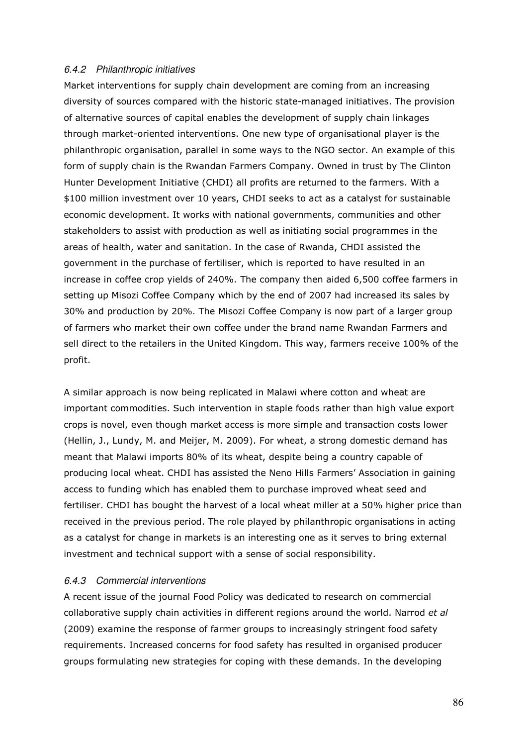#### 6.4.2 Philanthropic initiatives

Market interventions for supply chain development are coming from an increasing diversity of sources compared with the historic state-managed initiatives. The provision of alternative sources of capital enables the development of supply chain linkages through market-oriented interventions. One new type of organisational player is the philanthropic organisation, parallel in some ways to the NGO sector. An example of this form of supply chain is the Rwandan Farmers Company. Owned in trust by The Clinton Hunter Development Initiative (CHDI) all profits are returned to the farmers. With a \$100 million investment over 10 years, CHDI seeks to act as a catalyst for sustainable economic development. It works with national governments, communities and other stakeholders to assist with production as well as initiating social programmes in the areas of health, water and sanitation. In the case of Rwanda, CHDI assisted the government in the purchase of fertiliser, which is reported to have resulted in an increase in coffee crop yields of 240%. The company then aided 6,500 coffee farmers in setting up Misozi Coffee Company which by the end of 2007 had increased its sales by 30% and production by 20%. The Misozi Coffee Company is now part of a larger group of farmers who market their own coffee under the brand name Rwandan Farmers and sell direct to the retailers in the United Kingdom. This way, farmers receive 100% of the profit.

A similar approach is now being replicated in Malawi where cotton and wheat are important commodities. Such intervention in staple foods rather than high value export crops is novel, even though market access is more simple and transaction costs lower (Hellin, J., Lundy, M. and Meijer, M. 2009). For wheat, a strong domestic demand has meant that Malawi imports 80% of its wheat, despite being a country capable of producing local wheat. CHDI has assisted the Neno Hills Farmers' Association in gaining access to funding which has enabled them to purchase improved wheat seed and fertiliser. CHDI has bought the harvest of a local wheat miller at a 50% higher price than received in the previous period. The role played by philanthropic organisations in acting as a catalyst for change in markets is an interesting one as it serves to bring external investment and technical support with a sense of social responsibility.

#### 6.4.3 Commercial interventions

A recent issue of the journal Food Policy was dedicated to research on commercial collaborative supply chain activities in different regions around the world. Narrod et al (2009) examine the response of farmer groups to increasingly stringent food safety requirements. Increased concerns for food safety has resulted in organised producer groups formulating new strategies for coping with these demands. In the developing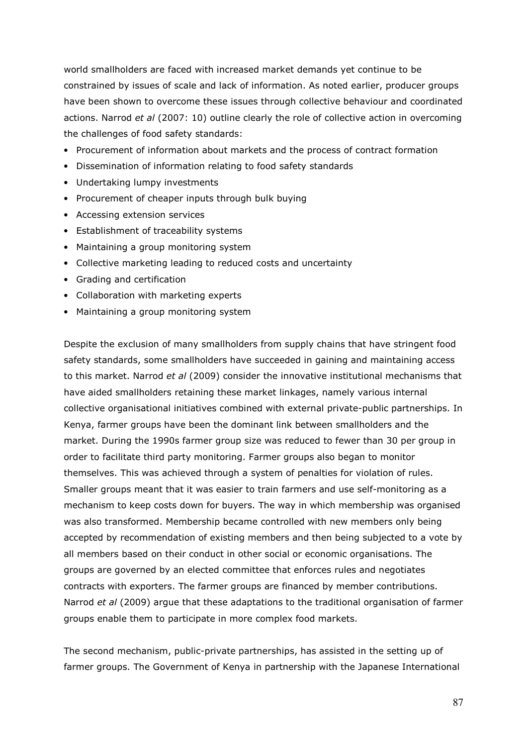world smallholders are faced with increased market demands yet continue to be constrained by issues of scale and lack of information. As noted earlier, producer groups have been shown to overcome these issues through collective behaviour and coordinated actions. Narrod et al (2007: 10) outline clearly the role of collective action in overcoming the challenges of food safety standards:

- Procurement of information about markets and the process of contract formation
- Dissemination of information relating to food safety standards
- Undertaking lumpy investments
- Procurement of cheaper inputs through bulk buying
- Accessing extension services
- Establishment of traceability systems
- Maintaining a group monitoring system
- Collective marketing leading to reduced costs and uncertainty
- Grading and certification
- Collaboration with marketing experts
- Maintaining a group monitoring system

Despite the exclusion of many smallholders from supply chains that have stringent food safety standards, some smallholders have succeeded in gaining and maintaining access to this market. Narrod et al (2009) consider the innovative institutional mechanisms that have aided smallholders retaining these market linkages, namely various internal collective organisational initiatives combined with external private-public partnerships. In Kenya, farmer groups have been the dominant link between smallholders and the market. During the 1990s farmer group size was reduced to fewer than 30 per group in order to facilitate third party monitoring. Farmer groups also began to monitor themselves. This was achieved through a system of penalties for violation of rules. Smaller groups meant that it was easier to train farmers and use self-monitoring as a mechanism to keep costs down for buyers. The way in which membership was organised was also transformed. Membership became controlled with new members only being accepted by recommendation of existing members and then being subjected to a vote by all members based on their conduct in other social or economic organisations. The groups are governed by an elected committee that enforces rules and negotiates contracts with exporters. The farmer groups are financed by member contributions. Narrod et al (2009) argue that these adaptations to the traditional organisation of farmer groups enable them to participate in more complex food markets.

The second mechanism, public-private partnerships, has assisted in the setting up of farmer groups. The Government of Kenya in partnership with the Japanese International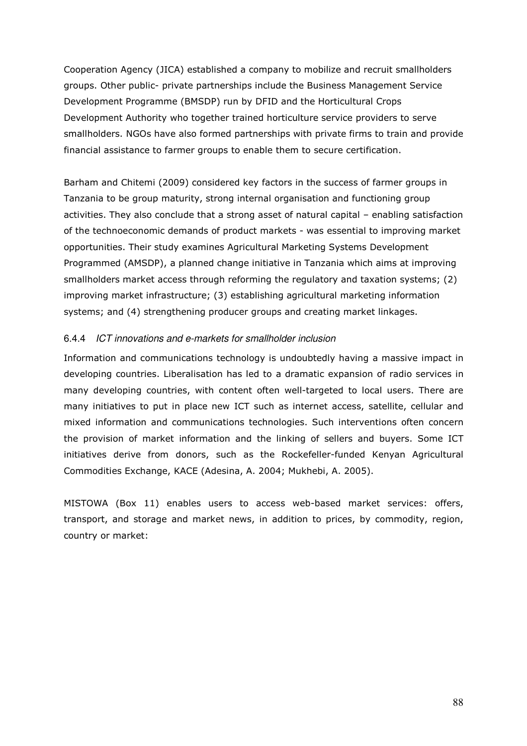Cooperation Agency (JICA) established a company to mobilize and recruit smallholders groups. Other public- private partnerships include the Business Management Service Development Programme (BMSDP) run by DFID and the Horticultural Crops Development Authority who together trained horticulture service providers to serve smallholders. NGOs have also formed partnerships with private firms to train and provide financial assistance to farmer groups to enable them to secure certification.

Barham and Chitemi (2009) considered key factors in the success of farmer groups in Tanzania to be group maturity, strong internal organisation and functioning group activities. They also conclude that a strong asset of natural capital – enabling satisfaction of the technoeconomic demands of product markets - was essential to improving market opportunities. Their study examines Agricultural Marketing Systems Development Programmed (AMSDP), a planned change initiative in Tanzania which aims at improving smallholders market access through reforming the regulatory and taxation systems; (2) improving market infrastructure; (3) establishing agricultural marketing information systems; and (4) strengthening producer groups and creating market linkages.

#### 6.4.4 ICT innovations and e-markets for smallholder inclusion

Information and communications technology is undoubtedly having a massive impact in developing countries. Liberalisation has led to a dramatic expansion of radio services in many developing countries, with content often well-targeted to local users. There are many initiatives to put in place new ICT such as internet access, satellite, cellular and mixed information and communications technologies. Such interventions often concern the provision of market information and the linking of sellers and buyers. Some ICT initiatives derive from donors, such as the Rockefeller-funded Kenyan Agricultural Commodities Exchange, KACE (Adesina, A. 2004; Mukhebi, A. 2005).

MISTOWA (Box 11) enables users to access web-based market services: offers, transport, and storage and market news, in addition to prices, by commodity, region, country or market: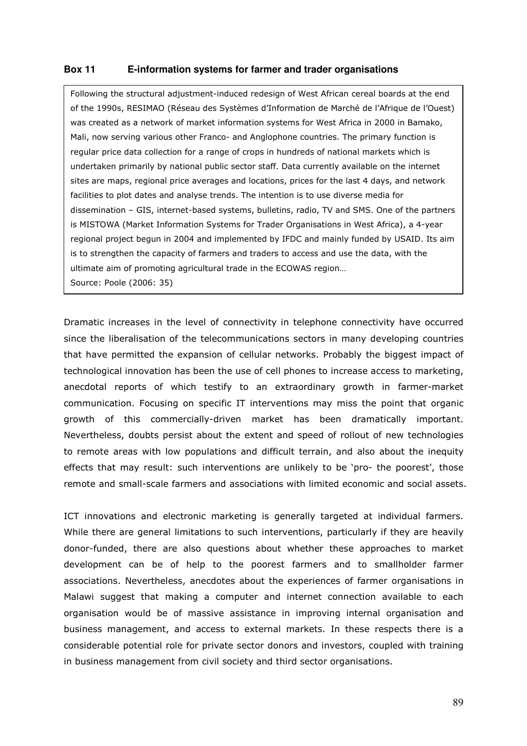#### **Box 11 E-information systems for farmer and trader organisations**

Following the structural adjustment-induced redesign of West African cereal boards at the end of the 1990s, RESIMAO (Réseau des Systèmes d'Information de Marché de l'Afrique de l'Ouest) was created as a network of market information systems for West Africa in 2000 in Bamako, Mali, now serving various other Franco- and Anglophone countries. The primary function is regular price data collection for a range of crops in hundreds of national markets which is undertaken primarily by national public sector staff. Data currently available on the internet sites are maps, regional price averages and locations, prices for the last 4 days, and network facilities to plot dates and analyse trends. The intention is to use diverse media for dissemination – GIS, internet-based systems, bulletins, radio, TV and SMS. One of the partners is MISTOWA (Market Information Systems for Trader Organisations in West Africa), a 4-year regional project begun in 2004 and implemented by IFDC and mainly funded by USAID. Its aim is to strengthen the capacity of farmers and traders to access and use the data, with the ultimate aim of promoting agricultural trade in the ECOWAS region… Source: Poole (2006: 35)

Dramatic increases in the level of connectivity in telephone connectivity have occurred since the liberalisation of the telecommunications sectors in many developing countries that have permitted the expansion of cellular networks. Probably the biggest impact of technological innovation has been the use of cell phones to increase access to marketing, anecdotal reports of which testify to an extraordinary growth in farmer-market communication. Focusing on specific IT interventions may miss the point that organic growth of this commercially-driven market has been dramatically important. Nevertheless, doubts persist about the extent and speed of rollout of new technologies to remote areas with low populations and difficult terrain, and also about the inequity effects that may result: such interventions are unlikely to be 'pro- the poorest', those remote and small-scale farmers and associations with limited economic and social assets.

ICT innovations and electronic marketing is generally targeted at individual farmers. While there are general limitations to such interventions, particularly if they are heavily donor-funded, there are also questions about whether these approaches to market development can be of help to the poorest farmers and to smallholder farmer associations. Nevertheless, anecdotes about the experiences of farmer organisations in Malawi suggest that making a computer and internet connection available to each organisation would be of massive assistance in improving internal organisation and business management, and access to external markets. In these respects there is a considerable potential role for private sector donors and investors, coupled with training in business management from civil society and third sector organisations.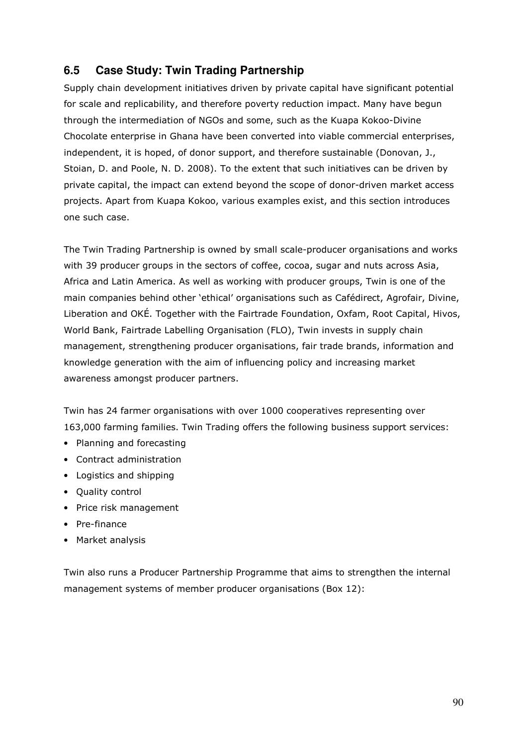# **6.5 Case Study: Twin Trading Partnership**

Supply chain development initiatives driven by private capital have significant potential for scale and replicability, and therefore poverty reduction impact. Many have begun through the intermediation of NGOs and some, such as the Kuapa Kokoo-Divine Chocolate enterprise in Ghana have been converted into viable commercial enterprises, independent, it is hoped, of donor support, and therefore sustainable (Donovan, J., Stoian, D. and Poole, N. D. 2008). To the extent that such initiatives can be driven by private capital, the impact can extend beyond the scope of donor-driven market access projects. Apart from Kuapa Kokoo, various examples exist, and this section introduces one such case.

The Twin Trading Partnership is owned by small scale-producer organisations and works with 39 producer groups in the sectors of coffee, cocoa, sugar and nuts across Asia, Africa and Latin America. As well as working with producer groups, Twin is one of the main companies behind other 'ethical' organisations such as Cafédirect, Agrofair, Divine, Liberation and OKÉ. Together with the Fairtrade Foundation, Oxfam, Root Capital, Hivos, World Bank, Fairtrade Labelling Organisation (FLO), Twin invests in supply chain management, strengthening producer organisations, fair trade brands, information and knowledge generation with the aim of influencing policy and increasing market awareness amongst producer partners.

Twin has 24 farmer organisations with over 1000 cooperatives representing over 163,000 farming families. Twin Trading offers the following business support services:

- Planning and forecasting
- Contract administration
- Logistics and shipping
- Quality control
- Price risk management
- Pre-finance
- Market analysis

Twin also runs a Producer Partnership Programme that aims to strengthen the internal management systems of member producer organisations (Box 12):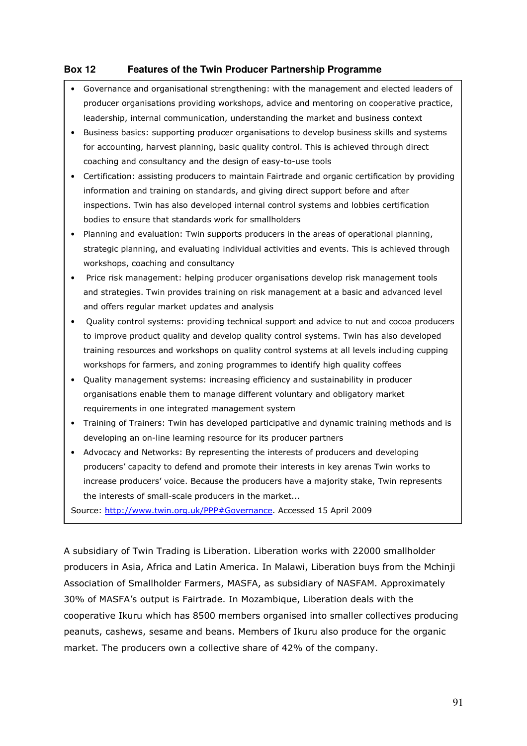## **Box 12 Features of the Twin Producer Partnership Programme**

- Governance and organisational strengthening: with the management and elected leaders of producer organisations providing workshops, advice and mentoring on cooperative practice, leadership, internal communication, understanding the market and business context
- Business basics: supporting producer organisations to develop business skills and systems for accounting, harvest planning, basic quality control. This is achieved through direct coaching and consultancy and the design of easy-to-use tools
- Certification: assisting producers to maintain Fairtrade and organic certification by providing information and training on standards, and giving direct support before and after inspections. Twin has also developed internal control systems and lobbies certification bodies to ensure that standards work for smallholders
- Planning and evaluation: Twin supports producers in the areas of operational planning, strategic planning, and evaluating individual activities and events. This is achieved through workshops, coaching and consultancy
- Price risk management: helping producer organisations develop risk management tools and strategies. Twin provides training on risk management at a basic and advanced level and offers regular market updates and analysis
- Quality control systems: providing technical support and advice to nut and cocoa producers to improve product quality and develop quality control systems. Twin has also developed training resources and workshops on quality control systems at all levels including cupping workshops for farmers, and zoning programmes to identify high quality coffees
- Quality management systems: increasing efficiency and sustainability in producer organisations enable them to manage different voluntary and obligatory market requirements in one integrated management system
- Training of Trainers: Twin has developed participative and dynamic training methods and is developing an on-line learning resource for its producer partners
- Advocacy and Networks: By representing the interests of producers and developing producers' capacity to defend and promote their interests in key arenas Twin works to increase producers' voice. Because the producers have a majority stake, Twin represents the interests of small-scale producers in the market...

Source: http://www.twin.org.uk/PPP#Governance. Accessed 15 April 2009

A subsidiary of Twin Trading is Liberation. Liberation works with 22000 smallholder producers in Asia, Africa and Latin America. In Malawi, Liberation buys from the Mchinji Association of Smallholder Farmers, MASFA, as subsidiary of NASFAM. Approximately 30% of MASFA's output is Fairtrade. In Mozambique, Liberation deals with the cooperative Ikuru which has 8500 members organised into smaller collectives producing peanuts, cashews, sesame and beans. Members of Ikuru also produce for the organic market. The producers own a collective share of 42% of the company.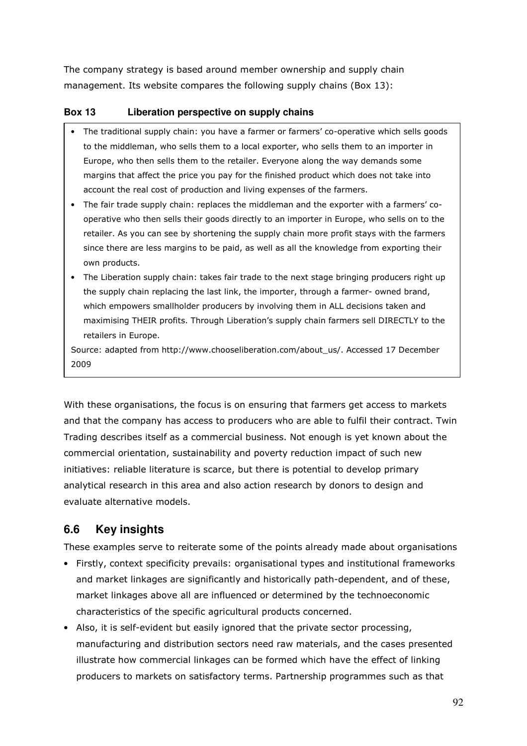The company strategy is based around member ownership and supply chain management. Its website compares the following supply chains (Box 13):

## **Box 13 Liberation perspective on supply chains**

- The traditional supply chain: you have a farmer or farmers' co-operative which sells goods to the middleman, who sells them to a local exporter, who sells them to an importer in Europe, who then sells them to the retailer. Everyone along the way demands some margins that affect the price you pay for the finished product which does not take into account the real cost of production and living expenses of the farmers.
- The fair trade supply chain: replaces the middleman and the exporter with a farmers' cooperative who then sells their goods directly to an importer in Europe, who sells on to the retailer. As you can see by shortening the supply chain more profit stays with the farmers since there are less margins to be paid, as well as all the knowledge from exporting their own products.
- The Liberation supply chain: takes fair trade to the next stage bringing producers right up the supply chain replacing the last link, the importer, through a farmer- owned brand, which empowers smallholder producers by involving them in ALL decisions taken and maximising THEIR profits. Through Liberation's supply chain farmers sell DIRECTLY to the retailers in Europe.

Source: adapted from http://www.chooseliberation.com/about\_us/. Accessed 17 December 2009

With these organisations, the focus is on ensuring that farmers get access to markets and that the company has access to producers who are able to fulfil their contract. Twin Trading describes itself as a commercial business. Not enough is yet known about the commercial orientation, sustainability and poverty reduction impact of such new initiatives: reliable literature is scarce, but there is potential to develop primary analytical research in this area and also action research by donors to design and evaluate alternative models.

# **6.6 Key insights**

These examples serve to reiterate some of the points already made about organisations

- Firstly, context specificity prevails: organisational types and institutional frameworks and market linkages are significantly and historically path-dependent, and of these, market linkages above all are influenced or determined by the technoeconomic characteristics of the specific agricultural products concerned.
- Also, it is self-evident but easily ignored that the private sector processing, manufacturing and distribution sectors need raw materials, and the cases presented illustrate how commercial linkages can be formed which have the effect of linking producers to markets on satisfactory terms. Partnership programmes such as that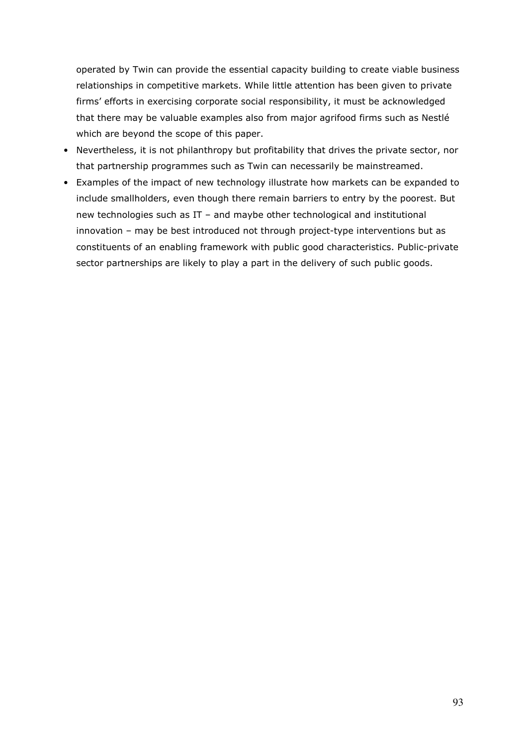operated by Twin can provide the essential capacity building to create viable business relationships in competitive markets. While little attention has been given to private firms' efforts in exercising corporate social responsibility, it must be acknowledged that there may be valuable examples also from major agrifood firms such as Nestlé which are beyond the scope of this paper.

- Nevertheless, it is not philanthropy but profitability that drives the private sector, nor that partnership programmes such as Twin can necessarily be mainstreamed.
- Examples of the impact of new technology illustrate how markets can be expanded to include smallholders, even though there remain barriers to entry by the poorest. But new technologies such as IT – and maybe other technological and institutional innovation – may be best introduced not through project-type interventions but as constituents of an enabling framework with public good characteristics. Public-private sector partnerships are likely to play a part in the delivery of such public goods.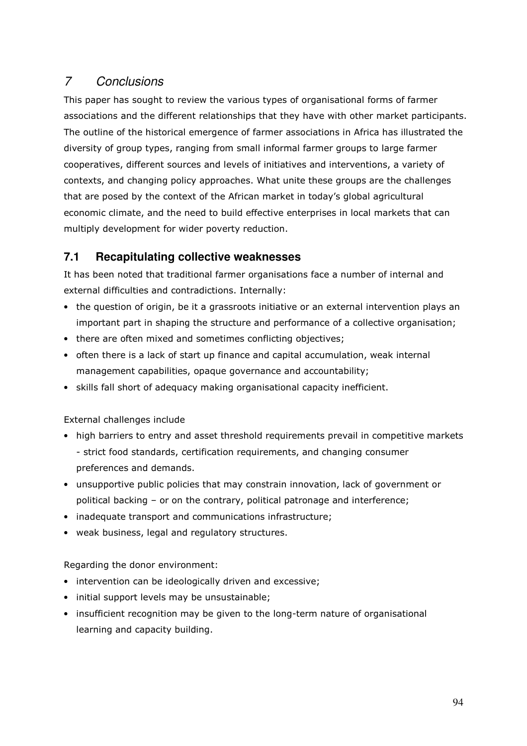# 7 Conclusions

This paper has sought to review the various types of organisational forms of farmer associations and the different relationships that they have with other market participants. The outline of the historical emergence of farmer associations in Africa has illustrated the diversity of group types, ranging from small informal farmer groups to large farmer cooperatives, different sources and levels of initiatives and interventions, a variety of contexts, and changing policy approaches. What unite these groups are the challenges that are posed by the context of the African market in today's global agricultural economic climate, and the need to build effective enterprises in local markets that can multiply development for wider poverty reduction.

# **7.1 Recapitulating collective weaknesses**

It has been noted that traditional farmer organisations face a number of internal and external difficulties and contradictions. Internally:

- the question of origin, be it a grassroots initiative or an external intervention plays an important part in shaping the structure and performance of a collective organisation;
- there are often mixed and sometimes conflicting objectives;
- often there is a lack of start up finance and capital accumulation, weak internal management capabilities, opaque governance and accountability;
- skills fall short of adequacy making organisational capacity inefficient.

External challenges include

- high barriers to entry and asset threshold requirements prevail in competitive markets - strict food standards, certification requirements, and changing consumer preferences and demands.
- unsupportive public policies that may constrain innovation, lack of government or political backing – or on the contrary, political patronage and interference;
- inadequate transport and communications infrastructure;
- weak business, legal and regulatory structures.

Regarding the donor environment:

- intervention can be ideologically driven and excessive;
- initial support levels may be unsustainable;
- insufficient recognition may be given to the long-term nature of organisational learning and capacity building.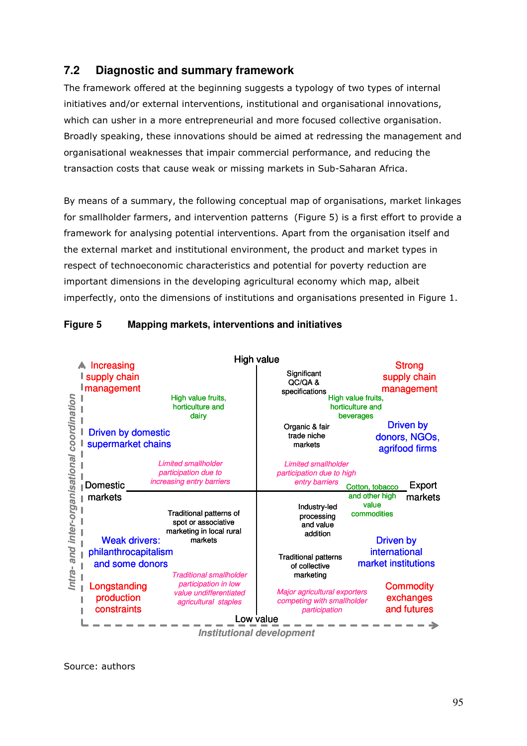# **7.2 Diagnostic and summary framework**

The framework offered at the beginning suggests a typology of two types of internal initiatives and/or external interventions, institutional and organisational innovations, which can usher in a more entrepreneurial and more focused collective organisation. Broadly speaking, these innovations should be aimed at redressing the management and organisational weaknesses that impair commercial performance, and reducing the transaction costs that cause weak or missing markets in Sub-Saharan Africa.

By means of a summary, the following conceptual map of organisations, market linkages for smallholder farmers, and intervention patterns (Figure 5) is a first effort to provide a framework for analysing potential interventions. Apart from the organisation itself and the external market and institutional environment, the product and market types in respect of technoeconomic characteristics and potential for poverty reduction are important dimensions in the developing agricultural economy which map, albeit imperfectly, onto the dimensions of institutions and organisations presented in Figure 1.

|                                                 | <b>A</b> Increasing<br>I supply chain<br><b>I</b> management               | High value fruits.<br>horticulture and<br>dairv                                                                                                 | High value<br>Significant<br>QC/QA&<br>specifications<br>High value fruits,<br>horticulture and<br>beverages     |                                        | <b>Strong</b><br>supply chain<br>management                         |
|-------------------------------------------------|----------------------------------------------------------------------------|-------------------------------------------------------------------------------------------------------------------------------------------------|------------------------------------------------------------------------------------------------------------------|----------------------------------------|---------------------------------------------------------------------|
| coordination<br>Intra- and inter-organisational | <b>Driven by domestic</b><br>supermarket chains                            |                                                                                                                                                 | Organic & fair<br>trade niche<br>markets                                                                         |                                        | Driven by<br>donors, NGOs,<br>agrifood firms                        |
|                                                 | Domestic                                                                   | <b>Limited smallholder</b><br>participation due to<br>increasing entry barriers                                                                 | <b>Limited smallholder</b><br>participation due to high<br>entry barriers                                        | Cotton, tobacco                        | Export                                                              |
|                                                 | markets<br><b>Weak drivers:</b><br>philanthrocapitalism<br>and some donors | Traditional patterns of<br>spot or associative<br>marketing in local rural<br>markets<br><b>Traditional smallholder</b><br>participation in low | Industry-led<br>processing<br>and value<br>addition<br><b>Traditional patterns</b><br>of collective<br>marketing | and other high<br>value<br>commodities | markets<br><b>Driven by</b><br>international<br>market institutions |
|                                                 | Longstanding<br>production<br>constraints                                  | value undifferentiated<br>agricultural staples                                                                                                  | <b>Major agricultural exporters</b><br>competing with smallholder<br>participation<br>Low value                  |                                        | <b>Commodity</b><br>exchanges<br>and futures                        |
| <b>Institutional development</b>                |                                                                            |                                                                                                                                                 |                                                                                                                  |                                        |                                                                     |

## **Figure 5 Mapping markets, interventions and initiatives**

Source: authors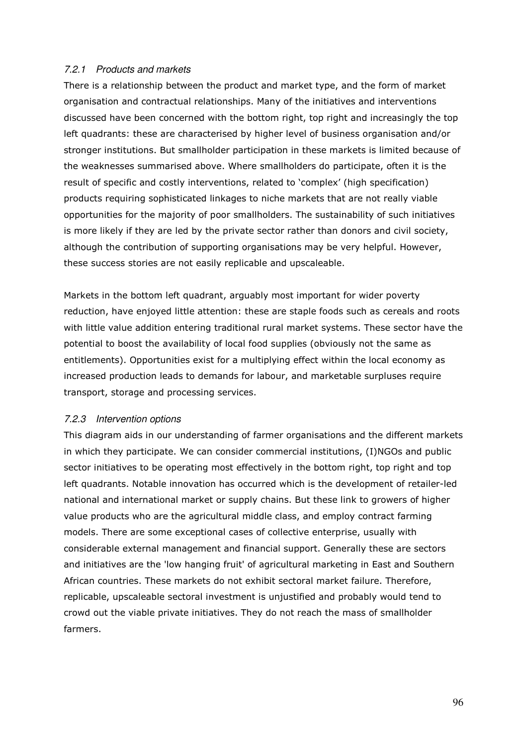#### 7.2.1 Products and markets

There is a relationship between the product and market type, and the form of market organisation and contractual relationships. Many of the initiatives and interventions discussed have been concerned with the bottom right, top right and increasingly the top left quadrants: these are characterised by higher level of business organisation and/or stronger institutions. But smallholder participation in these markets is limited because of the weaknesses summarised above. Where smallholders do participate, often it is the result of specific and costly interventions, related to 'complex' (high specification) products requiring sophisticated linkages to niche markets that are not really viable opportunities for the majority of poor smallholders. The sustainability of such initiatives is more likely if they are led by the private sector rather than donors and civil society, although the contribution of supporting organisations may be very helpful. However, these success stories are not easily replicable and upscaleable.

Markets in the bottom left quadrant, arguably most important for wider poverty reduction, have enjoyed little attention: these are staple foods such as cereals and roots with little value addition entering traditional rural market systems. These sector have the potential to boost the availability of local food supplies (obviously not the same as entitlements). Opportunities exist for a multiplying effect within the local economy as increased production leads to demands for labour, and marketable surpluses require transport, storage and processing services.

#### 7.2.3 Intervention options

This diagram aids in our understanding of farmer organisations and the different markets in which they participate. We can consider commercial institutions, (I)NGOs and public sector initiatives to be operating most effectively in the bottom right, top right and top left quadrants. Notable innovation has occurred which is the development of retailer-led national and international market or supply chains. But these link to growers of higher value products who are the agricultural middle class, and employ contract farming models. There are some exceptional cases of collective enterprise, usually with considerable external management and financial support. Generally these are sectors and initiatives are the 'low hanging fruit' of agricultural marketing in East and Southern African countries. These markets do not exhibit sectoral market failure. Therefore, replicable, upscaleable sectoral investment is unjustified and probably would tend to crowd out the viable private initiatives. They do not reach the mass of smallholder farmers.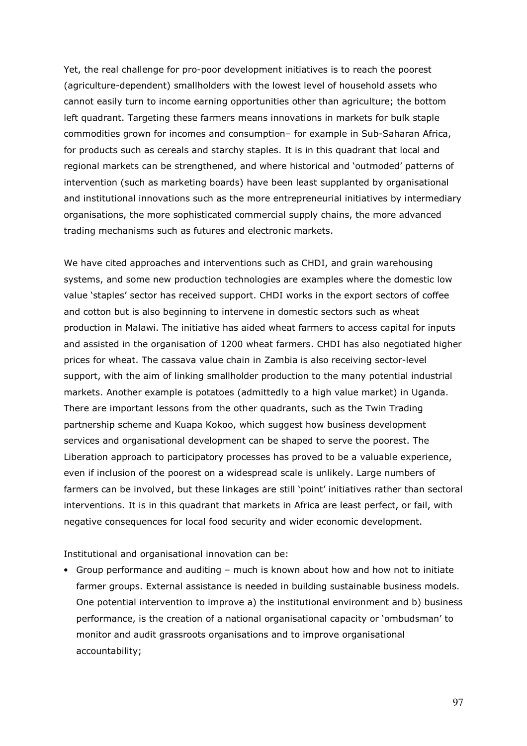Yet, the real challenge for pro-poor development initiatives is to reach the poorest (agriculture-dependent) smallholders with the lowest level of household assets who cannot easily turn to income earning opportunities other than agriculture; the bottom left quadrant. Targeting these farmers means innovations in markets for bulk staple commodities grown for incomes and consumption– for example in Sub-Saharan Africa, for products such as cereals and starchy staples. It is in this quadrant that local and regional markets can be strengthened, and where historical and 'outmoded' patterns of intervention (such as marketing boards) have been least supplanted by organisational and institutional innovations such as the more entrepreneurial initiatives by intermediary organisations, the more sophisticated commercial supply chains, the more advanced trading mechanisms such as futures and electronic markets.

We have cited approaches and interventions such as CHDI, and grain warehousing systems, and some new production technologies are examples where the domestic low value 'staples' sector has received support. CHDI works in the export sectors of coffee and cotton but is also beginning to intervene in domestic sectors such as wheat production in Malawi. The initiative has aided wheat farmers to access capital for inputs and assisted in the organisation of 1200 wheat farmers. CHDI has also negotiated higher prices for wheat. The cassava value chain in Zambia is also receiving sector-level support, with the aim of linking smallholder production to the many potential industrial markets. Another example is potatoes (admittedly to a high value market) in Uganda. There are important lessons from the other quadrants, such as the Twin Trading partnership scheme and Kuapa Kokoo, which suggest how business development services and organisational development can be shaped to serve the poorest. The Liberation approach to participatory processes has proved to be a valuable experience, even if inclusion of the poorest on a widespread scale is unlikely. Large numbers of farmers can be involved, but these linkages are still 'point' initiatives rather than sectoral interventions. It is in this quadrant that markets in Africa are least perfect, or fail, with negative consequences for local food security and wider economic development.

Institutional and organisational innovation can be:

• Group performance and auditing – much is known about how and how not to initiate farmer groups. External assistance is needed in building sustainable business models. One potential intervention to improve a) the institutional environment and b) business performance, is the creation of a national organisational capacity or 'ombudsman' to monitor and audit grassroots organisations and to improve organisational accountability;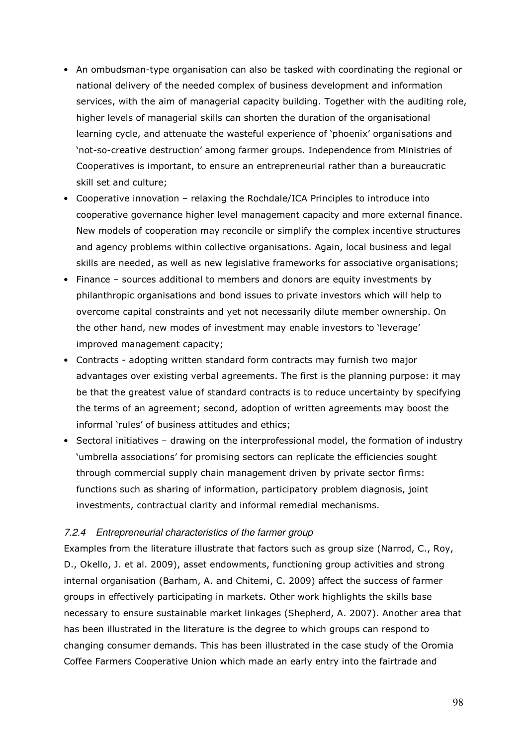- An ombudsman-type organisation can also be tasked with coordinating the regional or national delivery of the needed complex of business development and information services, with the aim of managerial capacity building. Together with the auditing role, higher levels of managerial skills can shorten the duration of the organisational learning cycle, and attenuate the wasteful experience of 'phoenix' organisations and 'not-so-creative destruction' among farmer groups. Independence from Ministries of Cooperatives is important, to ensure an entrepreneurial rather than a bureaucratic skill set and culture;
- Cooperative innovation relaxing the Rochdale/ICA Principles to introduce into cooperative governance higher level management capacity and more external finance. New models of cooperation may reconcile or simplify the complex incentive structures and agency problems within collective organisations. Again, local business and legal skills are needed, as well as new legislative frameworks for associative organisations;
- Finance sources additional to members and donors are equity investments by philanthropic organisations and bond issues to private investors which will help to overcome capital constraints and yet not necessarily dilute member ownership. On the other hand, new modes of investment may enable investors to 'leverage' improved management capacity;
- Contracts adopting written standard form contracts may furnish two major advantages over existing verbal agreements. The first is the planning purpose: it may be that the greatest value of standard contracts is to reduce uncertainty by specifying the terms of an agreement; second, adoption of written agreements may boost the informal 'rules' of business attitudes and ethics;
- Sectoral initiatives drawing on the interprofessional model, the formation of industry 'umbrella associations' for promising sectors can replicate the efficiencies sought through commercial supply chain management driven by private sector firms: functions such as sharing of information, participatory problem diagnosis, joint investments, contractual clarity and informal remedial mechanisms.

#### 7.2.4 Entrepreneurial characteristics of the farmer group

Examples from the literature illustrate that factors such as group size (Narrod, C., Roy, D., Okello, J. et al. 2009), asset endowments, functioning group activities and strong internal organisation (Barham, A. and Chitemi, C. 2009) affect the success of farmer groups in effectively participating in markets. Other work highlights the skills base necessary to ensure sustainable market linkages (Shepherd, A. 2007). Another area that has been illustrated in the literature is the degree to which groups can respond to changing consumer demands. This has been illustrated in the case study of the Oromia Coffee Farmers Cooperative Union which made an early entry into the fairtrade and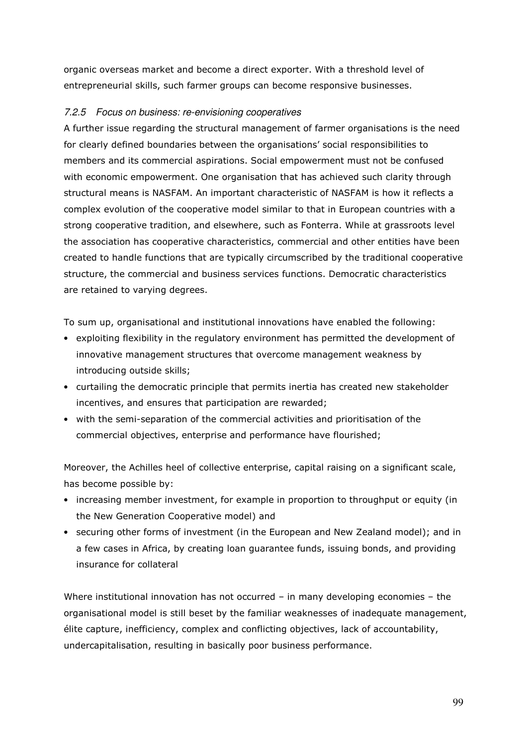organic overseas market and become a direct exporter. With a threshold level of entrepreneurial skills, such farmer groups can become responsive businesses.

### 7.2.5 Focus on business: re-envisioning cooperatives

A further issue regarding the structural management of farmer organisations is the need for clearly defined boundaries between the organisations' social responsibilities to members and its commercial aspirations. Social empowerment must not be confused with economic empowerment. One organisation that has achieved such clarity through structural means is NASFAM. An important characteristic of NASFAM is how it reflects a complex evolution of the cooperative model similar to that in European countries with a strong cooperative tradition, and elsewhere, such as Fonterra. While at grassroots level the association has cooperative characteristics, commercial and other entities have been created to handle functions that are typically circumscribed by the traditional cooperative structure, the commercial and business services functions. Democratic characteristics are retained to varying degrees.

To sum up, organisational and institutional innovations have enabled the following:

- exploiting flexibility in the regulatory environment has permitted the development of innovative management structures that overcome management weakness by introducing outside skills;
- curtailing the democratic principle that permits inertia has created new stakeholder incentives, and ensures that participation are rewarded;
- with the semi-separation of the commercial activities and prioritisation of the commercial objectives, enterprise and performance have flourished;

Moreover, the Achilles heel of collective enterprise, capital raising on a significant scale, has become possible by:

- increasing member investment, for example in proportion to throughput or equity (in the New Generation Cooperative model) and
- securing other forms of investment (in the European and New Zealand model); and in a few cases in Africa, by creating loan guarantee funds, issuing bonds, and providing insurance for collateral

Where institutional innovation has not occurred – in many developing economies – the organisational model is still beset by the familiar weaknesses of inadequate management, élite capture, inefficiency, complex and conflicting objectives, lack of accountability, undercapitalisation, resulting in basically poor business performance.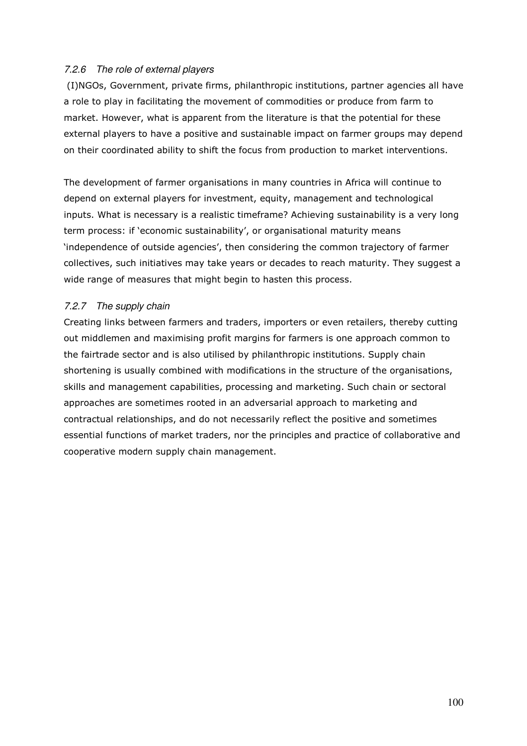#### 7.2.6 The role of external players

 (I)NGOs, Government, private firms, philanthropic institutions, partner agencies all have a role to play in facilitating the movement of commodities or produce from farm to market. However, what is apparent from the literature is that the potential for these external players to have a positive and sustainable impact on farmer groups may depend on their coordinated ability to shift the focus from production to market interventions.

The development of farmer organisations in many countries in Africa will continue to depend on external players for investment, equity, management and technological inputs. What is necessary is a realistic timeframe? Achieving sustainability is a very long term process: if 'economic sustainability', or organisational maturity means 'independence of outside agencies', then considering the common trajectory of farmer collectives, such initiatives may take years or decades to reach maturity. They suggest a wide range of measures that might begin to hasten this process.

### 7.2.7 The supply chain

Creating links between farmers and traders, importers or even retailers, thereby cutting out middlemen and maximising profit margins for farmers is one approach common to the fairtrade sector and is also utilised by philanthropic institutions. Supply chain shortening is usually combined with modifications in the structure of the organisations, skills and management capabilities, processing and marketing. Such chain or sectoral approaches are sometimes rooted in an adversarial approach to marketing and contractual relationships, and do not necessarily reflect the positive and sometimes essential functions of market traders, nor the principles and practice of collaborative and cooperative modern supply chain management.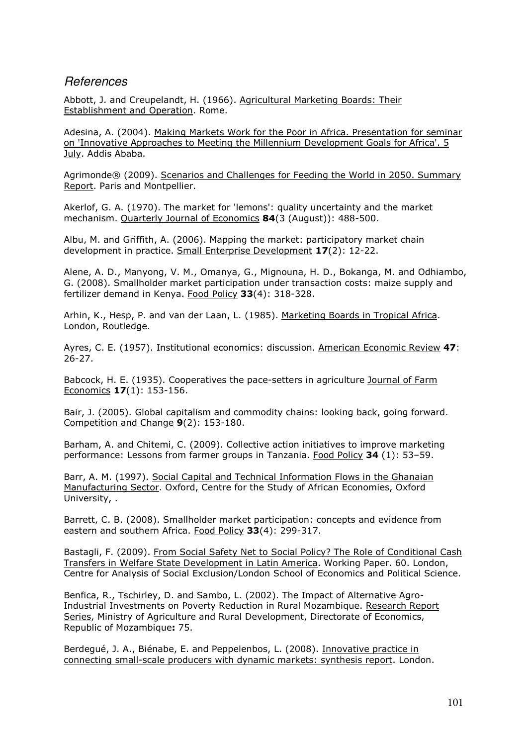## References

Abbott, J. and Creupelandt, H. (1966). Agricultural Marketing Boards: Their Establishment and Operation. Rome.

Adesina, A. (2004). Making Markets Work for the Poor in Africa. Presentation for seminar on 'Innovative Approaches to Meeting the Millennium Development Goals for Africa'. 5 July. Addis Ababa.

Agrimonde® (2009). Scenarios and Challenges for Feeding the World in 2050. Summary Report. Paris and Montpellier.

Akerlof, G. A. (1970). The market for 'lemons': quality uncertainty and the market mechanism. Quarterly Journal of Economics 84(3 (August)): 488-500.

Albu, M. and Griffith, A. (2006). Mapping the market: participatory market chain development in practice. Small Enterprise Development 17(2): 12-22.

Alene, A. D., Manyong, V. M., Omanya, G., Mignouna, H. D., Bokanga, M. and Odhiambo, G. (2008). Smallholder market participation under transaction costs: maize supply and fertilizer demand in Kenya. Food Policy 33(4): 318-328.

Arhin, K., Hesp, P. and van der Laan, L. (1985). Marketing Boards in Tropical Africa. London, Routledge.

Ayres, C. E. (1957). Institutional economics: discussion. American Economic Review 47: 26-27.

Babcock, H. E. (1935). Cooperatives the pace-setters in agriculture Journal of Farm Economics 17(1): 153-156.

Bair, J. (2005). Global capitalism and commodity chains: looking back, going forward. Competition and Change 9(2): 153-180.

Barham, A. and Chitemi, C. (2009). Collective action initiatives to improve marketing performance: Lessons from farmer groups in Tanzania. Food Policy 34 (1): 53–59.

Barr, A. M. (1997). Social Capital and Technical Information Flows in the Ghanaian Manufacturing Sector. Oxford, Centre for the Study of African Economies, Oxford University, .

Barrett, C. B. (2008). Smallholder market participation: concepts and evidence from eastern and southern Africa. Food Policy 33(4): 299-317.

Bastagli, F. (2009). From Social Safety Net to Social Policy? The Role of Conditional Cash Transfers in Welfare State Development in Latin America. Working Paper. 60. London, Centre for Analysis of Social Exclusion/London School of Economics and Political Science.

Benfica, R., Tschirley, D. and Sambo, L. (2002). The Impact of Alternative Agro-Industrial Investments on Poverty Reduction in Rural Mozambique. Research Report Series, Ministry of Agriculture and Rural Development, Directorate of Economics, Republic of Mozambique: 75.

Berdegué, J. A., Biénabe, E. and Peppelenbos, L. (2008). Innovative practice in connecting small-scale producers with dynamic markets: synthesis report. London.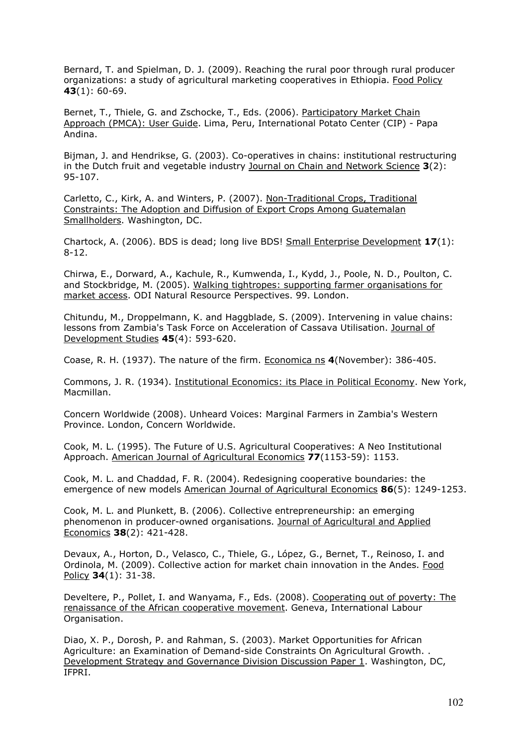Bernard, T. and Spielman, D. J. (2009). Reaching the rural poor through rural producer organizations: a study of agricultural marketing cooperatives in Ethiopia. Food Policy 43(1): 60-69.

Bernet, T., Thiele, G. and Zschocke, T., Eds. (2006). Participatory Market Chain Approach (PMCA): User Guide. Lima, Peru, International Potato Center (CIP) - Papa Andina.

Bijman, J. and Hendrikse, G. (2003). Co-operatives in chains: institutional restructuring in the Dutch fruit and vegetable industry Journal on Chain and Network Science  $3(2)$ : 95-107.

Carletto, C., Kirk, A. and Winters, P. (2007). Non-Traditional Crops, Traditional Constraints: The Adoption and Diffusion of Export Crops Among Guatemalan Smallholders. Washington, DC.

Chartock, A. (2006). BDS is dead; long live BDS! Small Enterprise Development  $17(1)$ : 8-12.

Chirwa, E., Dorward, A., Kachule, R., Kumwenda, I., Kydd, J., Poole, N. D., Poulton, C. and Stockbridge, M. (2005). Walking tightropes: supporting farmer organisations for market access. ODI Natural Resource Perspectives. 99. London.

Chitundu, M., Droppelmann, K. and Haggblade, S. (2009). Intervening in value chains: lessons from Zambia's Task Force on Acceleration of Cassava Utilisation. Journal of Development Studies 45(4): 593-620.

Coase, R. H. (1937). The nature of the firm. Economica ns 4(November): 386-405.

Commons, J. R. (1934). Institutional Economics: its Place in Political Economy. New York, Macmillan.

Concern Worldwide (2008). Unheard Voices: Marginal Farmers in Zambia's Western Province. London, Concern Worldwide.

Cook, M. L. (1995). The Future of U.S. Agricultural Cooperatives: A Neo Institutional Approach. American Journal of Agricultural Economics 77(1153-59): 1153.

Cook, M. L. and Chaddad, F. R. (2004). Redesigning cooperative boundaries: the emergence of new models American Journal of Agricultural Economics 86(5): 1249-1253.

Cook, M. L. and Plunkett, B. (2006). Collective entrepreneurship: an emerging phenomenon in producer-owned organisations. Journal of Agricultural and Applied Economics 38(2): 421-428.

Devaux, A., Horton, D., Velasco, C., Thiele, G., López, G., Bernet, T., Reinoso, I. and Ordinola, M. (2009). Collective action for market chain innovation in the Andes. Food Policy 34(1): 31-38.

Develtere, P., Pollet, I. and Wanyama, F., Eds. (2008). Cooperating out of poverty: The renaissance of the African cooperative movement. Geneva, International Labour Organisation.

Diao, X. P., Dorosh, P. and Rahman, S. (2003). Market Opportunities for African Agriculture: an Examination of Demand-side Constraints On Agricultural Growth. . Development Strategy and Governance Division Discussion Paper 1. Washington, DC, IFPRI.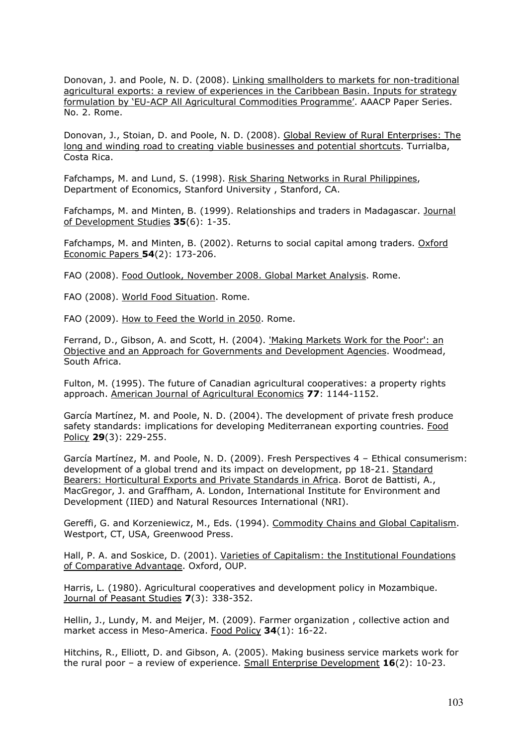Donovan, J. and Poole, N. D. (2008). Linking smallholders to markets for non-traditional agricultural exports: a review of experiences in the Caribbean Basin. Inputs for strategy formulation by 'EU-ACP All Agricultural Commodities Programme'. AAACP Paper Series. No. 2. Rome.

Donovan, J., Stoian, D. and Poole, N. D. (2008). Global Review of Rural Enterprises: The long and winding road to creating viable businesses and potential shortcuts. Turrialba, Costa Rica.

Fafchamps, M. and Lund, S. (1998). Risk Sharing Networks in Rural Philippines, Department of Economics, Stanford University , Stanford, CA.

Fafchamps, M. and Minten, B. (1999). Relationships and traders in Madagascar. Journal of Development Studies 35(6): 1-35.

Fafchamps, M. and Minten, B. (2002). Returns to social capital among traders. Oxford Economic Papers 54(2): 173-206.

FAO (2008). Food Outlook, November 2008. Global Market Analysis. Rome.

FAO (2008). World Food Situation. Rome.

FAO (2009). How to Feed the World in 2050. Rome.

Ferrand, D., Gibson, A. and Scott, H. (2004). 'Making Markets Work for the Poor': an Objective and an Approach for Governments and Development Agencies. Woodmead, South Africa.

Fulton, M. (1995). The future of Canadian agricultural cooperatives: a property rights approach. American Journal of Agricultural Economics 77: 1144-1152.

García Martínez, M. and Poole, N. D. (2004). The development of private fresh produce safety standards: implications for developing Mediterranean exporting countries. Food Policy 29(3): 229-255.

García Martínez, M. and Poole, N. D. (2009). Fresh Perspectives 4 – Ethical consumerism: development of a global trend and its impact on development, pp 18-21. Standard Bearers: Horticultural Exports and Private Standards in Africa. Borot de Battisti, A., MacGregor, J. and Graffham, A. London, International Institute for Environment and Development (IIED) and Natural Resources International (NRI).

Gereffi, G. and Korzeniewicz, M., Eds. (1994). Commodity Chains and Global Capitalism. Westport, CT, USA, Greenwood Press.

Hall, P. A. and Soskice, D. (2001). Varieties of Capitalism: the Institutional Foundations of Comparative Advantage. Oxford, OUP.

Harris, L. (1980). Agricultural cooperatives and development policy in Mozambique. Journal of Peasant Studies 7(3): 338-352.

Hellin, J., Lundy, M. and Meijer, M. (2009). Farmer organization , collective action and market access in Meso-America. Food Policy 34(1): 16-22.

Hitchins, R., Elliott, D. and Gibson, A. (2005). Making business service markets work for the rural poor – a review of experience. Small Enterprise Development  $16(2)$ : 10-23.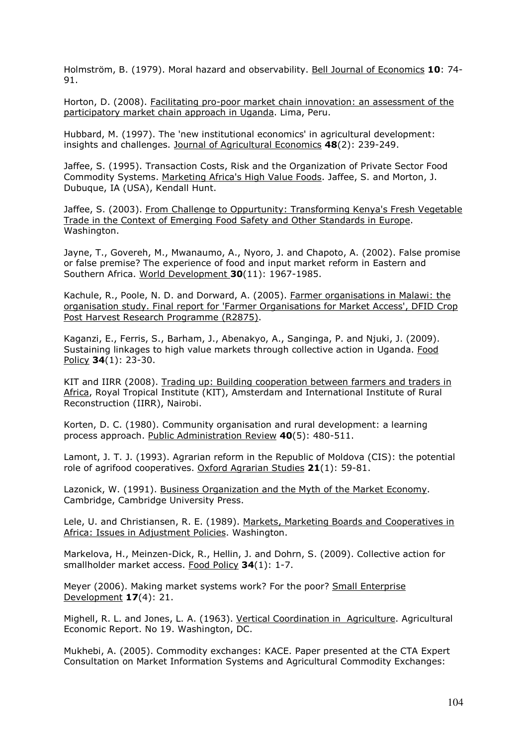Holmström, B. (1979). Moral hazard and observability. Bell Journal of Economics 10: 74- 91.

Horton, D. (2008). Facilitating pro-poor market chain innovation: an assessment of the participatory market chain approach in Uganda. Lima, Peru.

Hubbard, M. (1997). The 'new institutional economics' in agricultural development: insights and challenges. Journal of Agricultural Economics 48(2): 239-249.

Jaffee, S. (1995). Transaction Costs, Risk and the Organization of Private Sector Food Commodity Systems. Marketing Africa's High Value Foods. Jaffee, S. and Morton, J. Dubuque, IA (USA), Kendall Hunt.

Jaffee, S. (2003). From Challenge to Oppurtunity: Transforming Kenya's Fresh Vegetable Trade in the Context of Emerging Food Safety and Other Standards in Europe. Washington.

Jayne, T., Govereh, M., Mwanaumo, A., Nyoro, J. and Chapoto, A. (2002). False promise or false premise? The experience of food and input market reform in Eastern and Southern Africa. World Development 30(11): 1967-1985.

Kachule, R., Poole, N. D. and Dorward, A. (2005). Farmer organisations in Malawi: the organisation study. Final report for 'Farmer Organisations for Market Access', DFID Crop Post Harvest Research Programme (R2875).

Kaganzi, E., Ferris, S., Barham, J., Abenakyo, A., Sanginga, P. and Njuki, J. (2009). Sustaining linkages to high value markets through collective action in Uganda. Food Policy 34(1): 23-30.

KIT and IIRR (2008). Trading up: Building cooperation between farmers and traders in Africa, Royal Tropical Institute (KIT), Amsterdam and International Institute of Rural Reconstruction (IIRR), Nairobi.

Korten, D. C. (1980). Community organisation and rural development: a learning process approach. Public Administration Review 40(5): 480-511.

Lamont, J. T. J. (1993). Agrarian reform in the Republic of Moldova (CIS): the potential role of agrifood cooperatives. Oxford Agrarian Studies 21(1): 59-81.

Lazonick, W. (1991). Business Organization and the Myth of the Market Economy. Cambridge, Cambridge University Press.

Lele, U. and Christiansen, R. E. (1989). Markets, Marketing Boards and Cooperatives in Africa: Issues in Adjustment Policies. Washington.

Markelova, H., Meinzen-Dick, R., Hellin, J. and Dohrn, S. (2009). Collective action for smallholder market access. Food Policy 34(1): 1-7.

Meyer (2006). Making market systems work? For the poor? Small Enterprise Development 17(4): 21.

Mighell, R. L. and Jones, L. A. (1963). Vertical Coordination in Agriculture. Agricultural Economic Report. No 19. Washington, DC.

Mukhebi, A. (2005). Commodity exchanges: KACE. Paper presented at the CTA Expert Consultation on Market Information Systems and Agricultural Commodity Exchanges: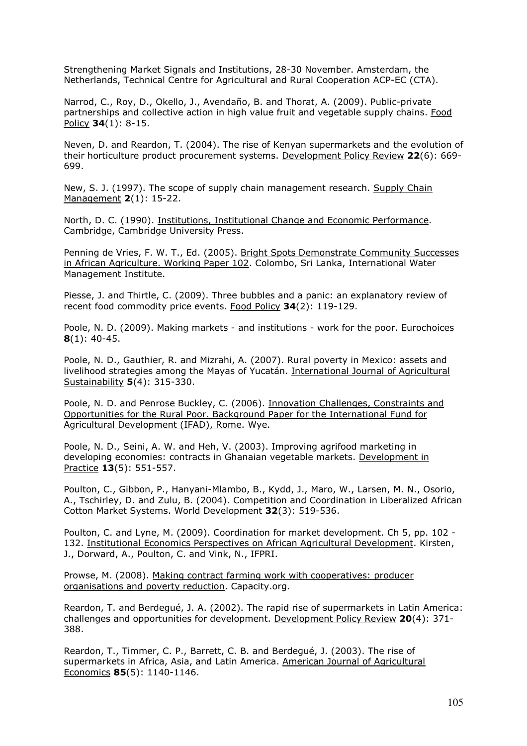Strengthening Market Signals and Institutions, 28-30 November. Amsterdam, the Netherlands, Technical Centre for Agricultural and Rural Cooperation ACP-EC (CTA).

Narrod, C., Roy, D., Okello, J., Avendaño, B. and Thorat, A. (2009). Public-private partnerships and collective action in high value fruit and vegetable supply chains. Food Policy **34**(1): 8-15.

Neven, D. and Reardon, T. (2004). The rise of Kenyan supermarkets and the evolution of their horticulture product procurement systems. Development Policy Review 22(6): 669- 699.

New, S. J. (1997). The scope of supply chain management research. Supply Chain Management 2(1): 15-22.

North, D. C. (1990). Institutions, Institutional Change and Economic Performance. Cambridge, Cambridge University Press.

Penning de Vries, F. W. T., Ed. (2005). Bright Spots Demonstrate Community Successes in African Agriculture. Working Paper 102. Colombo, Sri Lanka, International Water Management Institute.

Piesse, J. and Thirtle, C. (2009). Three bubbles and a panic: an explanatory review of recent food commodity price events. Food Policy 34(2): 119-129.

Poole, N. D. (2009). Making markets - and institutions - work for the poor. Eurochoices  $8(1)$ : 40-45.

Poole, N. D., Gauthier, R. and Mizrahi, A. (2007). Rural poverty in Mexico: assets and livelihood strategies among the Mayas of Yucatán. International Journal of Agricultural Sustainability **5**(4): 315-330.

Poole, N. D. and Penrose Buckley, C. (2006). <u>Innovation Challenges, Constraints and</u> Opportunities for the Rural Poor. Background Paper for the International Fund for Agricultural Development (IFAD), Rome. Wye.

Poole, N. D., Seini, A. W. and Heh, V. (2003). Improving agrifood marketing in developing economies: contracts in Ghanaian vegetable markets. Development in Practice **13**(5): 551-557.

Poulton, C., Gibbon, P., Hanyani-Mlambo, B., Kydd, J., Maro, W., Larsen, M. N., Osorio, A., Tschirley, D. and Zulu, B. (2004). Competition and Coordination in Liberalized African Cotton Market Systems. World Development 32(3): 519-536.

Poulton, C. and Lyne, M. (2009). Coordination for market development. Ch 5, pp. 102 - 132. Institutional Economics Perspectives on African Agricultural Development. Kirsten, J., Dorward, A., Poulton, C. and Vink, N., IFPRI.

Prowse, M. (2008). Making contract farming work with cooperatives: producer organisations and poverty reduction. Capacity.org.

Reardon, T. and Berdegué, J. A. (2002). The rapid rise of supermarkets in Latin America: challenges and opportunities for development. Development Policy Review 20(4): 371- 388.

Reardon, T., Timmer, C. P., Barrett, C. B. and Berdegué, J. (2003). The rise of supermarkets in Africa, Asia, and Latin America. American Journal of Agricultural Economics 85(5): 1140-1146.